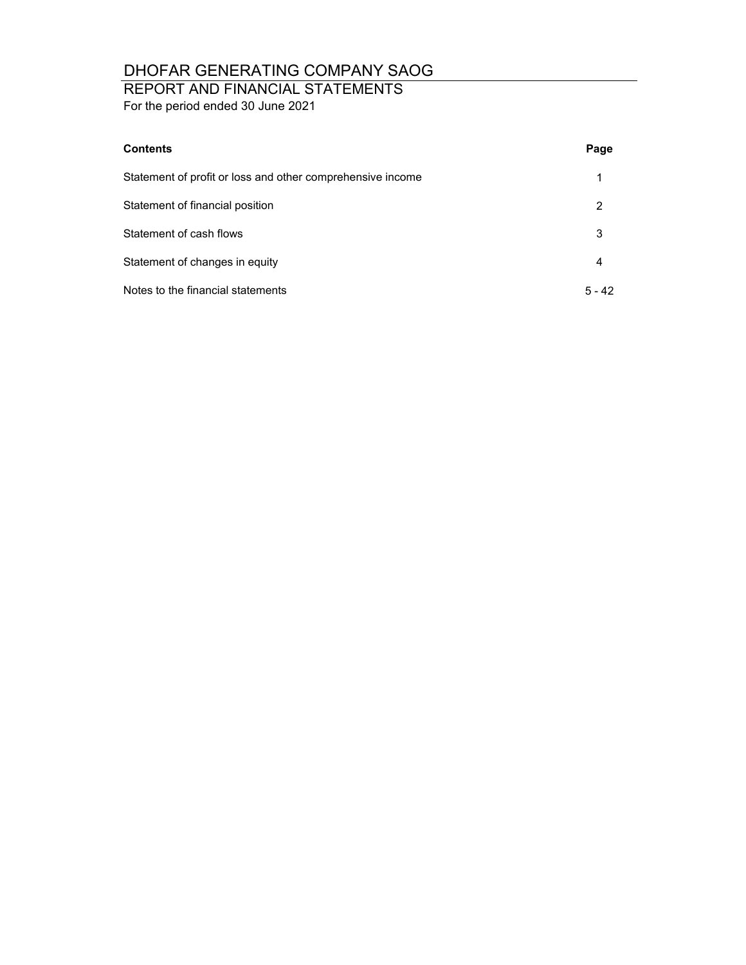## REPORT AND FINANCIAL STATEMENTS

For the period ended 30 June 2021

| <b>Contents</b>                                            | Page     |
|------------------------------------------------------------|----------|
| Statement of profit or loss and other comprehensive income |          |
| Statement of financial position                            | 2        |
| Statement of cash flows                                    | 3        |
| Statement of changes in equity                             | 4        |
| Notes to the financial statements                          | $5 - 42$ |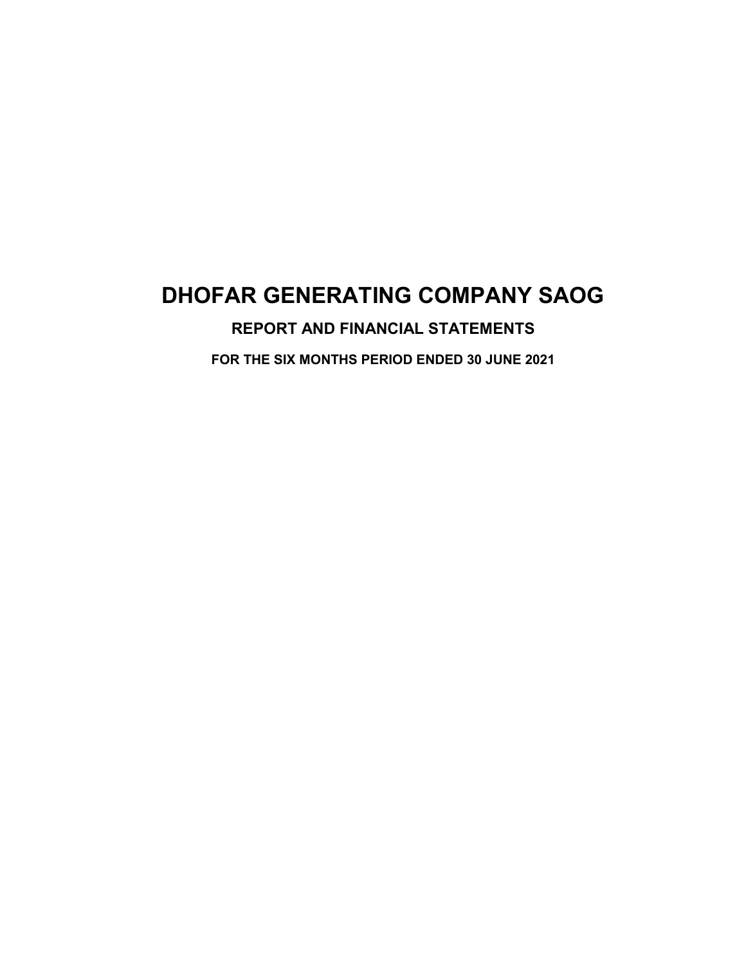## **REPORT AND FINANCIAL STATEMENTS**

**FOR THE SIX MONTHS PERIOD ENDED 30 JUNE 2021**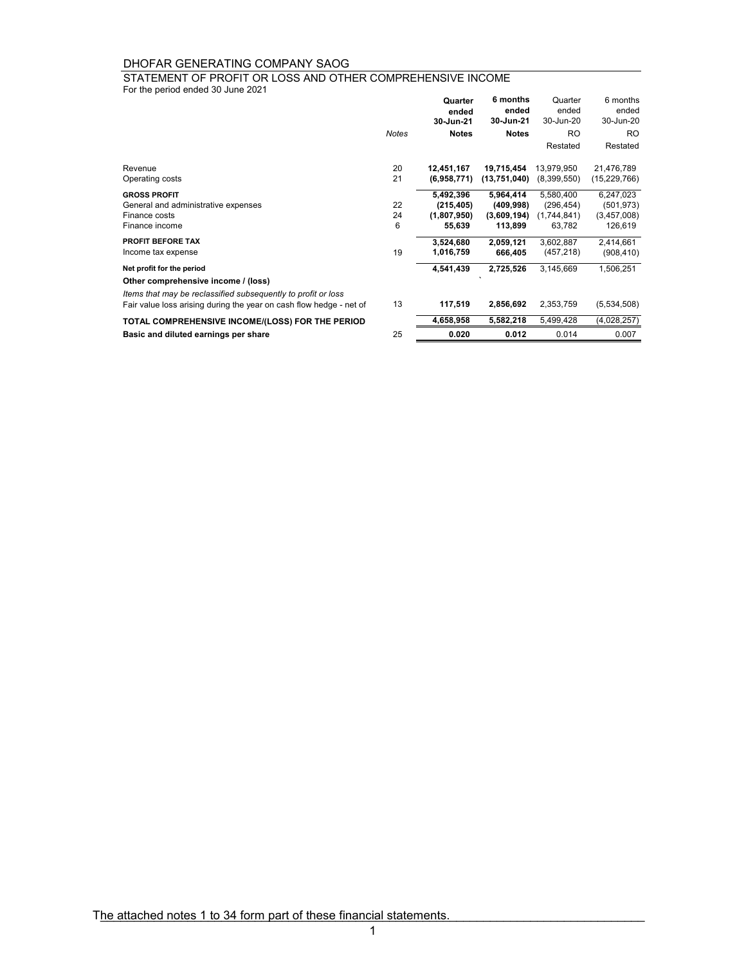For the period ended 30 June 2021 STATEMENT OF PROFIT OR LOSS AND OTHER COMPREHENSIVE INCOME

|                                                                     |       | Quarter<br>ended | 6 months<br>ended | Quarter<br>ended | 6 months<br>ended |
|---------------------------------------------------------------------|-------|------------------|-------------------|------------------|-------------------|
|                                                                     |       | 30-Jun-21        | 30-Jun-21         | 30-Jun-20        | 30-Jun-20         |
|                                                                     | Notes | <b>Notes</b>     | <b>Notes</b>      | <b>RO</b>        | <b>RO</b>         |
|                                                                     |       |                  |                   | Restated         | Restated          |
| Revenue                                                             | 20    | 12,451,167       | 19,715,454        | 13,979,950       | 21,476,789        |
| Operating costs                                                     | 21    | (6,958,771)      | (13,751,040)      | (8,399,550)      | (15,229,766)      |
| <b>GROSS PROFIT</b>                                                 |       | 5,492,396        | 5,964,414         | 5,580,400        | 6,247,023         |
| General and administrative expenses                                 | 22    | (215, 405)       | (409,998)         | (296, 454)       | (501, 973)        |
| Finance costs                                                       | 24    | (1,807,950)      | (3,609,194)       | (1,744,841)      | (3,457,008)       |
| Finance income                                                      | 6     | 55,639           | 113,899           | 63,782           | 126,619           |
| <b>PROFIT BEFORE TAX</b>                                            |       | 3,524,680        | 2,059,121         | 3,602,887        | 2,414,661         |
| Income tax expense                                                  | 19    | 1,016,759        | 666,405           | (457, 218)       | (908, 410)        |
| Net profit for the period                                           |       | 4,541,439        | 2,725,526         | 3,145,669        | 1,506,251         |
| Other comprehensive income / (loss)                                 |       |                  |                   |                  |                   |
| Items that may be reclassified subsequently to profit or loss       |       |                  |                   |                  |                   |
| Fair value loss arising during the year on cash flow hedge - net of | 13    | 117,519          | 2,856,692         | 2,353,759        | (5,534,508)       |
| TOTAL COMPREHENSIVE INCOME/(LOSS) FOR THE PERIOD                    |       | 4,658,958        | 5,582,218         | 5,499,428        | (4,028,257)       |
| Basic and diluted earnings per share                                | 25    | 0.020            | 0.012             | 0.014            | 0.007             |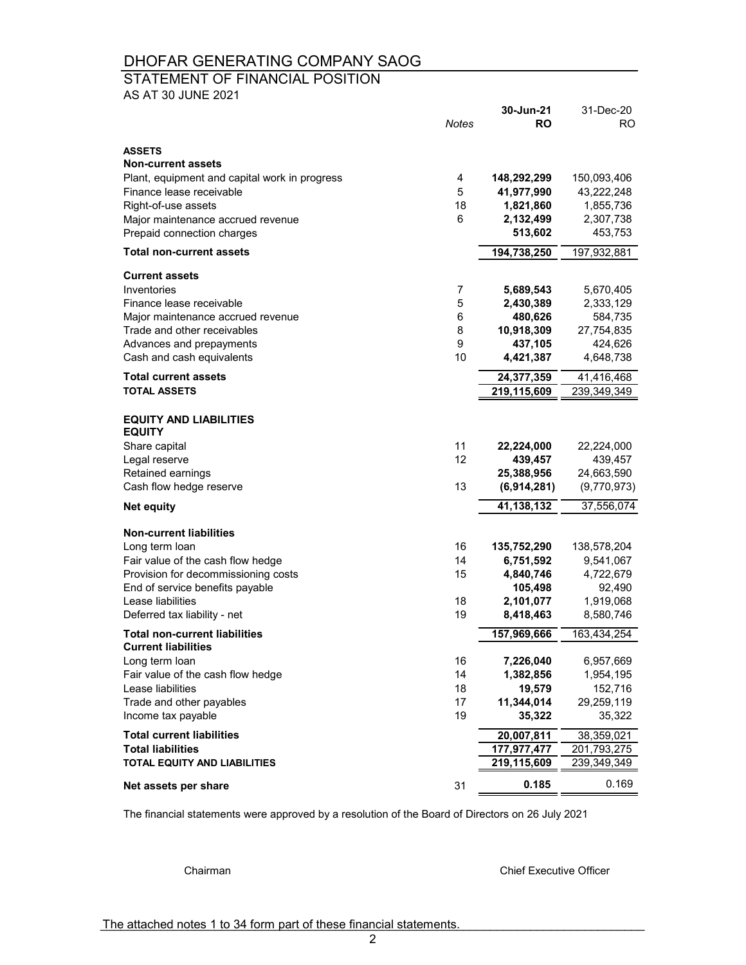### STATEMENT OF FINANCIAL POSITION

AS AT 30 JUNE 2021

| <b>ASSETS</b>                                                      |         |                      |                      |
|--------------------------------------------------------------------|---------|----------------------|----------------------|
| <b>Non-current assets</b>                                          |         |                      |                      |
| Plant, equipment and capital work in progress                      | 4       | 148,292,299          | 150,093,406          |
| Finance lease receivable                                           | 5       | 41,977,990           | 43,222,248           |
| Right-of-use assets                                                | 18<br>6 | 1,821,860            | 1,855,736            |
| Major maintenance accrued revenue<br>Prepaid connection charges    |         | 2,132,499<br>513,602 | 2,307,738<br>453,753 |
| <b>Total non-current assets</b>                                    |         | 194,738,250          | 197,932,881          |
|                                                                    |         |                      |                      |
| <b>Current assets</b>                                              |         |                      |                      |
| Inventories                                                        | 7       | 5,689,543            | 5,670,405            |
| Finance lease receivable                                           | 5       | 2,430,389            | 2,333,129            |
| Major maintenance accrued revenue                                  | 6       | 480,626              | 584,735              |
| Trade and other receivables                                        | 8       | 10,918,309           | 27,754,835           |
| Advances and prepayments<br>Cash and cash equivalents              | 9<br>10 | 437,105              | 424,626<br>4,648,738 |
|                                                                    |         | 4,421,387            |                      |
| <b>Total current assets</b>                                        |         | 24,377,359           | 41,416,468           |
| <b>TOTAL ASSETS</b>                                                |         | 219,115,609          | 239, 349, 349        |
| <b>EQUITY AND LIABILITIES</b><br><b>EQUITY</b>                     |         |                      |                      |
| Share capital                                                      | 11      | 22,224,000           | 22,224,000           |
| Legal reserve                                                      | 12      | 439,457              | 439,457              |
| Retained earnings                                                  |         | 25,388,956           | 24,663,590           |
| Cash flow hedge reserve                                            | 13      | (6,914,281)          | (9,770,973)          |
| <b>Net equity</b>                                                  |         | 41,138,132           | 37,556,074           |
| <b>Non-current liabilities</b>                                     |         |                      |                      |
| Long term loan                                                     | 16      | 135,752,290          | 138,578,204          |
| Fair value of the cash flow hedge                                  | 14      | 6,751,592            | 9,541,067            |
| Provision for decommissioning costs                                | 15      | 4,840,746            | 4,722,679            |
| End of service benefits payable                                    |         | 105,498              | 92,490               |
| Lease liabilities                                                  | 18      | 2,101,077            | 1,919,068            |
| Deferred tax liability - net                                       | 19      | 8,418,463            | 8,580,746            |
| <b>Total non-current liabilities</b><br><b>Current liabilities</b> |         | 157,969,666          | 163,434,254          |
| Long term loan                                                     | 16      | 7,226,040            | 6,957,669            |
| Fair value of the cash flow hedge                                  | 14      | 1,382,856            | 1,954,195            |
| Lease liabilities                                                  | 18      | 19,579               | 152,716              |
| Trade and other payables                                           | 17      | 11,344,014           | 29,259,119           |
| Income tax payable                                                 | 19      | 35,322               | 35,322               |
| <b>Total current liabilities</b>                                   |         | 20,007,811           | 38,359,021           |
| <b>Total liabilities</b>                                           |         | 177,977,477          | 201,793,275          |
| <b>TOTAL EQUITY AND LIABILITIES</b>                                |         | 219,115,609          | 239,349,349          |
| Net assets per share                                               | 31      | 0.185                | 0.169                |

The financial statements were approved by a resolution of the Board of Directors on 26 July 2021

Chairman Chief Executive Officer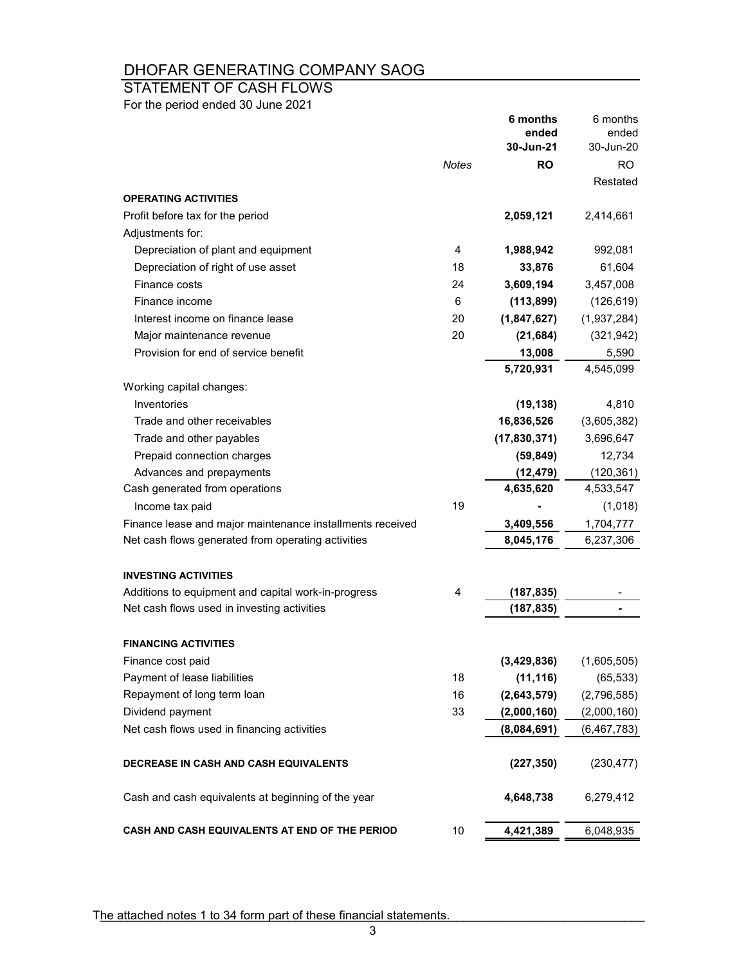## STATEMENT OF CASH FLOWS

For the period ended 30 June 2021

|                                                           |       | 6 months<br>ended<br>30-Jun-21 | 6 months<br>ended<br>30-Jun-20 |
|-----------------------------------------------------------|-------|--------------------------------|--------------------------------|
|                                                           | Notes | <b>RO</b>                      | <b>RO</b>                      |
|                                                           |       |                                | Restated                       |
| <b>OPERATING ACTIVITIES</b>                               |       |                                |                                |
| Profit before tax for the period                          |       | 2,059,121                      | 2,414,661                      |
| Adjustments for:                                          |       |                                |                                |
| Depreciation of plant and equipment                       | 4     | 1,988,942                      | 992,081                        |
| Depreciation of right of use asset                        | 18    | 33,876                         | 61,604                         |
| Finance costs                                             | 24    | 3,609,194                      | 3,457,008                      |
| Finance income                                            | 6     | (113, 899)                     | (126, 619)                     |
| Interest income on finance lease                          | 20    | (1,847,627)                    | (1,937,284)                    |
| Major maintenance revenue                                 | 20    | (21, 684)                      | (321, 942)                     |
| Provision for end of service benefit                      |       | 13,008                         | 5,590                          |
|                                                           |       | 5,720,931                      | 4,545,099                      |
| Working capital changes:                                  |       |                                |                                |
| Inventories                                               |       | (19, 138)                      | 4,810                          |
| Trade and other receivables                               |       | 16,836,526                     | (3,605,382)                    |
| Trade and other payables                                  |       | (17, 830, 371)                 | 3,696,647                      |
| Prepaid connection charges                                |       | (59, 849)                      | 12,734                         |
| Advances and prepayments                                  |       | (12, 479)                      | (120, 361)                     |
| Cash generated from operations                            |       | 4,635,620                      | 4,533,547                      |
| Income tax paid                                           | 19    |                                | (1,018)                        |
| Finance lease and major maintenance installments received |       | 3,409,556                      | 1,704,777                      |
| Net cash flows generated from operating activities        |       | 8,045,176                      | 6,237,306                      |
| <b>INVESTING ACTIVITIES</b>                               |       |                                |                                |
| Additions to equipment and capital work-in-progress       | 4     | (187, 835)                     |                                |
| Net cash flows used in investing activities               |       | (187, 835)                     |                                |
| <b>FINANCING ACTIVITIES</b>                               |       |                                |                                |
| Finance cost paid                                         |       | (3,429,836)                    | (1,605,505)                    |
| Payment of lease liabilities                              | 18    | (11, 116)                      | (65, 533)                      |
| Repayment of long term loan                               | 16    | (2,643,579)                    | (2,796,585)                    |
| Dividend payment                                          | 33    | (2,000,160)                    | (2,000,160)                    |
| Net cash flows used in financing activities               |       | (8,084,691)                    | (6, 467, 783)                  |
| DECREASE IN CASH AND CASH EQUIVALENTS                     |       | (227, 350)                     | (230, 477)                     |
| Cash and cash equivalents at beginning of the year        |       | 4,648,738                      | 6,279,412                      |
| CASH AND CASH EQUIVALENTS AT END OF THE PERIOD            | 10    | 4,421,389                      | 6,048,935                      |

The attached notes 1 to 34 form part of these financial statements.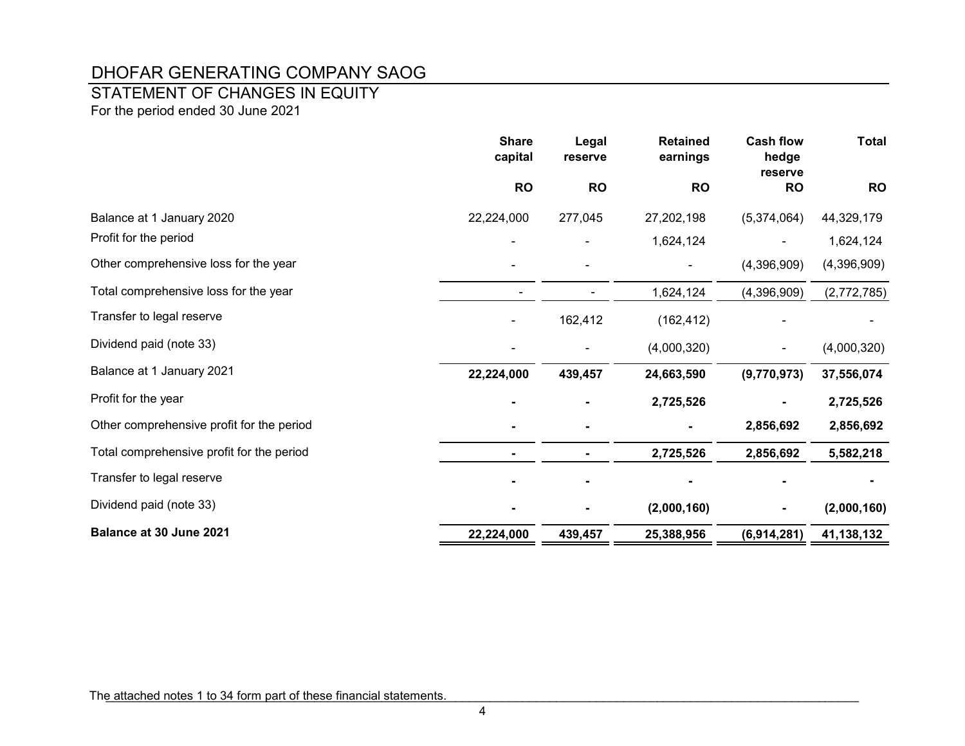### STATEMENT OF CHANGES IN EQUITY

For the period ended 30 June 2021

|                                           | <b>Share</b><br>capital | Legal<br>reserve | <b>Retained</b><br>earnings | <b>Cash flow</b><br>hedge<br>reserve | <b>Total</b> |
|-------------------------------------------|-------------------------|------------------|-----------------------------|--------------------------------------|--------------|
|                                           | <b>RO</b>               | <b>RO</b>        | <b>RO</b>                   | <b>RO</b>                            | <b>RO</b>    |
| Balance at 1 January 2020                 | 22,224,000              | 277,045          | 27,202,198                  | (5,374,064)                          | 44,329,179   |
| Profit for the period                     |                         |                  | 1,624,124                   |                                      | 1,624,124    |
| Other comprehensive loss for the year     |                         |                  |                             | (4,396,909)                          | (4,396,909)  |
| Total comprehensive loss for the year     |                         |                  | 1,624,124                   | (4,396,909)                          | (2,772,785)  |
| Transfer to legal reserve                 |                         | 162,412          | (162, 412)                  |                                      |              |
| Dividend paid (note 33)                   |                         |                  | (4,000,320)                 |                                      | (4,000,320)  |
| Balance at 1 January 2021                 | 22,224,000              | 439,457          | 24,663,590                  | (9,770,973)                          | 37,556,074   |
| Profit for the year                       |                         |                  | 2,725,526                   |                                      | 2,725,526    |
| Other comprehensive profit for the period |                         |                  |                             | 2,856,692                            | 2,856,692    |
| Total comprehensive profit for the period |                         |                  | 2,725,526                   | 2,856,692                            | 5,582,218    |
| Transfer to legal reserve                 |                         |                  |                             |                                      |              |
| Dividend paid (note 33)                   |                         |                  | (2,000,160)                 |                                      | (2,000,160)  |
| Balance at 30 June 2021                   | 22,224,000              | 439,457          | 25,388,956                  | (6,914,281)                          | 41,138,132   |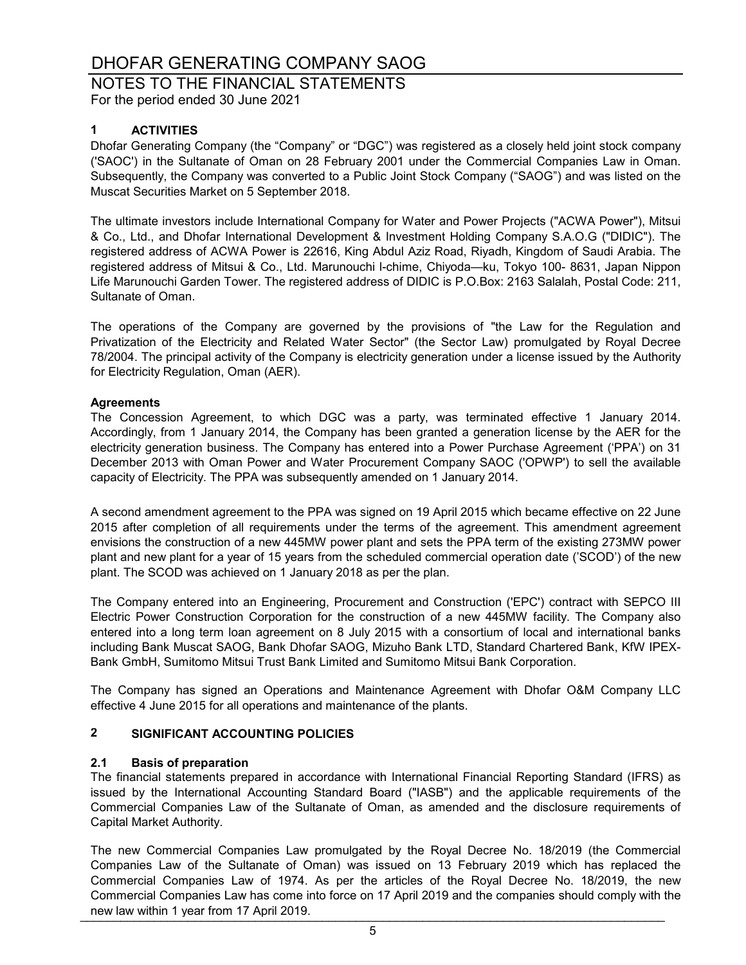## NOTES TO THE FINANCIAL STATEMENTS

For the period ended 30 June 2021

### **1 ACTIVITIES**

Dhofar Generating Company (the "Company" or "DGC") was registered as a closely held joint stock company ('SAOC') in the Sultanate of Oman on 28 February 2001 under the Commercial Companies Law in Oman. Subsequently, the Company was converted to a Public Joint Stock Company ("SAOG") and was listed on the Muscat Securities Market on 5 September 2018.

The ultimate investors include International Company for Water and Power Projects ("ACWA Power"), Mitsui & Co., Ltd., and Dhofar International Development & Investment Holding Company S.A.O.G ("DIDIC"). The registered address of ACWA Power is 22616, King Abdul Aziz Road, Riyadh, Kingdom of Saudi Arabia. The registered address of Mitsui & Co., Ltd. Marunouchi l-chime, Chiyoda—ku, Tokyo 100- 8631, Japan Nippon Life Marunouchi Garden Tower. The registered address of DIDIC is P.O.Box: 2163 Salalah, Postal Code: 211, Sultanate of Oman.

The operations of the Company are governed by the provisions of "the Law for the Regulation and Privatization of the Electricity and Related Water Sector" (the Sector Law) promulgated by Royal Decree 78/2004. The principal activity of the Company is electricity generation under a license issued by the Authority for Electricity Regulation, Oman (AER).

### **Agreements**

The Concession Agreement, to which DGC was a party, was terminated effective 1 January 2014. Accordingly, from 1 January 2014, the Company has been granted a generation license by the AER for the electricity generation business. The Company has entered into a Power Purchase Agreement ('PPA') on 31 December 2013 with Oman Power and Water Procurement Company SAOC ('OPWP') to sell the available capacity of Electricity. The PPA was subsequently amended on 1 January 2014.

A second amendment agreement to the PPA was signed on 19 April 2015 which became effective on 22 June 2015 after completion of all requirements under the terms of the agreement. This amendment agreement envisions the construction of a new 445MW power plant and sets the PPA term of the existing 273MW power plant and new plant for a year of 15 years from the scheduled commercial operation date ('SCOD') of the new plant. The SCOD was achieved on 1 January 2018 as per the plan.

The Company entered into an Engineering, Procurement and Construction ('EPC') contract with SEPCO III Electric Power Construction Corporation for the construction of a new 445MW facility. The Company also entered into a long term loan agreement on 8 July 2015 with a consortium of local and international banks including Bank Muscat SAOG, Bank Dhofar SAOG, Mizuho Bank LTD, Standard Chartered Bank, KfW IPEX-Bank GmbH, Sumitomo Mitsui Trust Bank Limited and Sumitomo Mitsui Bank Corporation.

The Company has signed an Operations and Maintenance Agreement with Dhofar O&M Company LLC effective 4 June 2015 for all operations and maintenance of the plants.

### **2 SIGNIFICANT ACCOUNTING POLICIES**

### **2.1 Basis of preparation**

The financial statements prepared in accordance with International Financial Reporting Standard (IFRS) as issued by the International Accounting Standard Board ("IASB") and the applicable requirements of the Commercial Companies Law of the Sultanate of Oman, as amended and the disclosure requirements of Capital Market Authority.

The new Commercial Companies Law promulgated by the Royal Decree No. 18/2019 (the Commercial Companies Law of the Sultanate of Oman) was issued on 13 February 2019 which has replaced the Commercial Companies Law of 1974. As per the articles of the Royal Decree No. 18/2019, the new Commercial Companies Law has come into force on 17 April 2019 and the companies should comply with the new law within 1 year from 17 April 2019.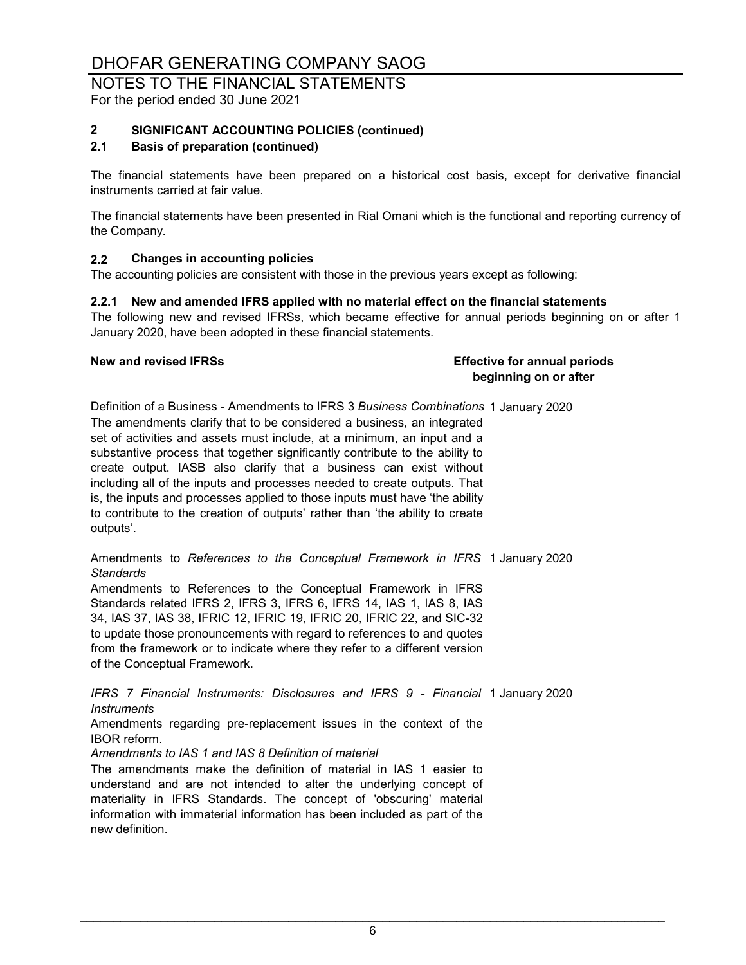### NOTES TO THE FINANCIAL STATEMENTS For the period ended 30 June 2021

### **2 SIGNIFICANT ACCOUNTING POLICIES (continued)**

### **2.1 Basis of preparation (continued)**

The financial statements have been prepared on a historical cost basis, except for derivative financial instruments carried at fair value.

The financial statements have been presented in Rial Omani which is the functional and reporting currency of the Company.

### **2.2 Changes in accounting policies**

The accounting policies are consistent with those in the previous years except as following:

### **2.2.1 New and amended IFRS applied with no material effect on the financial statements**

The following new and revised IFRSs, which became effective for annual periods beginning on or after 1 January 2020, have been adopted in these financial statements.

**New and revised IFRSs Effective for annual periods beginning on or after**

Definition of a Business - Amendments to IFRS 3 *Business Combinations* 1 January 2020 The amendments clarify that to be considered a business, an integrated set of activities and assets must include, at a minimum, an input and a substantive process that together significantly contribute to the ability to create output. IASB also clarify that a business can exist without including all of the inputs and processes needed to create outputs. That is, the inputs and processes applied to those inputs must have 'the ability to contribute to the creation of outputs' rather than 'the ability to create outputs'.

Amendments to *References to the Conceptual Framework in IFRS* 1 January 2020 *Standards*

Amendments to References to the Conceptual Framework in IFRS Standards related IFRS 2, IFRS 3, IFRS 6, IFRS 14, IAS 1, IAS 8, IAS 34, IAS 37, IAS 38, IFRIC 12, IFRIC 19, IFRIC 20, IFRIC 22, and SIC-32 to update those pronouncements with regard to references to and quotes from the framework or to indicate where they refer to a different version of the Conceptual Framework.

1 January 2020 *IFRS 7 Financial Instruments: Disclosures and IFRS 9 - Financial Instruments*

Amendments regarding pre-replacement issues in the context of the IBOR reform.

*Amendments to IAS 1 and IAS 8 Definition of material*

The amendments make the definition of material in IAS 1 easier to understand and are not intended to alter the underlying concept of materiality in IFRS Standards. The concept of 'obscuring' material information with immaterial information has been included as part of the new definition.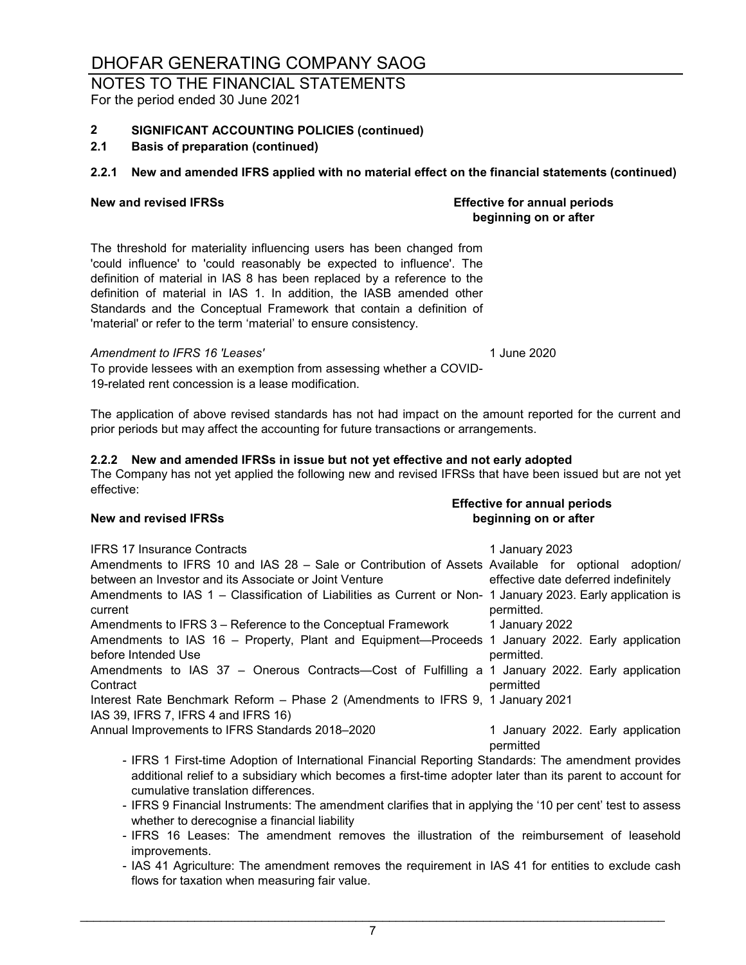### NOTES TO THE FINANCIAL STATEMENTS For the period ended 30 June 2021

### **2 SIGNIFICANT ACCOUNTING POLICIES (continued)**

### **2.1 Basis of preparation (continued)**

### **2.2.1 New and amended IFRS applied with no material effect on the financial statements (continued)**

The threshold for materiality influencing users has been changed from 'could influence' to 'could reasonably be expected to influence'. The definition of material in IAS 8 has been replaced by a reference to the definition of material in IAS 1. In addition, the IASB amended other Standards and the Conceptual Framework that contain a definition of 'material' or refer to the term 'material' to ensure consistency.

### *Amendment to IFRS 16 'Leases'* 1 June 2020

To provide lessees with an exemption from assessing whether a COVID-19-related rent concession is a lease modification.

The application of above revised standards has not had impact on the amount reported for the current and prior periods but may affect the accounting for future transactions or arrangements.

### **2.2.2 New and amended IFRSs in issue but not yet effective and not early adopted**

The Company has not yet applied the following new and revised IFRSs that have been issued but are not yet effective:

IFRS 17 Insurance Contracts 1 January 2023 Annual Improvements to IFRS Standards 2018–2020 Interest Rate Benchmark Reform – Phase 2 (Amendments to IFRS 9, 1 January 2021 IAS 39, IFRS 7, IFRS 4 and IFRS 16) Amendments to IFRS 10 and IAS 28 – Sale or Contribution of Assets Available for optional adoption/ between an Investor and its Associate or Joint Venture effective date deferred indefinitely Amendments to IAS 1 – Classification of Liabilities as Current or Non-1 January 2023. Early application is current permitted. Amendments to IFRS 3 – Reference to the Conceptual Framework 1 January 2022 Amendments to IAS 16 – Property, Plant and Equipment—Proceeds 1 January 2022. Early application before Intended Use permitted. Amendments to IAS 37 – Onerous Contracts—Cost of Fulfilling a 1 January 2022. Early application **Contract** permitted 1 January 2022. Early application permitted

- IFRS 1 First-time Adoption of International Financial Reporting Standards: The amendment provides additional relief to a subsidiary which becomes a first-time adopter later than its parent to account for cumulative translation differences.
- IFRS 9 Financial Instruments: The amendment clarifies that in applying the '10 per cent' test to assess whether to derecognise a financial liability
- IFRS 16 Leases: The amendment removes the illustration of the reimbursement of leasehold improvements.
- IAS 41 Agriculture: The amendment removes the requirement in IAS 41 for entities to exclude cash flows for taxation when measuring fair value.

7

### **Effective for annual periods New and revised IFRSs beginning on or after**

### **New and revised IFRSs Effective for annual periods beginning on or after**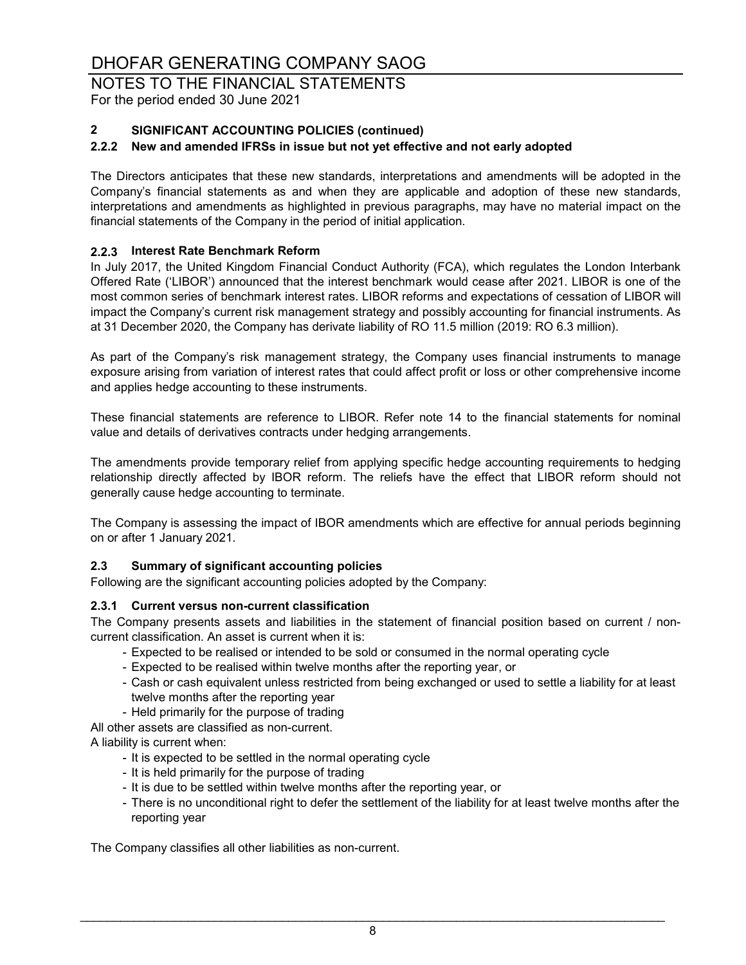## NOTES TO THE FINANCIAL STATEMENTS

For the period ended 30 June 2021

### **2 SIGNIFICANT ACCOUNTING POLICIES (continued)**

### **2.2.2 New and amended IFRSs in issue but not yet effective and not early adopted**

The Directors anticipates that these new standards, interpretations and amendments will be adopted in the Company's financial statements as and when they are applicable and adoption of these new standards, interpretations and amendments as highlighted in previous paragraphs, may have no material impact on the financial statements of the Company in the period of initial application.

### **2.2.3 Interest Rate Benchmark Reform**

In July 2017, the United Kingdom Financial Conduct Authority (FCA), which regulates the London Interbank Offered Rate ('LIBOR') announced that the interest benchmark would cease after 2021. LIBOR is one of the most common series of benchmark interest rates. LIBOR reforms and expectations of cessation of LIBOR will impact the Company's current risk management strategy and possibly accounting for financial instruments. As at 31 December 2020, the Company has derivate liability of RO 11.5 million (2019: RO 6.3 million).

As part of the Company's risk management strategy, the Company uses financial instruments to manage exposure arising from variation of interest rates that could affect profit or loss or other comprehensive income and applies hedge accounting to these instruments.

These financial statements are reference to LIBOR. Refer note 14 to the financial statements for nominal value and details of derivatives contracts under hedging arrangements.

The amendments provide temporary relief from applying specific hedge accounting requirements to hedging relationship directly affected by IBOR reform. The reliefs have the effect that LIBOR reform should not generally cause hedge accounting to terminate.

The Company is assessing the impact of IBOR amendments which are effective for annual periods beginning on or after 1 January 2021.

### **2.3 Summary of significant accounting policies**

Following are the significant accounting policies adopted by the Company:

### **2.3.1 Current versus non-current classification**

The Company presents assets and liabilities in the statement of financial position based on current / noncurrent classification. An asset is current when it is:

- Expected to be realised or intended to be sold or consumed in the normal operating cycle
- Expected to be realised within twelve months after the reporting year, or
- Cash or cash equivalent unless restricted from being exchanged or used to settle a liability for at least twelve months after the reporting year
- Held primarily for the purpose of trading

All other assets are classified as non-current.

A liability is current when:

- It is expected to be settled in the normal operating cycle
- It is held primarily for the purpose of trading
- It is due to be settled within twelve months after the reporting year, or
- There is no unconditional right to defer the settlement of the liability for at least twelve months after the reporting year

The Company classifies all other liabilities as non-current.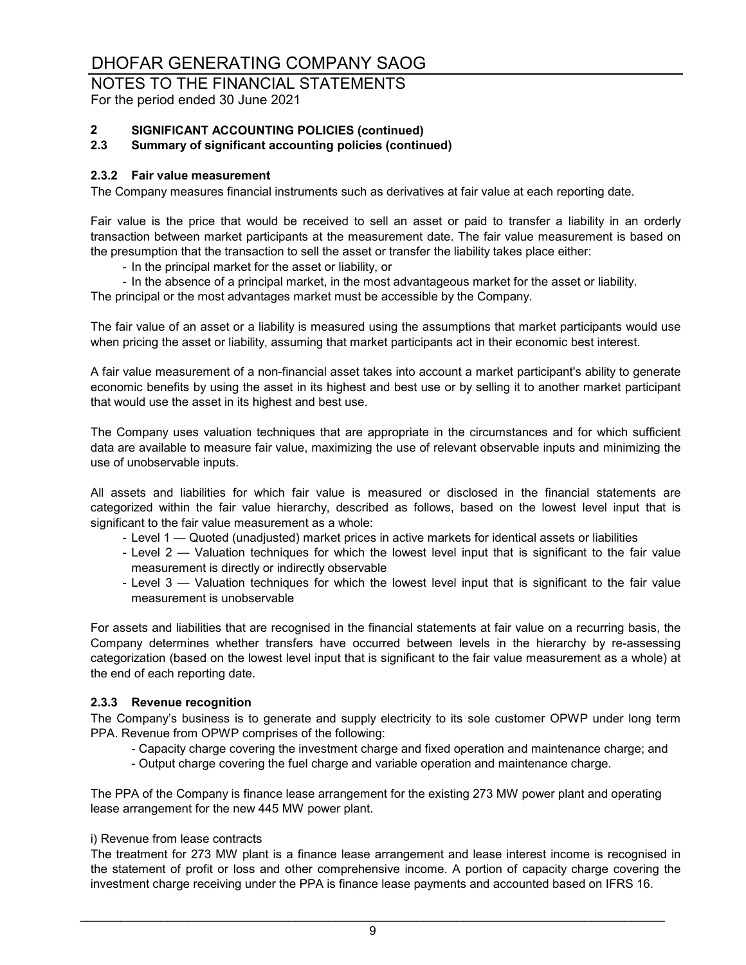## NOTES TO THE FINANCIAL STATEMENTS

For the period ended 30 June 2021

# **2 SIGNIFICANT ACCOUNTING POLICIES (continued)**

### **2.3 Summary of significant accounting policies (continued)**

### **2.3.2 Fair value measurement**

The Company measures financial instruments such as derivatives at fair value at each reporting date.

Fair value is the price that would be received to sell an asset or paid to transfer a liability in an orderly transaction between market participants at the measurement date. The fair value measurement is based on the presumption that the transaction to sell the asset or transfer the liability takes place either:

- In the principal market for the asset or liability, or
- In the absence of a principal market, in the most advantageous market for the asset or liability. The principal or the most advantages market must be accessible by the Company.

The fair value of an asset or a liability is measured using the assumptions that market participants would use when pricing the asset or liability, assuming that market participants act in their economic best interest.

A fair value measurement of a non-financial asset takes into account a market participant's ability to generate economic benefits by using the asset in its highest and best use or by selling it to another market participant that would use the asset in its highest and best use.

The Company uses valuation techniques that are appropriate in the circumstances and for which sufficient data are available to measure fair value, maximizing the use of relevant observable inputs and minimizing the use of unobservable inputs.

All assets and liabilities for which fair value is measured or disclosed in the financial statements are categorized within the fair value hierarchy, described as follows, based on the lowest level input that is significant to the fair value measurement as a whole:

- Level 1 Quoted (unadjusted) market prices in active markets for identical assets or liabilities
- Level 2 Valuation techniques for which the lowest level input that is significant to the fair value measurement is directly or indirectly observable
- Level 3 Valuation techniques for which the lowest level input that is significant to the fair value measurement is unobservable

For assets and liabilities that are recognised in the financial statements at fair value on a recurring basis, the Company determines whether transfers have occurred between levels in the hierarchy by re-assessing categorization (based on the lowest level input that is significant to the fair value measurement as a whole) at the end of each reporting date.

### **2.3.3 Revenue recognition**

The Company's business is to generate and supply electricity to its sole customer OPWP under long term PPA. Revenue from OPWP comprises of the following:

- Capacity charge covering the investment charge and fixed operation and maintenance charge; and
- Output charge covering the fuel charge and variable operation and maintenance charge.

The PPA of the Company is finance lease arrangement for the existing 273 MW power plant and operating lease arrangement for the new 445 MW power plant.

### i) Revenue from lease contracts

The treatment for 273 MW plant is a finance lease arrangement and lease interest income is recognised in the statement of profit or loss and other comprehensive income. A portion of capacity charge covering the investment charge receiving under the PPA is finance lease payments and accounted based on IFRS 16.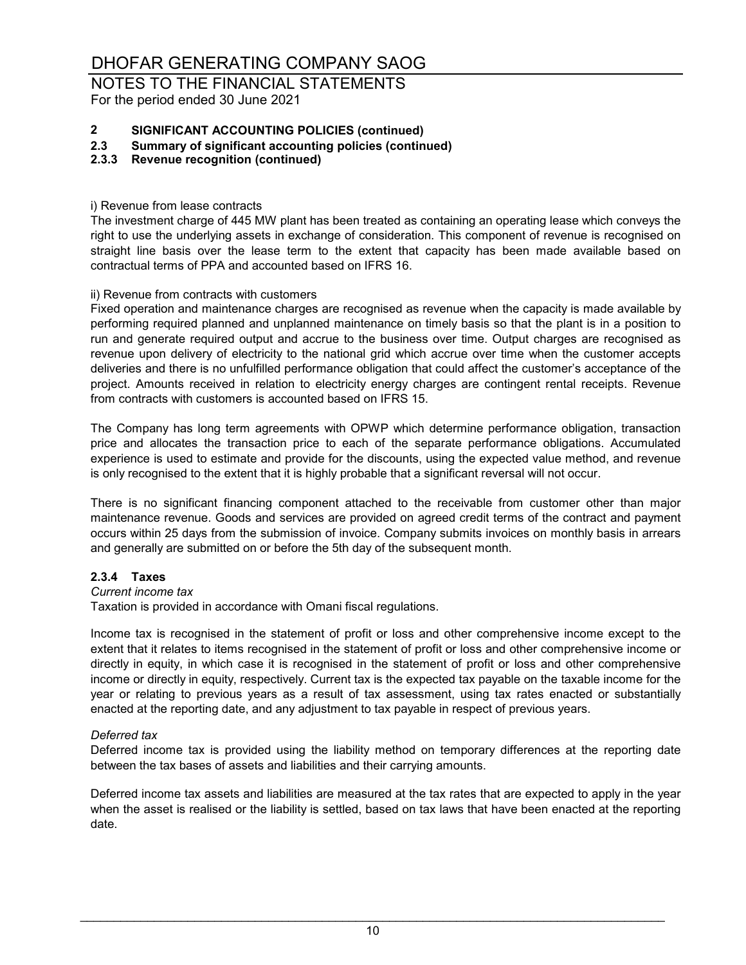NOTES TO THE FINANCIAL STATEMENTS For the period ended 30 June 2021

# **2 SIGNIFICANT ACCOUNTING POLICIES (continued)**

- **2.3 Summary of significant accounting policies (continued)**
- **2.3.3 Revenue recognition (continued)**
- i) Revenue from lease contracts

The investment charge of 445 MW plant has been treated as containing an operating lease which conveys the right to use the underlying assets in exchange of consideration. This component of revenue is recognised on straight line basis over the lease term to the extent that capacity has been made available based on contractual terms of PPA and accounted based on IFRS 16.

### ii) Revenue from contracts with customers

Fixed operation and maintenance charges are recognised as revenue when the capacity is made available by performing required planned and unplanned maintenance on timely basis so that the plant is in a position to run and generate required output and accrue to the business over time. Output charges are recognised as revenue upon delivery of electricity to the national grid which accrue over time when the customer accepts deliveries and there is no unfulfilled performance obligation that could affect the customer's acceptance of the project. Amounts received in relation to electricity energy charges are contingent rental receipts. Revenue from contracts with customers is accounted based on IFRS 15.

The Company has long term agreements with OPWP which determine performance obligation, transaction price and allocates the transaction price to each of the separate performance obligations. Accumulated experience is used to estimate and provide for the discounts, using the expected value method, and revenue is only recognised to the extent that it is highly probable that a significant reversal will not occur.

There is no significant financing component attached to the receivable from customer other than major maintenance revenue. Goods and services are provided on agreed credit terms of the contract and payment occurs within 25 days from the submission of invoice. Company submits invoices on monthly basis in arrears and generally are submitted on or before the 5th day of the subsequent month.

### **2.3.4 Taxes**

### *Current income tax*

Taxation is provided in accordance with Omani fiscal regulations.

Income tax is recognised in the statement of profit or loss and other comprehensive income except to the extent that it relates to items recognised in the statement of profit or loss and other comprehensive income or directly in equity, in which case it is recognised in the statement of profit or loss and other comprehensive income or directly in equity, respectively. Current tax is the expected tax payable on the taxable income for the year or relating to previous years as a result of tax assessment, using tax rates enacted or substantially enacted at the reporting date, and any adjustment to tax payable in respect of previous years.

### *Deferred tax*

Deferred income tax is provided using the liability method on temporary differences at the reporting date between the tax bases of assets and liabilities and their carrying amounts.

Deferred income tax assets and liabilities are measured at the tax rates that are expected to apply in the year when the asset is realised or the liability is settled, based on tax laws that have been enacted at the reporting date.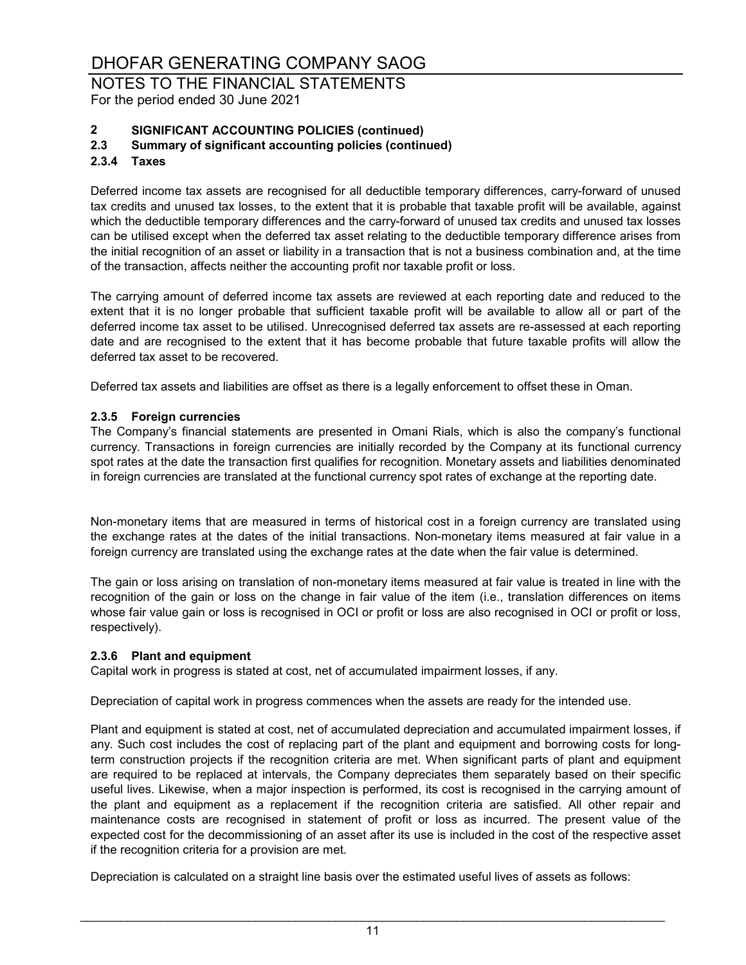NOTES TO THE FINANCIAL STATEMENTS For the period ended 30 June 2021

# **2 SIGNIFICANT ACCOUNTING POLICIES (continued)**

### **2.3 Summary of significant accounting policies (continued)**

### **2.3.4 Taxes**

Deferred income tax assets are recognised for all deductible temporary differences, carry-forward of unused tax credits and unused tax losses, to the extent that it is probable that taxable profit will be available, against which the deductible temporary differences and the carry-forward of unused tax credits and unused tax losses can be utilised except when the deferred tax asset relating to the deductible temporary difference arises from the initial recognition of an asset or liability in a transaction that is not a business combination and, at the time of the transaction, affects neither the accounting profit nor taxable profit or loss.

The carrying amount of deferred income tax assets are reviewed at each reporting date and reduced to the extent that it is no longer probable that sufficient taxable profit will be available to allow all or part of the deferred income tax asset to be utilised. Unrecognised deferred tax assets are re-assessed at each reporting date and are recognised to the extent that it has become probable that future taxable profits will allow the deferred tax asset to be recovered.

Deferred tax assets and liabilities are offset as there is a legally enforcement to offset these in Oman.

### **2.3.5 Foreign currencies**

The Company's financial statements are presented in Omani Rials, which is also the company's functional currency. Transactions in foreign currencies are initially recorded by the Company at its functional currency spot rates at the date the transaction first qualifies for recognition. Monetary assets and liabilities denominated in foreign currencies are translated at the functional currency spot rates of exchange at the reporting date.

Non-monetary items that are measured in terms of historical cost in a foreign currency are translated using the exchange rates at the dates of the initial transactions. Non-monetary items measured at fair value in a foreign currency are translated using the exchange rates at the date when the fair value is determined.

The gain or loss arising on translation of non-monetary items measured at fair value is treated in line with the recognition of the gain or loss on the change in fair value of the item (i.e., translation differences on items whose fair value gain or loss is recognised in OCI or profit or loss are also recognised in OCI or profit or loss, respectively).

### **2.3.6 Plant and equipment**

Capital work in progress is stated at cost, net of accumulated impairment losses, if any.

Depreciation of capital work in progress commences when the assets are ready for the intended use.

Plant and equipment is stated at cost, net of accumulated depreciation and accumulated impairment losses, if any. Such cost includes the cost of replacing part of the plant and equipment and borrowing costs for longterm construction projects if the recognition criteria are met. When significant parts of plant and equipment are required to be replaced at intervals, the Company depreciates them separately based on their specific useful lives. Likewise, when a major inspection is performed, its cost is recognised in the carrying amount of the plant and equipment as a replacement if the recognition criteria are satisfied. All other repair and maintenance costs are recognised in statement of profit or loss as incurred. The present value of the expected cost for the decommissioning of an asset after its use is included in the cost of the respective asset if the recognition criteria for a provision are met.

Depreciation is calculated on a straight line basis over the estimated useful lives of assets as follows: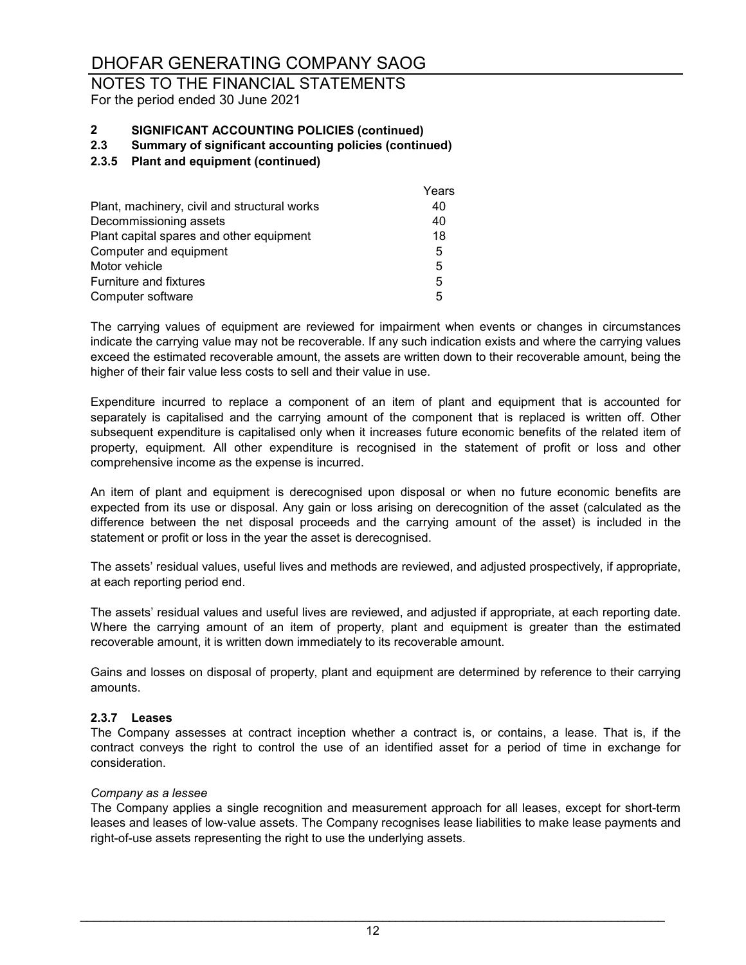### NOTES TO THE FINANCIAL STATEMENTS For the period ended 30 June 2021

# **2 SIGNIFICANT ACCOUNTING POLICIES (continued)**

### **2.3 Summary of significant accounting policies (continued)**

### **2.3.5 Plant and equipment (continued)**

|                                              | Years |
|----------------------------------------------|-------|
| Plant, machinery, civil and structural works | 40    |
| Decommissioning assets                       | 40    |
| Plant capital spares and other equipment     | 18    |
| Computer and equipment                       | 5     |
| Motor vehicle                                | 5     |
| <b>Furniture and fixtures</b>                | 5     |
| Computer software                            | 5     |
|                                              |       |

The carrying values of equipment are reviewed for impairment when events or changes in circumstances indicate the carrying value may not be recoverable. If any such indication exists and where the carrying values exceed the estimated recoverable amount, the assets are written down to their recoverable amount, being the higher of their fair value less costs to sell and their value in use.

Expenditure incurred to replace a component of an item of plant and equipment that is accounted for separately is capitalised and the carrying amount of the component that is replaced is written off. Other subsequent expenditure is capitalised only when it increases future economic benefits of the related item of property, equipment. All other expenditure is recognised in the statement of profit or loss and other comprehensive income as the expense is incurred.

An item of plant and equipment is derecognised upon disposal or when no future economic benefits are expected from its use or disposal. Any gain or loss arising on derecognition of the asset (calculated as the difference between the net disposal proceeds and the carrying amount of the asset) is included in the statement or profit or loss in the year the asset is derecognised.

The assets' residual values, useful lives and methods are reviewed, and adjusted prospectively, if appropriate, at each reporting period end.

The assets' residual values and useful lives are reviewed, and adjusted if appropriate, at each reporting date. Where the carrying amount of an item of property, plant and equipment is greater than the estimated recoverable amount, it is written down immediately to its recoverable amount.

Gains and losses on disposal of property, plant and equipment are determined by reference to their carrying amounts.

### **2.3.7 Leases**

The Company assesses at contract inception whether a contract is, or contains, a lease. That is, if the contract conveys the right to control the use of an identified asset for a period of time in exchange for consideration.

### *Company as a lessee*

The Company applies a single recognition and measurement approach for all leases, except for short-term leases and leases of low-value assets. The Company recognises lease liabilities to make lease payments and right-of-use assets representing the right to use the underlying assets.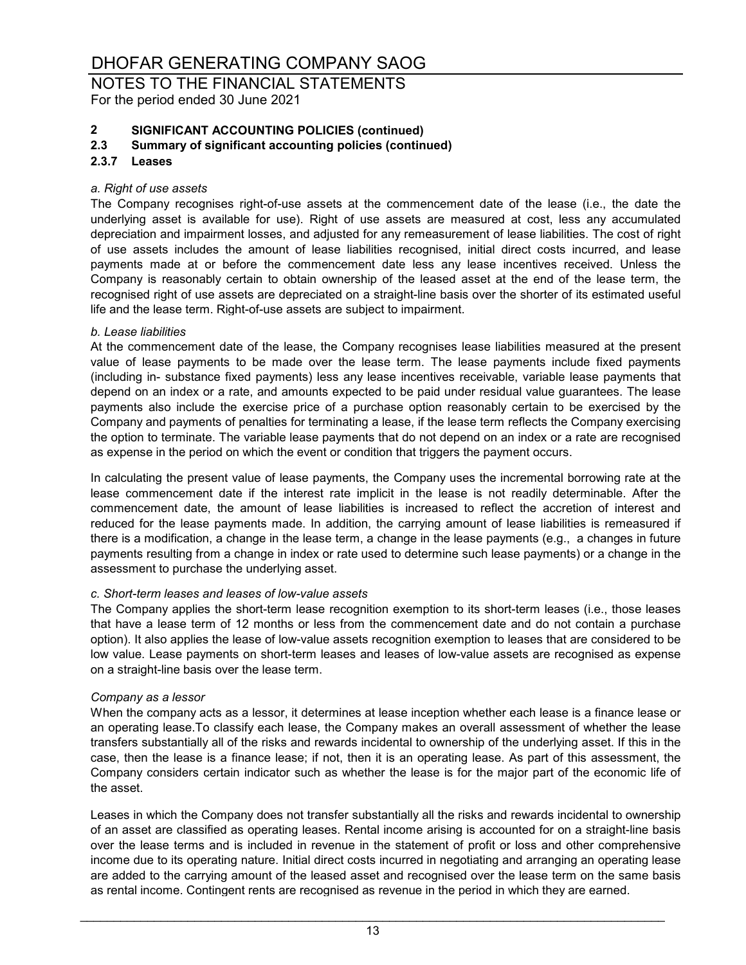NOTES TO THE FINANCIAL STATEMENTS For the period ended 30 June 2021

# **2 SIGNIFICANT ACCOUNTING POLICIES (continued)**

### **2.3 Summary of significant accounting policies (continued)**

### **2.3.7 Leases**

### *a. Right of use assets*

The Company recognises right-of-use assets at the commencement date of the lease (i.e., the date the underlying asset is available for use). Right of use assets are measured at cost, less any accumulated depreciation and impairment losses, and adjusted for any remeasurement of lease liabilities. The cost of right of use assets includes the amount of lease liabilities recognised, initial direct costs incurred, and lease payments made at or before the commencement date less any lease incentives received. Unless the Company is reasonably certain to obtain ownership of the leased asset at the end of the lease term, the recognised right of use assets are depreciated on a straight-line basis over the shorter of its estimated useful life and the lease term. Right-of-use assets are subject to impairment.

### *b. Lease liabilities*

At the commencement date of the lease, the Company recognises lease liabilities measured at the present value of lease payments to be made over the lease term. The lease payments include fixed payments (including in- substance fixed payments) less any lease incentives receivable, variable lease payments that depend on an index or a rate, and amounts expected to be paid under residual value guarantees. The lease payments also include the exercise price of a purchase option reasonably certain to be exercised by the Company and payments of penalties for terminating a lease, if the lease term reflects the Company exercising the option to terminate. The variable lease payments that do not depend on an index or a rate are recognised as expense in the period on which the event or condition that triggers the payment occurs.

In calculating the present value of lease payments, the Company uses the incremental borrowing rate at the lease commencement date if the interest rate implicit in the lease is not readily determinable. After the commencement date, the amount of lease liabilities is increased to reflect the accretion of interest and reduced for the lease payments made. In addition, the carrying amount of lease liabilities is remeasured if there is a modification, a change in the lease term, a change in the lease payments (e.g., a changes in future payments resulting from a change in index or rate used to determine such lease payments) or a change in the assessment to purchase the underlying asset.

### *c. Short-term leases and leases of low-value assets*

The Company applies the short-term lease recognition exemption to its short-term leases (i.e., those leases that have a lease term of 12 months or less from the commencement date and do not contain a purchase option). It also applies the lease of low-value assets recognition exemption to leases that are considered to be low value. Lease payments on short-term leases and leases of low-value assets are recognised as expense on a straight-line basis over the lease term.

### *Company as a lessor*

When the company acts as a lessor, it determines at lease inception whether each lease is a finance lease or an operating lease.To classify each lease, the Company makes an overall assessment of whether the lease transfers substantially all of the risks and rewards incidental to ownership of the underlying asset. If this in the case, then the lease is a finance lease; if not, then it is an operating lease. As part of this assessment, the Company considers certain indicator such as whether the lease is for the major part of the economic life of the asset.

Leases in which the Company does not transfer substantially all the risks and rewards incidental to ownership of an asset are classified as operating leases. Rental income arising is accounted for on a straight-line basis over the lease terms and is included in revenue in the statement of profit or loss and other comprehensive income due to its operating nature. Initial direct costs incurred in negotiating and arranging an operating lease are added to the carrying amount of the leased asset and recognised over the lease term on the same basis as rental income. Contingent rents are recognised as revenue in the period in which they are earned.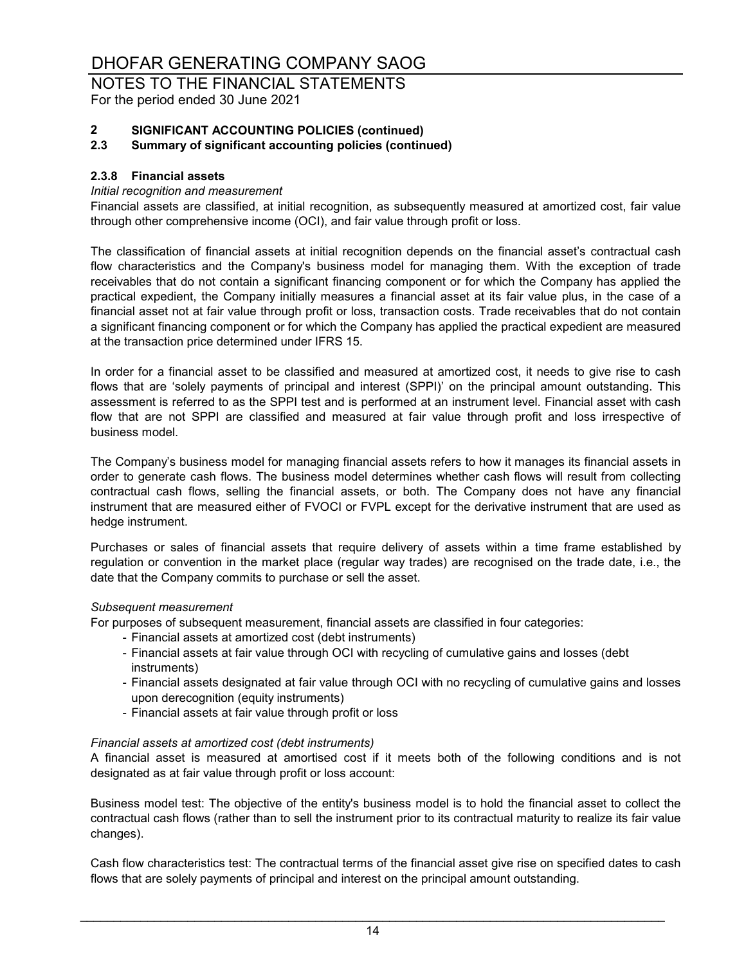# NOTES TO THE FINANCIAL STATEMENTS

For the period ended 30 June 2021

# **2 SIGNIFICANT ACCOUNTING POLICIES (continued)**

### **2.3 Summary of significant accounting policies (continued)**

### **2.3.8 Financial assets**

### *Initial recognition and measurement*

Financial assets are classified, at initial recognition, as subsequently measured at amortized cost, fair value through other comprehensive income (OCI), and fair value through profit or loss.

The classification of financial assets at initial recognition depends on the financial asset's contractual cash flow characteristics and the Company's business model for managing them. With the exception of trade receivables that do not contain a significant financing component or for which the Company has applied the practical expedient, the Company initially measures a financial asset at its fair value plus, in the case of a financial asset not at fair value through profit or loss, transaction costs. Trade receivables that do not contain a significant financing component or for which the Company has applied the practical expedient are measured at the transaction price determined under IFRS 15.

In order for a financial asset to be classified and measured at amortized cost, it needs to give rise to cash flows that are 'solely payments of principal and interest (SPPI)' on the principal amount outstanding. This assessment is referred to as the SPPI test and is performed at an instrument level. Financial asset with cash flow that are not SPPI are classified and measured at fair value through profit and loss irrespective of business model.

The Company's business model for managing financial assets refers to how it manages its financial assets in order to generate cash flows. The business model determines whether cash flows will result from collecting contractual cash flows, selling the financial assets, or both. The Company does not have any financial instrument that are measured either of FVOCI or FVPL except for the derivative instrument that are used as hedge instrument.

Purchases or sales of financial assets that require delivery of assets within a time frame established by regulation or convention in the market place (regular way trades) are recognised on the trade date, i.e., the date that the Company commits to purchase or sell the asset.

### *Subsequent measurement*

For purposes of subsequent measurement, financial assets are classified in four categories:

- Financial assets at amortized cost (debt instruments)
- Financial assets at fair value through OCI with recycling of cumulative gains and losses (debt instruments)
- Financial assets designated at fair value through OCI with no recycling of cumulative gains and losses upon derecognition (equity instruments)
- Financial assets at fair value through profit or loss

### *Financial assets at amortized cost (debt instruments)*

A financial asset is measured at amortised cost if it meets both of the following conditions and is not designated as at fair value through profit or loss account:

Business model test: The objective of the entity's business model is to hold the financial asset to collect the contractual cash flows (rather than to sell the instrument prior to its contractual maturity to realize its fair value changes).

Cash flow characteristics test: The contractual terms of the financial asset give rise on specified dates to cash flows that are solely payments of principal and interest on the principal amount outstanding.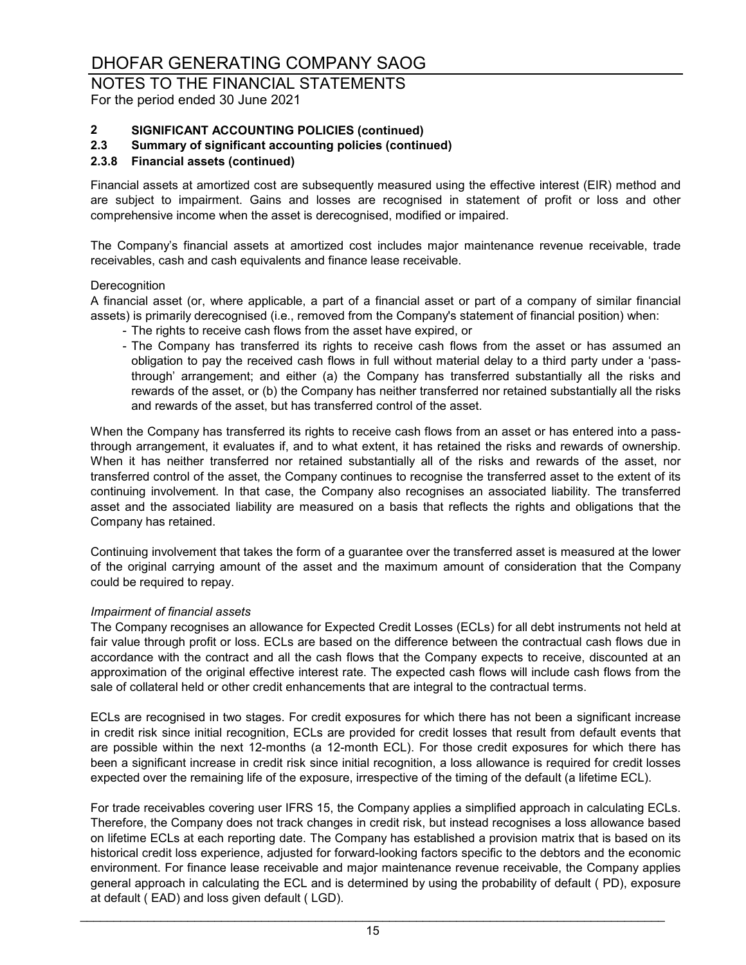## NOTES TO THE FINANCIAL STATEMENTS

For the period ended 30 June 2021

## **2 SIGNIFICANT ACCOUNTING POLICIES (continued)**

### **2.3 Summary of significant accounting policies (continued)**

### **2.3.8 Financial assets (continued)**

Financial assets at amortized cost are subsequently measured using the effective interest (EIR) method and are subject to impairment. Gains and losses are recognised in statement of profit or loss and other comprehensive income when the asset is derecognised, modified or impaired.

The Company's financial assets at amortized cost includes major maintenance revenue receivable, trade receivables, cash and cash equivalents and finance lease receivable.

### **Derecognition**

A financial asset (or, where applicable, a part of a financial asset or part of a company of similar financial assets) is primarily derecognised (i.e., removed from the Company's statement of financial position) when:

- The rights to receive cash flows from the asset have expired, or
- The Company has transferred its rights to receive cash flows from the asset or has assumed an obligation to pay the received cash flows in full without material delay to a third party under a 'passthrough' arrangement; and either (a) the Company has transferred substantially all the risks and rewards of the asset, or (b) the Company has neither transferred nor retained substantially all the risks and rewards of the asset, but has transferred control of the asset.

When the Company has transferred its rights to receive cash flows from an asset or has entered into a passthrough arrangement, it evaluates if, and to what extent, it has retained the risks and rewards of ownership. When it has neither transferred nor retained substantially all of the risks and rewards of the asset, nor transferred control of the asset, the Company continues to recognise the transferred asset to the extent of its continuing involvement. In that case, the Company also recognises an associated liability. The transferred asset and the associated liability are measured on a basis that reflects the rights and obligations that the Company has retained.

Continuing involvement that takes the form of a guarantee over the transferred asset is measured at the lower of the original carrying amount of the asset and the maximum amount of consideration that the Company could be required to repay.

### *Impairment of financial assets*

The Company recognises an allowance for Expected Credit Losses (ECLs) for all debt instruments not held at fair value through profit or loss. ECLs are based on the difference between the contractual cash flows due in accordance with the contract and all the cash flows that the Company expects to receive, discounted at an approximation of the original effective interest rate. The expected cash flows will include cash flows from the sale of collateral held or other credit enhancements that are integral to the contractual terms.

ECLs are recognised in two stages. For credit exposures for which there has not been a significant increase in credit risk since initial recognition, ECLs are provided for credit losses that result from default events that are possible within the next 12-months (a 12-month ECL). For those credit exposures for which there has been a significant increase in credit risk since initial recognition, a loss allowance is required for credit losses expected over the remaining life of the exposure, irrespective of the timing of the default (a lifetime ECL).

For trade receivables covering user IFRS 15, the Company applies a simplified approach in calculating ECLs. Therefore, the Company does not track changes in credit risk, but instead recognises a loss allowance based on lifetime ECLs at each reporting date. The Company has established a provision matrix that is based on its historical credit loss experience, adjusted for forward-looking factors specific to the debtors and the economic environment. For finance lease receivable and major maintenance revenue receivable, the Company applies general approach in calculating the ECL and is determined by using the probability of default ( PD), exposure at default ( EAD) and loss given default ( LGD).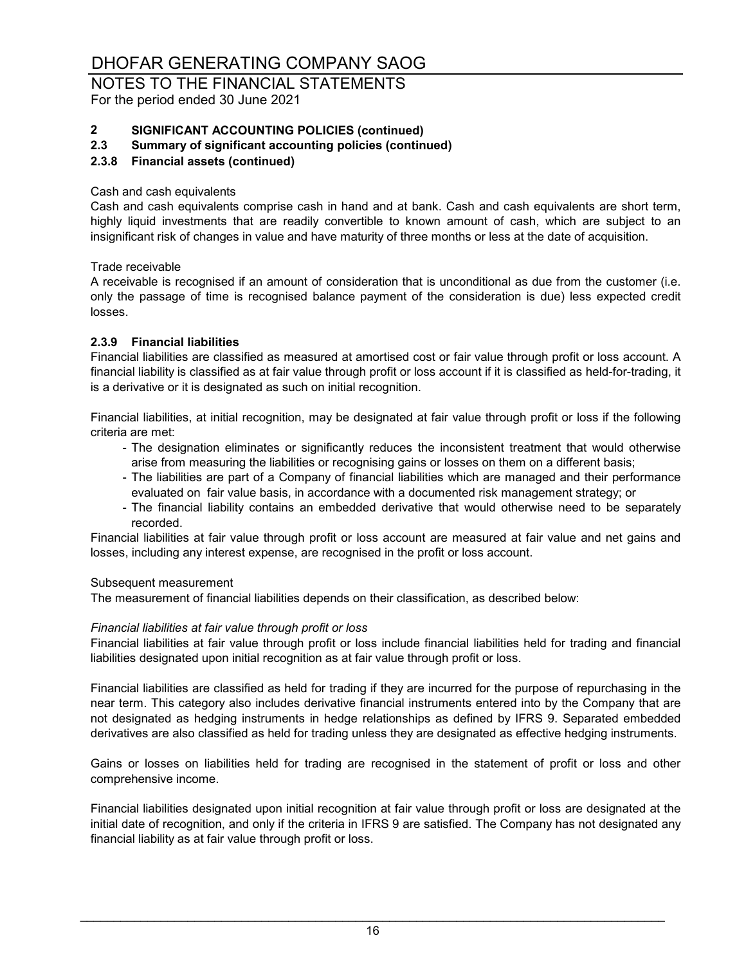# NOTES TO THE FINANCIAL STATEMENTS

For the period ended 30 June 2021

## **2 SIGNIFICANT ACCOUNTING POLICIES (continued)**

### **2.3 Summary of significant accounting policies (continued)**

### **2.3.8 Financial assets (continued)**

### Cash and cash equivalents

Cash and cash equivalents comprise cash in hand and at bank. Cash and cash equivalents are short term, highly liquid investments that are readily convertible to known amount of cash, which are subject to an insignificant risk of changes in value and have maturity of three months or less at the date of acquisition.

Trade receivable

A receivable is recognised if an amount of consideration that is unconditional as due from the customer (i.e. only the passage of time is recognised balance payment of the consideration is due) less expected credit losses.

### **2.3.9 Financial liabilities**

Financial liabilities are classified as measured at amortised cost or fair value through profit or loss account. A financial liability is classified as at fair value through profit or loss account if it is classified as held-for-trading, it is a derivative or it is designated as such on initial recognition.

Financial liabilities, at initial recognition, may be designated at fair value through profit or loss if the following criteria are met:

- The designation eliminates or significantly reduces the inconsistent treatment that would otherwise arise from measuring the liabilities or recognising gains or losses on them on a different basis;
- The liabilities are part of a Company of financial liabilities which are managed and their performance evaluated on fair value basis, in accordance with a documented risk management strategy; or
- The financial liability contains an embedded derivative that would otherwise need to be separately recorded.

Financial liabilities at fair value through profit or loss account are measured at fair value and net gains and losses, including any interest expense, are recognised in the profit or loss account.

### Subsequent measurement

The measurement of financial liabilities depends on their classification, as described below:

### *Financial liabilities at fair value through profit or loss*

Financial liabilities at fair value through profit or loss include financial liabilities held for trading and financial liabilities designated upon initial recognition as at fair value through profit or loss.

Financial liabilities are classified as held for trading if they are incurred for the purpose of repurchasing in the near term. This category also includes derivative financial instruments entered into by the Company that are not designated as hedging instruments in hedge relationships as defined by IFRS 9. Separated embedded derivatives are also classified as held for trading unless they are designated as effective hedging instruments.

Gains or losses on liabilities held for trading are recognised in the statement of profit or loss and other comprehensive income.

Financial liabilities designated upon initial recognition at fair value through profit or loss are designated at the initial date of recognition, and only if the criteria in IFRS 9 are satisfied. The Company has not designated any financial liability as at fair value through profit or loss.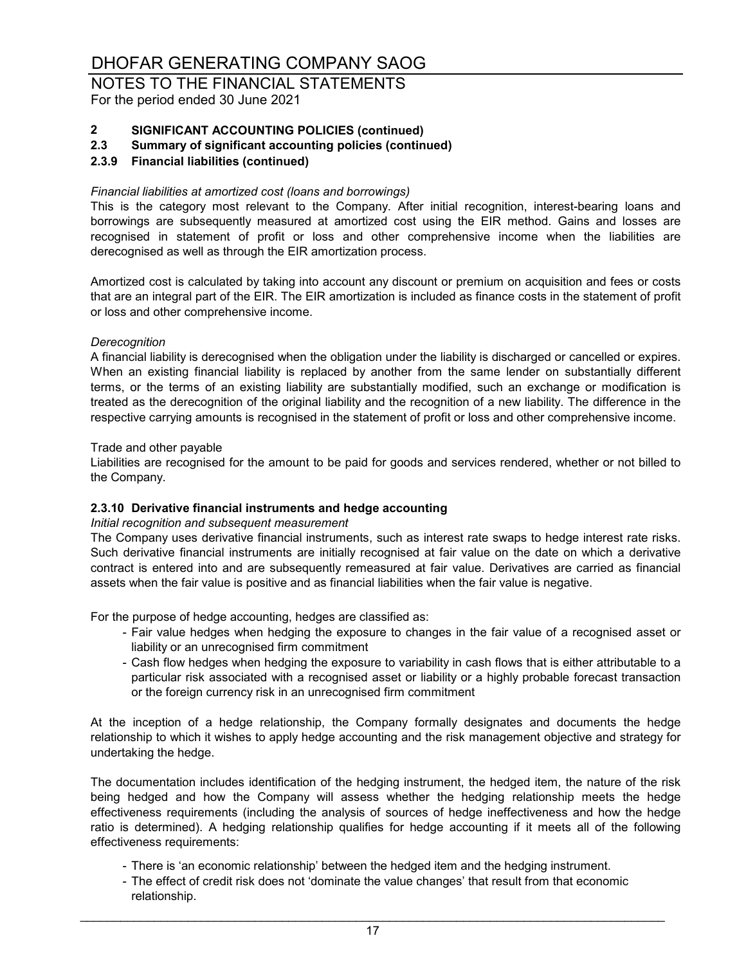# NOTES TO THE FINANCIAL STATEMENTS

For the period ended 30 June 2021

# **2 SIGNIFICANT ACCOUNTING POLICIES (continued)**

**2.3 Summary of significant accounting policies (continued)**

### **2.3.9 Financial liabilities (continued)**

### *Financial liabilities at amortized cost (loans and borrowings)*

This is the category most relevant to the Company. After initial recognition, interest-bearing loans and borrowings are subsequently measured at amortized cost using the EIR method. Gains and losses are recognised in statement of profit or loss and other comprehensive income when the liabilities are derecognised as well as through the EIR amortization process.

Amortized cost is calculated by taking into account any discount or premium on acquisition and fees or costs that are an integral part of the EIR. The EIR amortization is included as finance costs in the statement of profit or loss and other comprehensive income.

### *Derecognition*

A financial liability is derecognised when the obligation under the liability is discharged or cancelled or expires. When an existing financial liability is replaced by another from the same lender on substantially different terms, or the terms of an existing liability are substantially modified, such an exchange or modification is treated as the derecognition of the original liability and the recognition of a new liability. The difference in the respective carrying amounts is recognised in the statement of profit or loss and other comprehensive income.

### Trade and other payable

Liabilities are recognised for the amount to be paid for goods and services rendered, whether or not billed to the Company.

### **2.3.10 Derivative financial instruments and hedge accounting**

### *Initial recognition and subsequent measurement*

The Company uses derivative financial instruments, such as interest rate swaps to hedge interest rate risks. Such derivative financial instruments are initially recognised at fair value on the date on which a derivative contract is entered into and are subsequently remeasured at fair value. Derivatives are carried as financial assets when the fair value is positive and as financial liabilities when the fair value is negative.

For the purpose of hedge accounting, hedges are classified as:

- Fair value hedges when hedging the exposure to changes in the fair value of a recognised asset or liability or an unrecognised firm commitment
- Cash flow hedges when hedging the exposure to variability in cash flows that is either attributable to a particular risk associated with a recognised asset or liability or a highly probable forecast transaction or the foreign currency risk in an unrecognised firm commitment

At the inception of a hedge relationship, the Company formally designates and documents the hedge relationship to which it wishes to apply hedge accounting and the risk management objective and strategy for undertaking the hedge.

The documentation includes identification of the hedging instrument, the hedged item, the nature of the risk being hedged and how the Company will assess whether the hedging relationship meets the hedge effectiveness requirements (including the analysis of sources of hedge ineffectiveness and how the hedge ratio is determined). A hedging relationship qualifies for hedge accounting if it meets all of the following effectiveness requirements:

- There is 'an economic relationship' between the hedged item and the hedging instrument.
- The effect of credit risk does not 'dominate the value changes' that result from that economic relationship.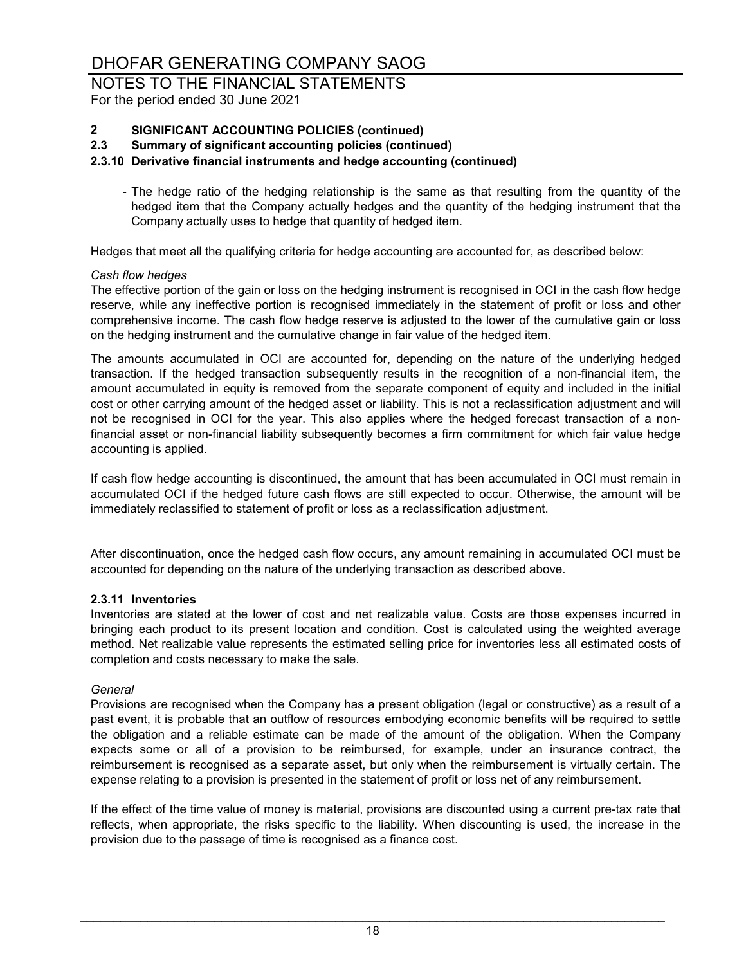# NOTES TO THE FINANCIAL STATEMENTS

For the period ended 30 June 2021

# **2 SIGNIFICANT ACCOUNTING POLICIES (continued)**

**2.3 Summary of significant accounting policies (continued)**

### **2.3.10 Derivative financial instruments and hedge accounting (continued)**

- The hedge ratio of the hedging relationship is the same as that resulting from the quantity of the hedged item that the Company actually hedges and the quantity of the hedging instrument that the Company actually uses to hedge that quantity of hedged item.

Hedges that meet all the qualifying criteria for hedge accounting are accounted for, as described below:

### *Cash flow hedges*

The effective portion of the gain or loss on the hedging instrument is recognised in OCI in the cash flow hedge reserve, while any ineffective portion is recognised immediately in the statement of profit or loss and other comprehensive income. The cash flow hedge reserve is adjusted to the lower of the cumulative gain or loss on the hedging instrument and the cumulative change in fair value of the hedged item.

The amounts accumulated in OCI are accounted for, depending on the nature of the underlying hedged transaction. If the hedged transaction subsequently results in the recognition of a non-financial item, the amount accumulated in equity is removed from the separate component of equity and included in the initial cost or other carrying amount of the hedged asset or liability. This is not a reclassification adjustment and will not be recognised in OCI for the year. This also applies where the hedged forecast transaction of a nonfinancial asset or non-financial liability subsequently becomes a firm commitment for which fair value hedge accounting is applied.

If cash flow hedge accounting is discontinued, the amount that has been accumulated in OCI must remain in accumulated OCI if the hedged future cash flows are still expected to occur. Otherwise, the amount will be immediately reclassified to statement of profit or loss as a reclassification adjustment.

After discontinuation, once the hedged cash flow occurs, any amount remaining in accumulated OCI must be accounted for depending on the nature of the underlying transaction as described above.

### **2.3.11 Inventories**

Inventories are stated at the lower of cost and net realizable value. Costs are those expenses incurred in bringing each product to its present location and condition. Cost is calculated using the weighted average method. Net realizable value represents the estimated selling price for inventories less all estimated costs of completion and costs necessary to make the sale.

### *General*

Provisions are recognised when the Company has a present obligation (legal or constructive) as a result of a past event, it is probable that an outflow of resources embodying economic benefits will be required to settle the obligation and a reliable estimate can be made of the amount of the obligation. When the Company expects some or all of a provision to be reimbursed, for example, under an insurance contract, the reimbursement is recognised as a separate asset, but only when the reimbursement is virtually certain. The expense relating to a provision is presented in the statement of profit or loss net of any reimbursement.

If the effect of the time value of money is material, provisions are discounted using a current pre-tax rate that reflects, when appropriate, the risks specific to the liability. When discounting is used, the increase in the provision due to the passage of time is recognised as a finance cost.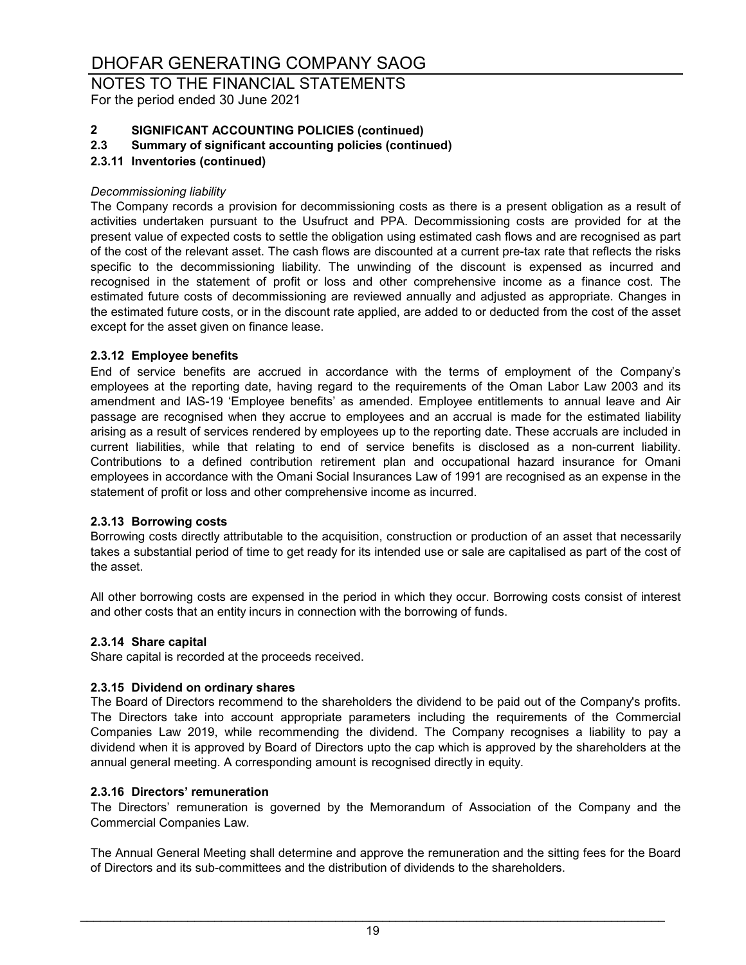### NOTES TO THE FINANCIAL STATEMENTS For the period ended 30 June 2021

# **2 SIGNIFICANT ACCOUNTING POLICIES (continued)**

### **2.3 Summary of significant accounting policies (continued)**

### **2.3.11 Inventories (continued)**

### *Decommissioning liability*

The Company records a provision for decommissioning costs as there is a present obligation as a result of activities undertaken pursuant to the Usufruct and PPA. Decommissioning costs are provided for at the present value of expected costs to settle the obligation using estimated cash flows and are recognised as part of the cost of the relevant asset. The cash flows are discounted at a current pre-tax rate that reflects the risks specific to the decommissioning liability. The unwinding of the discount is expensed as incurred and recognised in the statement of profit or loss and other comprehensive income as a finance cost. The estimated future costs of decommissioning are reviewed annually and adjusted as appropriate. Changes in the estimated future costs, or in the discount rate applied, are added to or deducted from the cost of the asset except for the asset given on finance lease.

### **2.3.12 Employee benefits**

End of service benefits are accrued in accordance with the terms of employment of the Company's employees at the reporting date, having regard to the requirements of the Oman Labor Law 2003 and its amendment and IAS-19 'Employee benefits' as amended. Employee entitlements to annual leave and Air passage are recognised when they accrue to employees and an accrual is made for the estimated liability arising as a result of services rendered by employees up to the reporting date. These accruals are included in current liabilities, while that relating to end of service benefits is disclosed as a non-current liability. Contributions to a defined contribution retirement plan and occupational hazard insurance for Omani employees in accordance with the Omani Social Insurances Law of 1991 are recognised as an expense in the statement of profit or loss and other comprehensive income as incurred.

### **2.3.13 Borrowing costs**

Borrowing costs directly attributable to the acquisition, construction or production of an asset that necessarily takes a substantial period of time to get ready for its intended use or sale are capitalised as part of the cost of the asset.

All other borrowing costs are expensed in the period in which they occur. Borrowing costs consist of interest and other costs that an entity incurs in connection with the borrowing of funds.

### **2.3.14 Share capital**

Share capital is recorded at the proceeds received.

### **2.3.15 Dividend on ordinary shares**

The Board of Directors recommend to the shareholders the dividend to be paid out of the Company's profits. The Directors take into account appropriate parameters including the requirements of the Commercial Companies Law 2019, while recommending the dividend. The Company recognises a liability to pay a dividend when it is approved by Board of Directors upto the cap which is approved by the shareholders at the annual general meeting. A corresponding amount is recognised directly in equity.

### **2.3.16 Directors' remuneration**

The Directors' remuneration is governed by the Memorandum of Association of the Company and the Commercial Companies Law.

The Annual General Meeting shall determine and approve the remuneration and the sitting fees for the Board of Directors and its sub-committees and the distribution of dividends to the shareholders.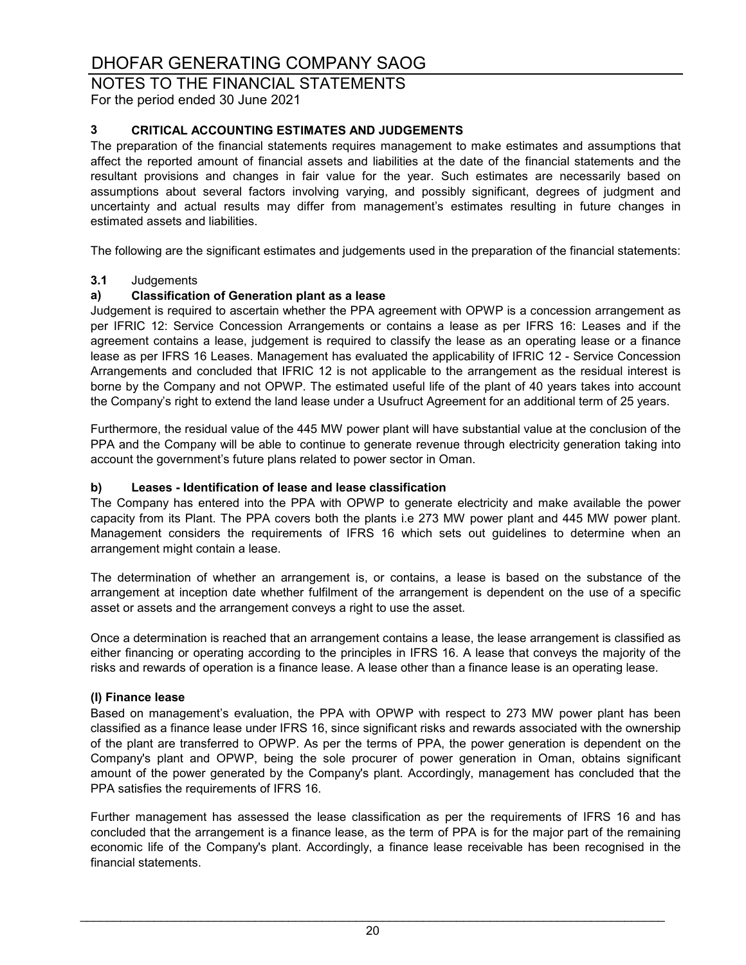### NOTES TO THE FINANCIAL STATEMENTS

For the period ended 30 June 2021

### **3 CRITICAL ACCOUNTING ESTIMATES AND JUDGEMENTS**

The preparation of the financial statements requires management to make estimates and assumptions that affect the reported amount of financial assets and liabilities at the date of the financial statements and the resultant provisions and changes in fair value for the year. Such estimates are necessarily based on assumptions about several factors involving varying, and possibly significant, degrees of judgment and uncertainty and actual results may differ from management's estimates resulting in future changes in estimated assets and liabilities.

The following are the significant estimates and judgements used in the preparation of the financial statements:

# **3.1** Judgements

### **a) Classification of Generation plant as a lease**

Judgement is required to ascertain whether the PPA agreement with OPWP is a concession arrangement as per IFRIC 12: Service Concession Arrangements or contains a lease as per IFRS 16: Leases and if the agreement contains a lease, judgement is required to classify the lease as an operating lease or a finance lease as per IFRS 16 Leases. Management has evaluated the applicability of IFRIC 12 - Service Concession Arrangements and concluded that IFRIC 12 is not applicable to the arrangement as the residual interest is borne by the Company and not OPWP. The estimated useful life of the plant of 40 years takes into account the Company's right to extend the land lease under a Usufruct Agreement for an additional term of 25 years.

Furthermore, the residual value of the 445 MW power plant will have substantial value at the conclusion of the PPA and the Company will be able to continue to generate revenue through electricity generation taking into account the government's future plans related to power sector in Oman.

### **b) Leases - Identification of lease and lease classification**

The Company has entered into the PPA with OPWP to generate electricity and make available the power capacity from its Plant. The PPA covers both the plants i.e 273 MW power plant and 445 MW power plant. Management considers the requirements of IFRS 16 which sets out guidelines to determine when an arrangement might contain a lease.

The determination of whether an arrangement is, or contains, a lease is based on the substance of the arrangement at inception date whether fulfilment of the arrangement is dependent on the use of a specific asset or assets and the arrangement conveys a right to use the asset.

Once a determination is reached that an arrangement contains a lease, the lease arrangement is classified as either financing or operating according to the principles in IFRS 16. A lease that conveys the majority of the risks and rewards of operation is a finance lease. A lease other than a finance lease is an operating lease.

### **(I) Finance lease**

Based on management's evaluation, the PPA with OPWP with respect to 273 MW power plant has been classified as a finance lease under IFRS 16, since significant risks and rewards associated with the ownership of the plant are transferred to OPWP. As per the terms of PPA, the power generation is dependent on the Company's plant and OPWP, being the sole procurer of power generation in Oman, obtains significant amount of the power generated by the Company's plant. Accordingly, management has concluded that the PPA satisfies the requirements of IFRS 16.

Further management has assessed the lease classification as per the requirements of IFRS 16 and has concluded that the arrangement is a finance lease, as the term of PPA is for the major part of the remaining economic life of the Company's plant. Accordingly, a finance lease receivable has been recognised in the financial statements.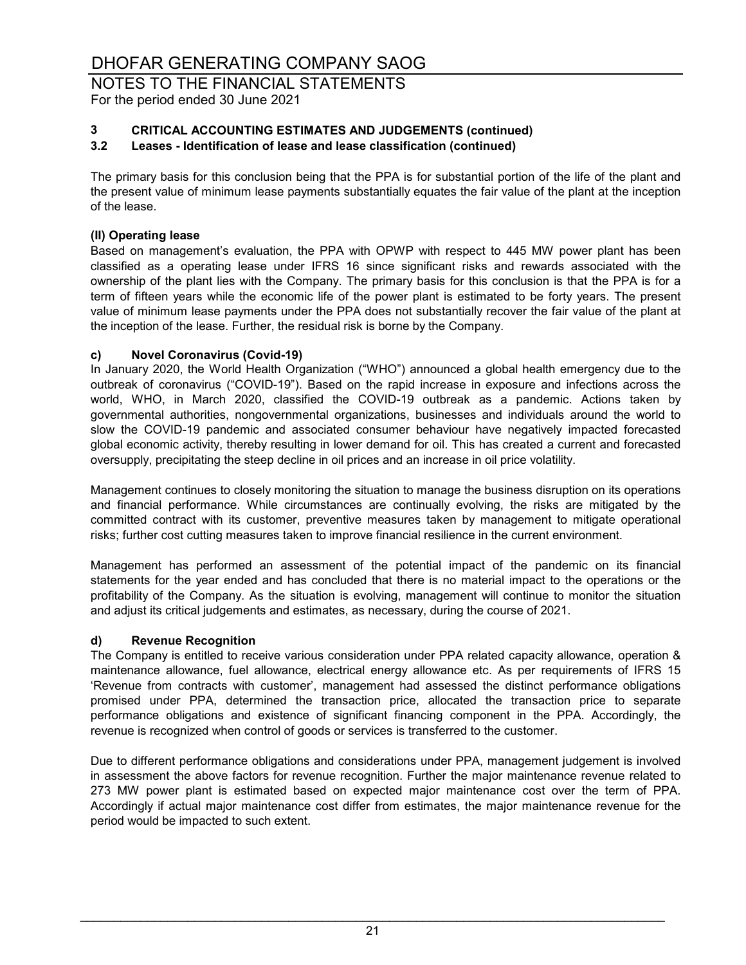## NOTES TO THE FINANCIAL STATEMENTS

For the period ended 30 June 2021

### **3 CRITICAL ACCOUNTING ESTIMATES AND JUDGEMENTS (continued)**

### **3.2 Leases - Identification of lease and lease classification (continued)**

The primary basis for this conclusion being that the PPA is for substantial portion of the life of the plant and the present value of minimum lease payments substantially equates the fair value of the plant at the inception of the lease.

### **(II) Operating lease**

Based on management's evaluation, the PPA with OPWP with respect to 445 MW power plant has been classified as a operating lease under IFRS 16 since significant risks and rewards associated with the ownership of the plant lies with the Company. The primary basis for this conclusion is that the PPA is for a term of fifteen years while the economic life of the power plant is estimated to be forty years. The present value of minimum lease payments under the PPA does not substantially recover the fair value of the plant at the inception of the lease. Further, the residual risk is borne by the Company.

### **c) Novel Coronavirus (Covid-19)**

In January 2020, the World Health Organization ("WHO") announced a global health emergency due to the outbreak of coronavirus ("COVID-19"). Based on the rapid increase in exposure and infections across the world, WHO, in March 2020, classified the COVID-19 outbreak as a pandemic. Actions taken by governmental authorities, nongovernmental organizations, businesses and individuals around the world to slow the COVID-19 pandemic and associated consumer behaviour have negatively impacted forecasted global economic activity, thereby resulting in lower demand for oil. This has created a current and forecasted oversupply, precipitating the steep decline in oil prices and an increase in oil price volatility.

Management continues to closely monitoring the situation to manage the business disruption on its operations and financial performance. While circumstances are continually evolving, the risks are mitigated by the committed contract with its customer, preventive measures taken by management to mitigate operational risks; further cost cutting measures taken to improve financial resilience in the current environment.

Management has performed an assessment of the potential impact of the pandemic on its financial statements for the year ended and has concluded that there is no material impact to the operations or the profitability of the Company. As the situation is evolving, management will continue to monitor the situation and adjust its critical judgements and estimates, as necessary, during the course of 2021.

### **d) Revenue Recognition**

The Company is entitled to receive various consideration under PPA related capacity allowance, operation & maintenance allowance, fuel allowance, electrical energy allowance etc. As per requirements of IFRS 15 'Revenue from contracts with customer', management had assessed the distinct performance obligations promised under PPA, determined the transaction price, allocated the transaction price to separate performance obligations and existence of significant financing component in the PPA. Accordingly, the revenue is recognized when control of goods or services is transferred to the customer.

Due to different performance obligations and considerations under PPA, management judgement is involved in assessment the above factors for revenue recognition. Further the major maintenance revenue related to 273 MW power plant is estimated based on expected major maintenance cost over the term of PPA. Accordingly if actual major maintenance cost differ from estimates, the major maintenance revenue for the period would be impacted to such extent.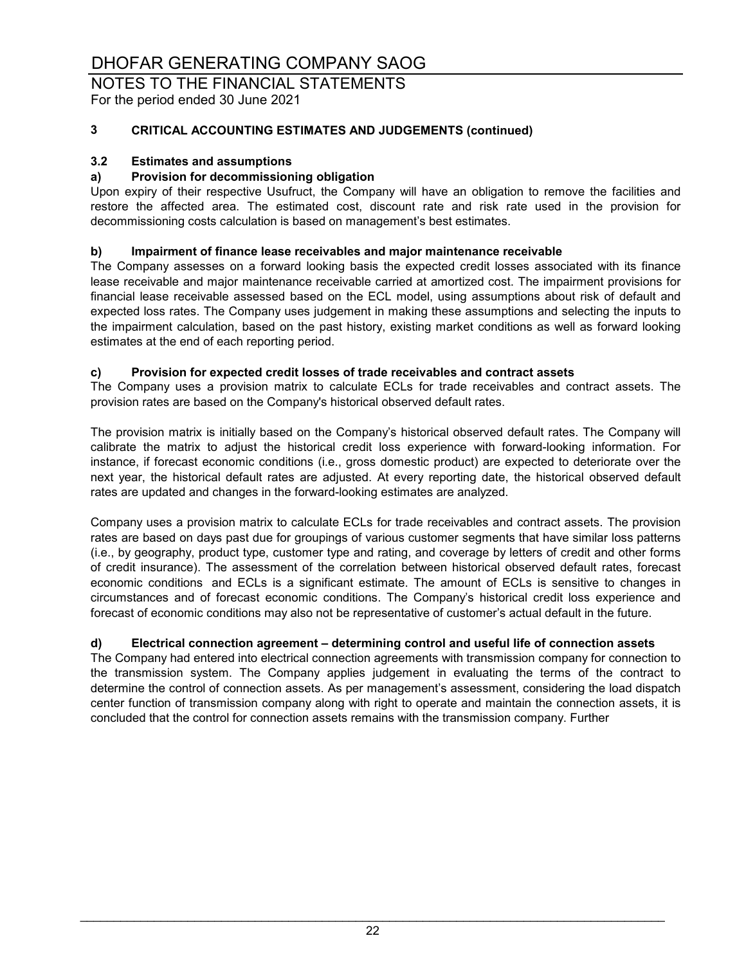## NOTES TO THE FINANCIAL STATEMENTS

For the period ended 30 June 2021

### **3 CRITICAL ACCOUNTING ESTIMATES AND JUDGEMENTS (continued)**

### **3.2 Estimates and assumptions**

### **a) Provision for decommissioning obligation**

Upon expiry of their respective Usufruct, the Company will have an obligation to remove the facilities and restore the affected area. The estimated cost, discount rate and risk rate used in the provision for decommissioning costs calculation is based on management's best estimates.

### **b) Impairment of finance lease receivables and major maintenance receivable**

The Company assesses on a forward looking basis the expected credit losses associated with its finance lease receivable and major maintenance receivable carried at amortized cost. The impairment provisions for financial lease receivable assessed based on the ECL model, using assumptions about risk of default and expected loss rates. The Company uses judgement in making these assumptions and selecting the inputs to the impairment calculation, based on the past history, existing market conditions as well as forward looking estimates at the end of each reporting period.

### **c) Provision for expected credit losses of trade receivables and contract assets**

The Company uses a provision matrix to calculate ECLs for trade receivables and contract assets. The provision rates are based on the Company's historical observed default rates.

The provision matrix is initially based on the Company's historical observed default rates. The Company will calibrate the matrix to adjust the historical credit loss experience with forward-looking information. For instance, if forecast economic conditions (i.e., gross domestic product) are expected to deteriorate over the next year, the historical default rates are adjusted. At every reporting date, the historical observed default rates are updated and changes in the forward-looking estimates are analyzed.

Company uses a provision matrix to calculate ECLs for trade receivables and contract assets. The provision rates are based on days past due for groupings of various customer segments that have similar loss patterns (i.e., by geography, product type, customer type and rating, and coverage by letters of credit and other forms of credit insurance). The assessment of the correlation between historical observed default rates, forecast economic conditions and ECLs is a significant estimate. The amount of ECLs is sensitive to changes in circumstances and of forecast economic conditions. The Company's historical credit loss experience and forecast of economic conditions may also not be representative of customer's actual default in the future.

### **d) Electrical connection agreement – determining control and useful life of connection assets**

The Company had entered into electrical connection agreements with transmission company for connection to the transmission system. The Company applies judgement in evaluating the terms of the contract to determine the control of connection assets. As per management's assessment, considering the load dispatch center function of transmission company along with right to operate and maintain the connection assets, it is concluded that the control for connection assets remains with the transmission company. Further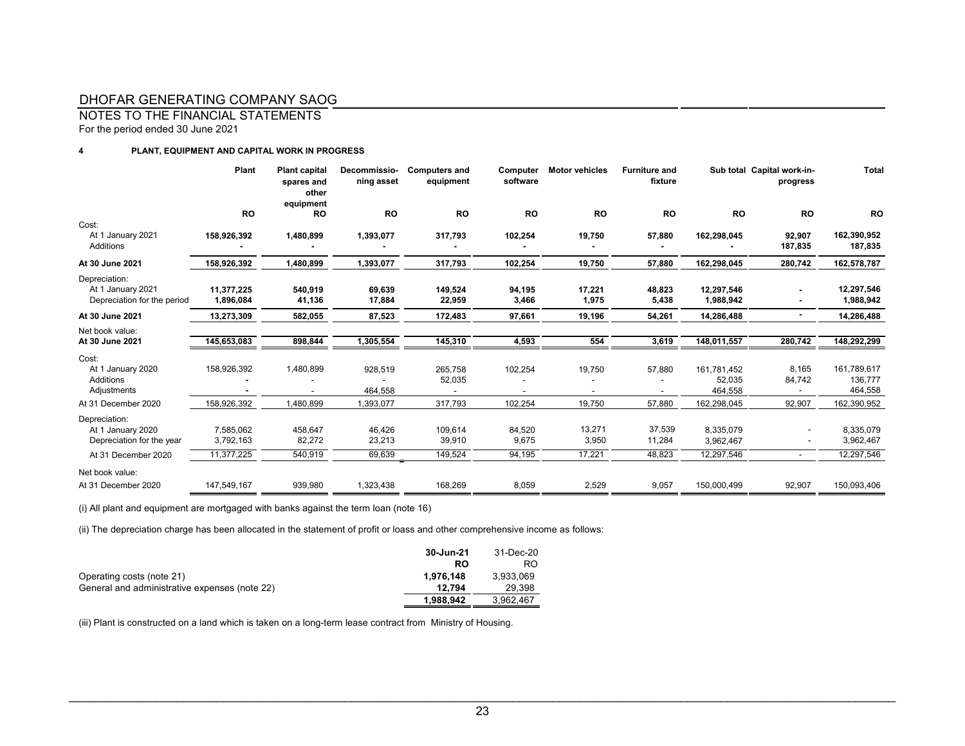NOTES TO THE FINANCIAL STATEMENTS

For the period ended 30 June 2021

#### **4 PLANT, EQUIPMENT AND CAPITAL WORK IN PROGRESS**

|                                                                   | Plant                   | <b>Plant capital</b><br>spares and<br>other<br>equipment | Decommissio-<br>ning asset | <b>Computers and</b><br>equipment | Computer<br>software | <b>Motor vehicles</b> | <b>Furniture and</b><br>fixture |                                  | Sub total Capital work-in-<br>progress | <b>Total</b>                      |
|-------------------------------------------------------------------|-------------------------|----------------------------------------------------------|----------------------------|-----------------------------------|----------------------|-----------------------|---------------------------------|----------------------------------|----------------------------------------|-----------------------------------|
|                                                                   | <b>RO</b>               | <b>RO</b>                                                | <b>RO</b>                  | <b>RO</b>                         | <b>RO</b>            | <b>RO</b>             | <b>RO</b>                       | <b>RO</b>                        | <b>RO</b>                              | <b>RO</b>                         |
| Cost:<br>At 1 January 2021<br><b>Additions</b>                    | 158.926.392             | 1,480,899                                                | 1,393,077                  | 317.793                           | 102,254              | 19,750                | 57,880                          | 162,298,045                      | 92,907<br>187,835                      | 162,390,952<br>187,835            |
| At 30 June 2021                                                   | 158,926,392             | 1,480,899                                                | 1,393,077                  | 317,793                           | 102,254              | 19,750                | 57,880                          | 162,298,045                      | 280,742                                | 162,578,787                       |
| Depreciation:<br>At 1 January 2021<br>Depreciation for the period | 11,377,225<br>1,896,084 | 540,919<br>41,136                                        | 69,639<br>17,884           | 149,524<br>22,959                 | 94,195<br>3,466      | 17,221<br>1,975       | 48,823<br>5,438                 | 12,297,546<br>1,988,942          |                                        | 12,297,546<br>1,988,942           |
| At 30 June 2021                                                   | 13,273,309              | 582,055                                                  | 87,523                     | 172,483                           | 97,661               | 19,196                | 54,261                          | 14,286,488                       |                                        | 14,286,488                        |
| Net book value:<br>At 30 June 2021                                | 145,653,083             | 898,844                                                  | 1,305,554                  | 145,310                           | 4,593                | 554                   | 3,619                           | 148,011,557                      | 280,742                                | 148,292,299                       |
| Cost:<br>At 1 January 2020<br><b>Additions</b><br>Adjustments     | 158,926,392             | 1,480,899                                                | 928,519<br>464,558         | 265,758<br>52,035                 | 102,254              | 19,750                | 57,880                          | 161,781,452<br>52,035<br>464,558 | 8,165<br>84,742                        | 161,789,617<br>136,777<br>464,558 |
| At 31 December 2020                                               | 158,926,392             | 1,480,899                                                | 1,393,077                  | 317,793                           | 102,254              | 19,750                | 57,880                          | 162,298,045                      | 92,907                                 | 162,390,952                       |
| Depreciation:<br>At 1 January 2020<br>Depreciation for the year   | 7,585,062<br>3,792,163  | 458,647<br>82,272                                        | 46,426<br>23,213           | 109,614<br>39,910                 | 84,520<br>9,675      | 13,271<br>3,950       | 37,539<br>11,284                | 8.335.079<br>3,962,467           |                                        | 8,335,079<br>3,962,467            |
| At 31 December 2020                                               | 11,377,225              | 540,919                                                  | 69,639                     | 149,524                           | 94,195               | 17,221                | 48.823                          | 12,297,546                       |                                        | 12,297,546                        |
| Net book value:<br>At 31 December 2020                            | 147,549,167             | 939,980                                                  | 1,323,438                  | 168,269                           | 8,059                | 2,529                 | 9,057                           | 150,000,499                      | 92,907                                 | 150,093,406                       |

(i) All plant and equipment are mortgaged with banks against the term loan (note 16)

(ii) The depreciation charge has been allocated in the statement of profit or loass and other comprehensive income as follows:

|                                               | 30-Jun-21 | 31-Dec-20 |
|-----------------------------------------------|-----------|-----------|
|                                               | RO        | RO        |
| Operating costs (note 21)                     | 1.976.148 | 3.933.069 |
| General and administrative expenses (note 22) | 12.794    | 29.398    |
|                                               | 1.988.942 | 3.962.467 |

(iii) Plant is constructed on a land which is taken on a long-term lease contract from Ministry of Housing.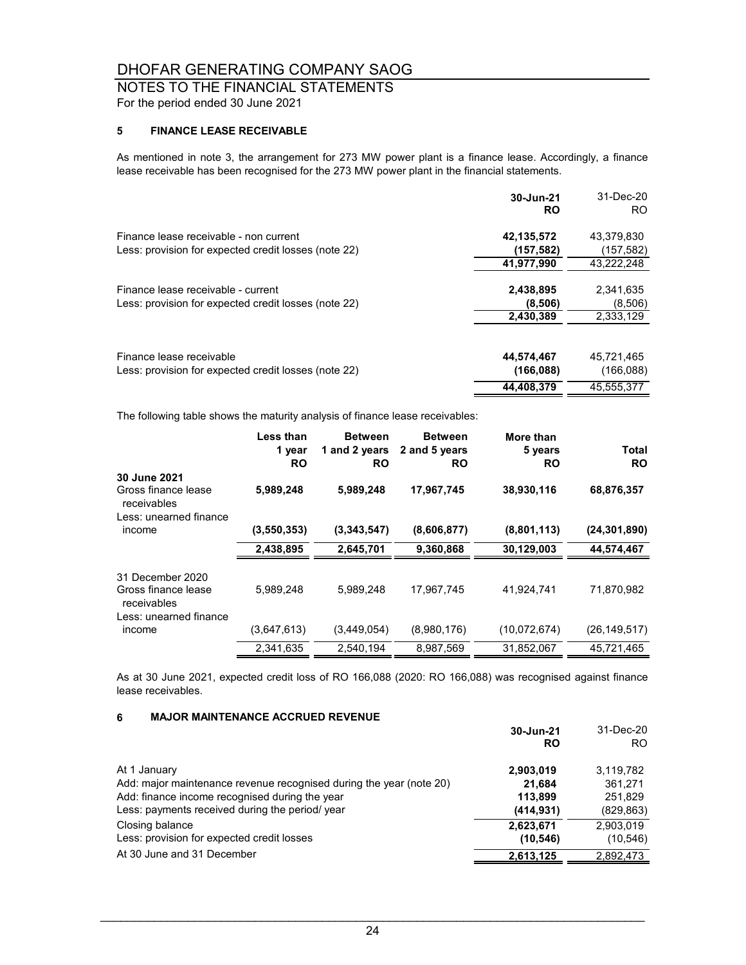### NOTES TO THE FINANCIAL STATEMENTS

For the period ended 30 June 2021

### **5 FINANCE LEASE RECEIVABLE**

As mentioned in note 3, the arrangement for 273 MW power plant is a finance lease. Accordingly, a finance lease receivable has been recognised for the 273 MW power plant in the financial statements.

|                                                                                                | 30-Jun-21<br><b>RO</b>   | 31-Dec-20<br>RO.         |
|------------------------------------------------------------------------------------------------|--------------------------|--------------------------|
| Finance lease receivable - non current<br>Less: provision for expected credit losses (note 22) | 42,135,572<br>(157, 582) | 43,379,830<br>(157, 582) |
|                                                                                                | 41,977,990               | 43,222,248               |
| Finance lease receivable - current<br>Less: provision for expected credit losses (note 22)     | 2,438,895<br>(8,506)     | 2,341,635<br>(8,506)     |
|                                                                                                | 2,430,389                | 2.333.129                |
| Finance lease receivable<br>Less: provision for expected credit losses (note 22)               | 44,574,467<br>(166, 088) | 45,721,465<br>(166, 088) |
|                                                                                                | 44.408.379               | 45.555.377               |

The following table shows the maturity analysis of finance lease receivables:

|                                                        | <b>Less than</b><br>1 year<br><b>RO</b> | <b>Between</b><br>1 and 2 years<br><b>RO</b> | <b>Between</b><br>2 and 5 years<br>RO | More than<br>5 years<br><b>RO</b> | Total<br><b>RO</b> |
|--------------------------------------------------------|-----------------------------------------|----------------------------------------------|---------------------------------------|-----------------------------------|--------------------|
| 30 June 2021                                           |                                         |                                              |                                       |                                   |                    |
| Gross finance lease<br>receivables                     | 5,989,248                               | 5,989,248                                    | 17,967,745                            | 38,930,116                        | 68,876,357         |
| Less: unearned finance                                 |                                         |                                              |                                       |                                   |                    |
| income                                                 | (3,550,353)                             | (3,343,547)                                  | (8,606,877)                           | (8,801,113)                       | (24, 301, 890)     |
|                                                        | 2,438,895                               | 2,645,701                                    | 9,360,868                             | 30,129,003                        | 44,574,467         |
| 31 December 2020<br>Gross finance lease<br>receivables | 5,989,248                               | 5.989.248                                    | 17.967.745                            | 41.924.741                        | 71.870.982         |
| Less: unearned finance<br>income                       | (3,647,613)                             | (3,449,054)                                  | (8,980,176)                           | (10,072,674)                      | (26, 149, 517)     |
|                                                        | 2.341.635                               | 2,540,194                                    | 8,987,569                             | 31,852,067                        | 45,721,465         |

As at 30 June 2021, expected credit loss of RO 166,088 (2020: RO 166,088) was recognised against finance lease receivables.

### **6 MAJOR MAINTENANCE ACCRUED REVENUE**

|                                                                     | 30-Jun-21<br>RO | 31-Dec-20<br>RO. |
|---------------------------------------------------------------------|-----------------|------------------|
| At 1 January                                                        | 2,903,019       | 3,119,782        |
| Add: major maintenance revenue recognised during the year (note 20) | 21.684          | 361.271          |
| Add: finance income recognised during the year                      | 113.899         | 251.829          |
| Less: payments received during the period/ year                     | (414, 931)      | (829, 863)       |
| Closing balance                                                     | 2,623,671       | 2,903,019        |
| Less: provision for expected credit losses                          | (10, 546)       | (10, 546)        |
| At 30 June and 31 December                                          | 2,613,125       | 2,892,473        |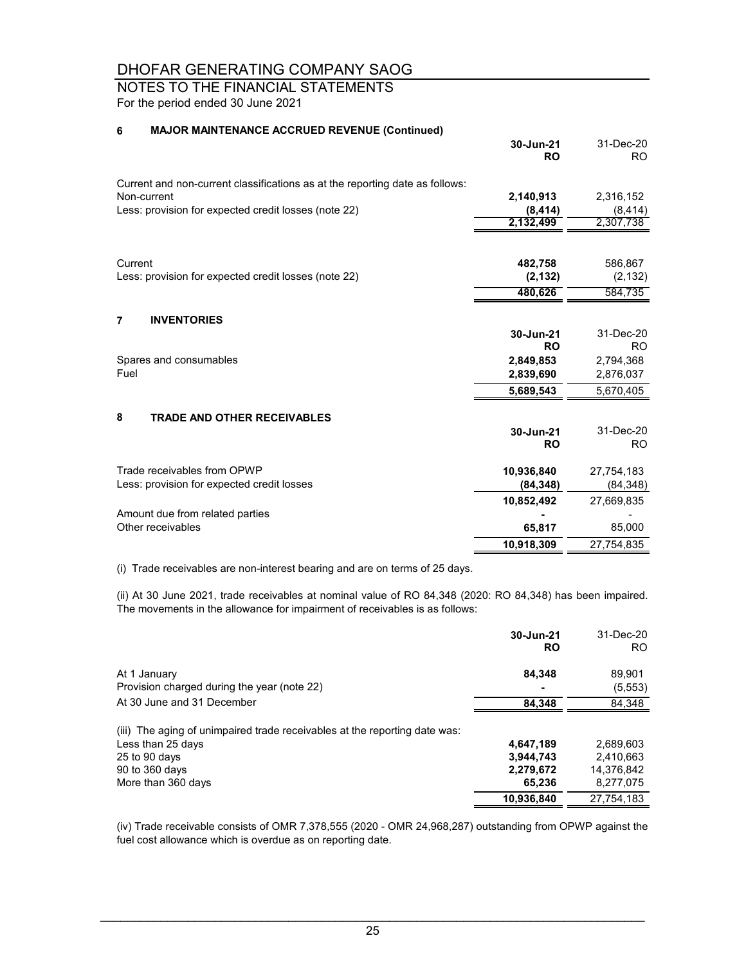### NOTES TO THE FINANCIAL STATEMENTS

For the period ended 30 June 2021

### **6 MAJOR MAINTENANCE ACCRUED REVENUE (Continued)**

|                                                                              | 30-Jun-21<br><b>RO</b> | 31-Dec-20<br>RO. |
|------------------------------------------------------------------------------|------------------------|------------------|
|                                                                              |                        |                  |
| Current and non-current classifications as at the reporting date as follows: |                        |                  |
| Non-current                                                                  | 2,140,913              | 2,316,152        |
| Less: provision for expected credit losses (note 22)                         | (8, 414)               | (8, 414)         |
|                                                                              | 2,132,499              | 2,307,738        |
|                                                                              |                        |                  |
| Current                                                                      | 482,758                | 586,867          |
| Less: provision for expected credit losses (note 22)                         | (2, 132)               | (2, 132)         |
|                                                                              | 480,626                | 584,735          |
| <b>INVENTORIES</b><br>$\overline{7}$                                         |                        |                  |
|                                                                              | 30-Jun-21              | 31-Dec-20        |
|                                                                              | <b>RO</b>              | R <sub>O</sub>   |
| Spares and consumables                                                       | 2,849,853              | 2,794,368        |
| Fuel                                                                         | 2,839,690              | 2,876,037        |
|                                                                              | 5,689,543              | 5,670,405        |
| 8<br><b>TRADE AND OTHER RECEIVABLES</b>                                      |                        |                  |
|                                                                              | 30-Jun-21              | 31-Dec-20        |
|                                                                              | <b>RO</b>              | R <sub>O</sub>   |
|                                                                              |                        |                  |
| Trade receivables from OPWP                                                  | 10,936,840             | 27,754,183       |
| Less: provision for expected credit losses                                   | (84, 348)              | (84, 348)        |
|                                                                              | 10,852,492             | 27,669,835       |
| Amount due from related parties                                              |                        |                  |
| Other receivables                                                            | 65,817                 | 85,000           |
|                                                                              | 10,918,309             | 27,754,835       |

(i) Trade receivables are non-interest bearing and are on terms of 25 days.

(ii) At 30 June 2021, trade receivables at nominal value of RO 84,348 (2020: RO 84,348) has been impaired. The movements in the allowance for impairment of receivables is as follows:

|                                                                                                                                                          | 30-Jun-21<br><b>RO</b>                        | 31-Dec-20<br>RO.                                  |
|----------------------------------------------------------------------------------------------------------------------------------------------------------|-----------------------------------------------|---------------------------------------------------|
| At 1 January<br>Provision charged during the year (note 22)                                                                                              | 84.348                                        | 89.901<br>(5, 553)                                |
| At 30 June and 31 December                                                                                                                               | 84.348                                        | 84,348                                            |
| (iii) The aging of unimpaired trade receivables at the reporting date was:<br>Less than 25 days<br>25 to 90 days<br>90 to 360 days<br>More than 360 days | 4,647,189<br>3,944,743<br>2,279,672<br>65.236 | 2.689.603<br>2.410.663<br>14,376,842<br>8,277,075 |
|                                                                                                                                                          | 10,936,840                                    | 27.754.183                                        |

(iv) Trade receivable consists of OMR 7,378,555 (2020 - OMR 24,968,287) outstanding from OPWP against the fuel cost allowance which is overdue as on reporting date.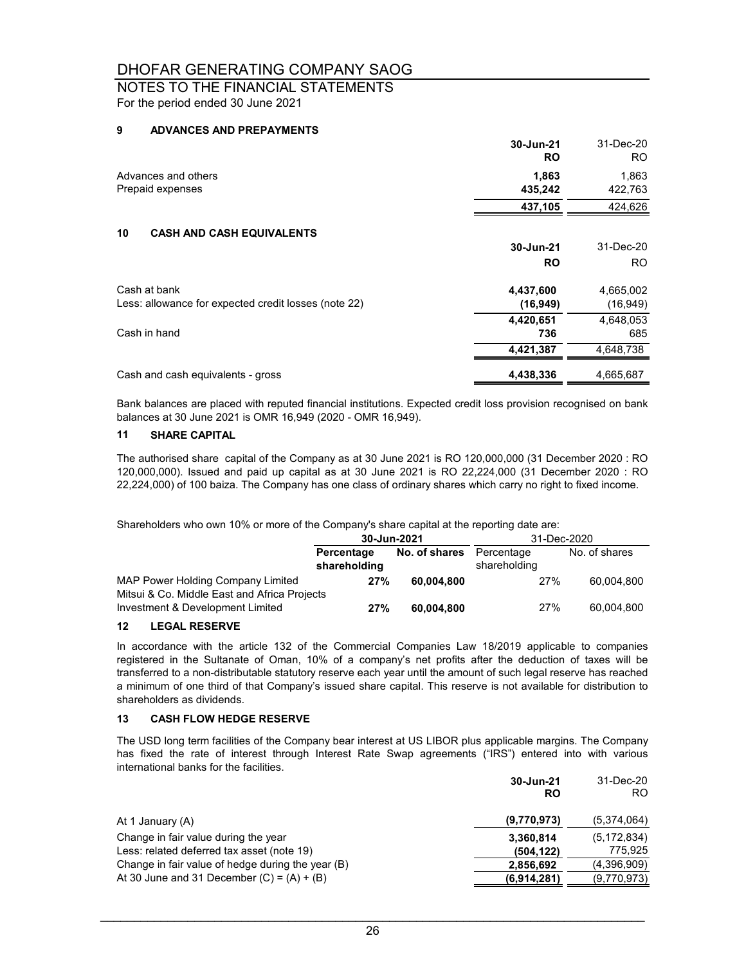### NOTES TO THE FINANCIAL STATEMENTS

For the period ended 30 June 2021

### **9 ADVANCES AND PREPAYMENTS**

|                                                      | 30-Jun-21<br><b>RO</b> | 31-Dec-20<br>RO. |
|------------------------------------------------------|------------------------|------------------|
| Advances and others                                  | 1,863                  | 1,863            |
| Prepaid expenses                                     | 435,242                | 422,763          |
|                                                      | 437,105                | 424,626          |
| 10<br><b>CASH AND CASH EQUIVALENTS</b>               |                        |                  |
|                                                      | 30-Jun-21              | 31-Dec-20        |
|                                                      | <b>RO</b>              | RO.              |
| Cash at bank                                         | 4,437,600              | 4,665,002        |
| Less: allowance for expected credit losses (note 22) | (16, 949)              | (16, 949)        |
|                                                      | 4,420,651              | 4,648,053        |
| Cash in hand                                         | 736                    | 685              |
|                                                      | 4,421,387              | 4,648,738        |
| Cash and cash equivalents - gross                    | 4,438,336              | 4,665,687        |

Bank balances are placed with reputed financial institutions. Expected credit loss provision recognised on bank balances at 30 June 2021 is OMR 16,949 (2020 - OMR 16,949).

#### **11 SHARE CAPITAL**

The authorised share capital of the Company as at 30 June 2021 is RO 120,000,000 (31 December 2020 : RO 120,000,000). Issued and paid up capital as at 30 June 2021 is RO 22,224,000 (31 December 2020 : RO 22,224,000) of 100 baiza. The Company has one class of ordinary shares which carry no right to fixed income.

Shareholders who own 10% or more of the Company's share capital at the reporting date are:

|                                                                                   | 30-Jun-2021                |               | 31-Dec-2020                |               |
|-----------------------------------------------------------------------------------|----------------------------|---------------|----------------------------|---------------|
|                                                                                   | Percentage<br>shareholding | No. of shares | Percentage<br>shareholding | No. of shares |
| MAP Power Holding Company Limited<br>Mitsui & Co. Middle East and Africa Projects | 27%                        | 60.004.800    | 27%                        | 60.004.800    |
| Investment & Development Limited                                                  | 27%                        | 60.004.800    | 27%                        | 60.004.800    |

### **12 LEGAL RESERVE**

In accordance with the article 132 of the Commercial Companies Law 18/2019 applicable to companies registered in the Sultanate of Oman, 10% of a company's net profits after the deduction of taxes will be transferred to a non-distributable statutory reserve each year until the amount of such legal reserve has reached a minimum of one third of that Company's issued share capital. This reserve is not available for distribution to shareholders as dividends.

#### **13 CASH FLOW HEDGE RESERVE**

The USD long term facilities of the Company bear interest at US LIBOR plus applicable margins. The Company has fixed the rate of interest through Interest Rate Swap agreements ("IRS") entered into with various international banks for the facilities.

|                                                   | 30-Jun-21<br>RO | 31-Dec-20<br>RO. |
|---------------------------------------------------|-----------------|------------------|
| At 1 January (A)                                  | (9,770,973)     | (5,374,064)      |
| Change in fair value during the year              | 3,360,814       | (5, 172, 834)    |
| Less: related deferred tax asset (note 19)        | (504, 122)      | 775.925          |
| Change in fair value of hedge during the year (B) | 2,856,692       | (4,396,909)      |
| At 30 June and 31 December $(C) = (A) + (B)$      | (6,914,281)     | (9,770,973)      |
|                                                   |                 |                  |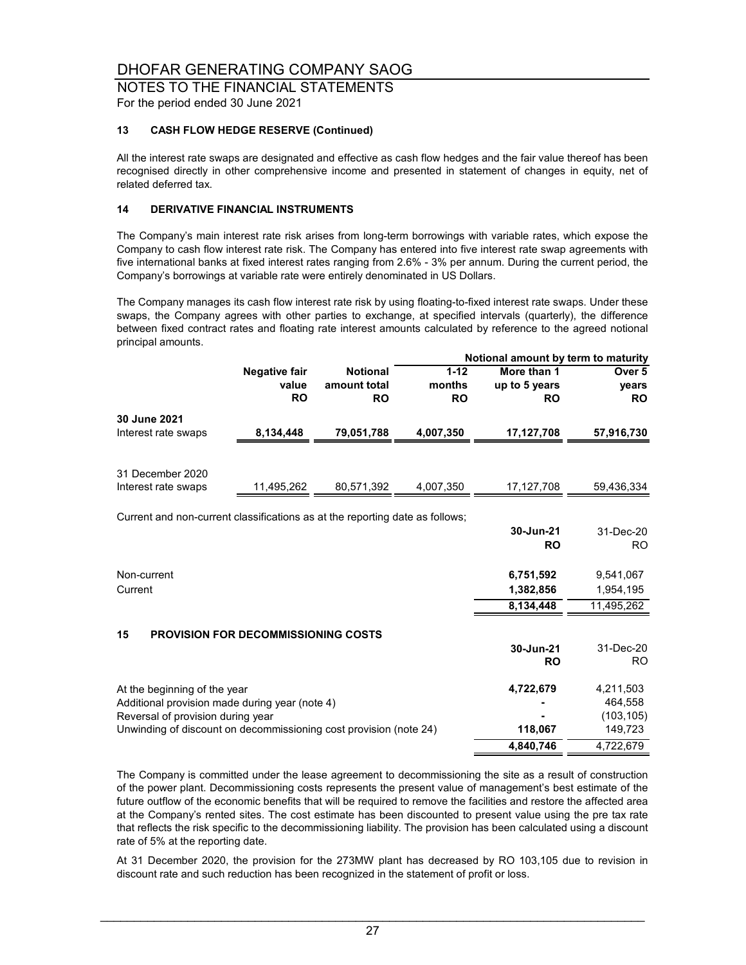### NOTES TO THE FINANCIAL STATEMENTS

For the period ended 30 June 2021

### **13 CASH FLOW HEDGE RESERVE (Continued)**

All the interest rate swaps are designated and effective as cash flow hedges and the fair value thereof has been recognised directly in other comprehensive income and presented in statement of changes in equity, net of related deferred tax.

### **14 DERIVATIVE FINANCIAL INSTRUMENTS**

The Company's main interest rate risk arises from long-term borrowings with variable rates, which expose the Company to cash flow interest rate risk. The Company has entered into five interest rate swap agreements with five international banks at fixed interest rates ranging from 2.6% - 3% per annum. During the current period, the Company's borrowings at variable rate were entirely denominated in US Dollars.

The Company manages its cash flow interest rate risk by using floating-to-fixed interest rate swaps. Under these swaps, the Company agrees with other parties to exchange, at specified intervals (quarterly), the difference between fixed contract rates and floating rate interest amounts calculated by reference to the agreed notional principal amounts.

|                                                                              |                      |                 |           | Notional amount by term to maturity |                   |
|------------------------------------------------------------------------------|----------------------|-----------------|-----------|-------------------------------------|-------------------|
|                                                                              | <b>Negative fair</b> | <b>Notional</b> | $1 - 12$  | More than 1                         | Over <sub>5</sub> |
|                                                                              | value                | amount total    | months    | up to 5 years                       | vears             |
|                                                                              | <b>RO</b>            | <b>RO</b>       | <b>RO</b> | <b>RO</b>                           | <b>RO</b>         |
| 30 June 2021                                                                 |                      |                 |           |                                     |                   |
| Interest rate swaps                                                          | 8,134,448            | 79,051,788      | 4,007,350 | 17,127,708                          | 57,916,730        |
|                                                                              |                      |                 |           |                                     |                   |
| 31 December 2020                                                             |                      |                 |           |                                     |                   |
| Interest rate swaps                                                          | 11,495,262           | 80,571,392      | 4,007,350 | 17,127,708                          | 59,436,334        |
| Current and non-current classifications as at the reporting date as follows; |                      |                 |           |                                     |                   |
|                                                                              |                      |                 |           | 30-Jun-21                           | 31-Dec-20         |
|                                                                              |                      |                 |           | <b>RO</b>                           | <b>RO</b>         |
| Non-current                                                                  |                      |                 |           | 6,751,592                           | 9,541,067         |
| Current                                                                      |                      |                 |           |                                     |                   |
|                                                                              |                      |                 |           | 1,382,856                           | 1,954,195         |
|                                                                              |                      |                 |           | 8,134,448                           | 11,495,262        |
| 15<br><b>PROVISION FOR DECOMMISSIONING COSTS</b>                             |                      |                 |           |                                     |                   |
|                                                                              |                      |                 |           | 30-Jun-21                           | 31-Dec-20         |
|                                                                              |                      |                 |           | <b>RO</b>                           | <b>RO</b>         |
| At the beginning of the year                                                 |                      |                 |           | 4,722,679                           | 4,211,503         |
| Additional provision made during year (note 4)                               |                      |                 |           |                                     | 464,558           |
| Reversal of provision during year                                            |                      |                 |           |                                     | (103, 105)        |
| Unwinding of discount on decommissioning cost provision (note 24)            |                      |                 |           | 118,067                             | 149,723           |
|                                                                              |                      |                 |           | 4,840,746                           | 4,722,679         |

The Company is committed under the lease agreement to decommissioning the site as a result of construction of the power plant. Decommissioning costs represents the present value of management's best estimate of the future outflow of the economic benefits that will be required to remove the facilities and restore the affected area at the Company's rented sites. The cost estimate has been discounted to present value using the pre tax rate that reflects the risk specific to the decommissioning liability. The provision has been calculated using a discount rate of 5% at the reporting date.

At 31 December 2020, the provision for the 273MW plant has decreased by RO 103,105 due to revision in discount rate and such reduction has been recognized in the statement of profit or loss.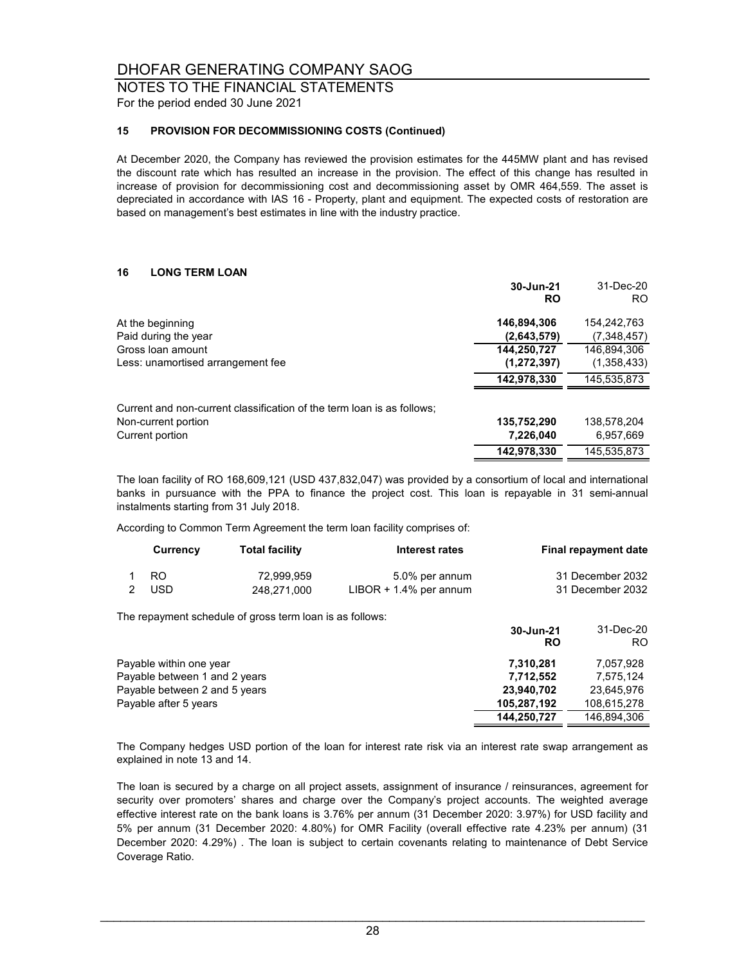### NOTES TO THE FINANCIAL STATEMENTS

For the period ended 30 June 2021

#### **15 PROVISION FOR DECOMMISSIONING COSTS (Continued)**

At December 2020, the Company has reviewed the provision estimates for the 445MW plant and has revised the discount rate which has resulted an increase in the provision. The effect of this change has resulted in increase of provision for decommissioning cost and decommissioning asset by OMR 464,559. The asset is depreciated in accordance with IAS 16 - Property, plant and equipment. The expected costs of restoration are based on management's best estimates in line with the industry practice.

### **16 LONG TERM LOAN**

|                                                                        | 30-Jun-21<br><b>RO</b> | 31-Dec-20<br>RO. |
|------------------------------------------------------------------------|------------------------|------------------|
| At the beginning                                                       | 146,894,306            | 154.242.763      |
| Paid during the year                                                   | (2,643,579)            | (7,348,457)      |
| Gross loan amount                                                      | 144,250,727            | 146,894,306      |
| Less: unamortised arrangement fee                                      | (1, 272, 397)          | (1,358,433)      |
|                                                                        | 142,978,330            | 145,535,873      |
| Current and non-current classification of the term loan is as follows; |                        |                  |
| Non-current portion                                                    | 135,752,290            | 138.578.204      |
| Current portion                                                        | 7,226,040              | 6.957.669        |
|                                                                        | 142,978,330            | 145.535.873      |

The loan facility of RO 168,609,121 (USD 437,832,047) was provided by a consortium of local and international banks in pursuance with the PPA to finance the project cost. This loan is repayable in 31 semi-annual instalments starting from 31 July 2018.

According to Common Term Agreement the term loan facility comprises of:

| Currency | <b>Total facility</b> | Interest rates            | <b>Final repayment date</b> |
|----------|-----------------------|---------------------------|-----------------------------|
| RO.      | 72.999.959            | 5.0% per annum            | 31 December 2032            |
| USD.     | 248.271.000           | $LIBOR + 1.4\%$ per annum | 31 December 2032            |

The repayment schedule of gross term loan is as follows:

|                               | 30-Jun-21<br><b>RO</b> | 31-Dec-20<br>RO. |
|-------------------------------|------------------------|------------------|
| Payable within one year       | 7.310.281              | 7.057.928        |
| Payable between 1 and 2 years | 7.712.552              | 7.575.124        |
| Payable between 2 and 5 years | 23.940.702             | 23.645.976       |
| Payable after 5 years         | 105,287,192            | 108,615,278      |
|                               | 144.250.727            | 146.894.306      |

The Company hedges USD portion of the loan for interest rate risk via an interest rate swap arrangement as explained in note 13 and 14.

The loan is secured by a charge on all project assets, assignment of insurance / reinsurances, agreement for security over promoters' shares and charge over the Company's project accounts. The weighted average effective interest rate on the bank loans is 3.76% per annum (31 December 2020: 3.97%) for USD facility and 5% per annum (31 December 2020: 4.80%) for OMR Facility (overall effective rate 4.23% per annum) (31 December 2020: 4.29%) . The loan is subject to certain covenants relating to maintenance of Debt Service Coverage Ratio.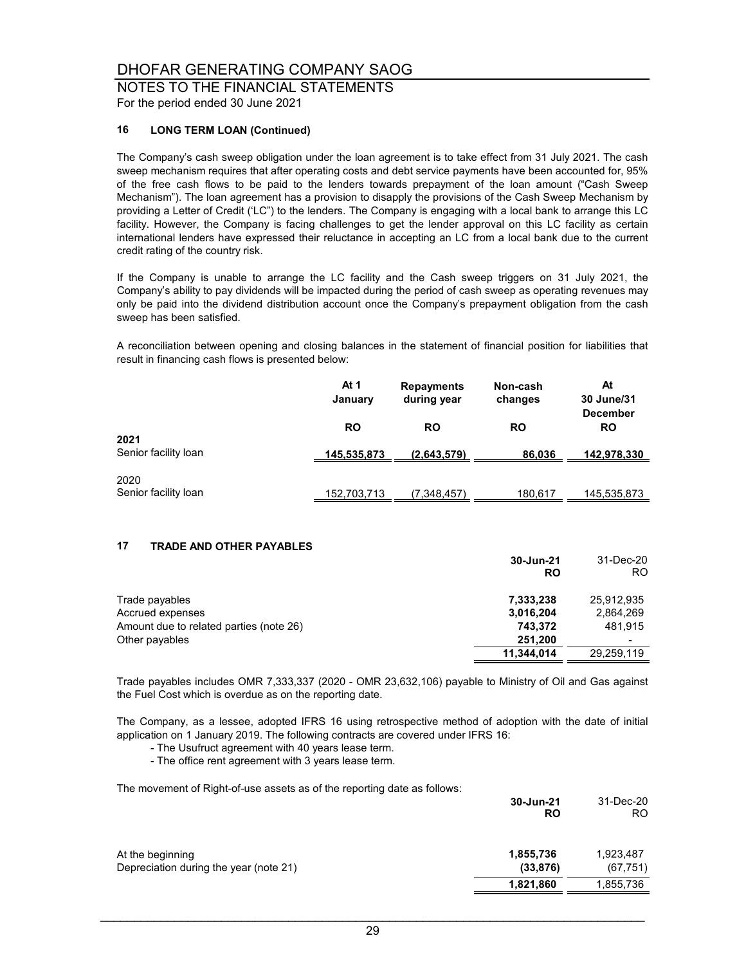### NOTES TO THE FINANCIAL STATEMENTS

For the period ended 30 June 2021

### **16 LONG TERM LOAN (Continued)**

The Company's cash sweep obligation under the loan agreement is to take effect from 31 July 2021. The cash sweep mechanism requires that after operating costs and debt service payments have been accounted for, 95% of the free cash flows to be paid to the lenders towards prepayment of the loan amount ("Cash Sweep Mechanism"). The loan agreement has a provision to disapply the provisions of the Cash Sweep Mechanism by providing a Letter of Credit ('LC") to the lenders. The Company is engaging with a local bank to arrange this LC facility. However, the Company is facing challenges to get the lender approval on this LC facility as certain international lenders have expressed their reluctance in accepting an LC from a local bank due to the current credit rating of the country risk.

If the Company is unable to arrange the LC facility and the Cash sweep triggers on 31 July 2021, the Company's ability to pay dividends will be impacted during the period of cash sweep as operating revenues may only be paid into the dividend distribution account once the Company's prepayment obligation from the cash sweep has been satisfied.

A reconciliation between opening and closing balances in the statement of financial position for liabilities that result in financing cash flows is presented below:

|                              | At 1<br>January | <b>Repayments</b><br>during year | Non-cash<br>changes | At<br>30 June/31<br><b>December</b> |
|------------------------------|-----------------|----------------------------------|---------------------|-------------------------------------|
| 2021                         | <b>RO</b>       | <b>RO</b>                        | <b>RO</b>           | RO                                  |
| Senior facility loan         | 145,535,873     | (2,643,579)                      | 86,036              | 142,978,330                         |
| 2020<br>Senior facility loan | 152,703,713     | (7.348,457)                      | 180,617             | 145,535,873                         |

### **17 TRADE AND OTHER PAYABLES**

|                                         | 30-Jun-21<br>RO | 31-Dec-20<br>RO. |
|-----------------------------------------|-----------------|------------------|
| Trade payables                          | 7,333,238       | 25.912.935       |
| Accrued expenses                        | 3,016,204       | 2,864,269        |
| Amount due to related parties (note 26) | 743.372         | 481.915          |
| Other payables                          | 251,200         |                  |
|                                         | 11,344,014      | 29,259,119       |

Trade payables includes OMR 7,333,337 (2020 - OMR 23,632,106) payable to Ministry of Oil and Gas against the Fuel Cost which is overdue as on the reporting date.

The Company, as a lessee, adopted IFRS 16 using retrospective method of adoption with the date of initial application on 1 January 2019. The following contracts are covered under IFRS 16:

- The Usufruct agreement with 40 years lease term.

- The office rent agreement with 3 years lease term.

The movement of Right-of-use assets as of the reporting date as follows:

|                                                            | 30-Jun-21<br><b>RO</b> | 31-Dec-20<br>RO.       |
|------------------------------------------------------------|------------------------|------------------------|
| At the beginning<br>Depreciation during the year (note 21) | 1,855,736<br>(33, 876) | 1,923,487<br>(67, 751) |
|                                                            | 1,821,860              | 1,855,736              |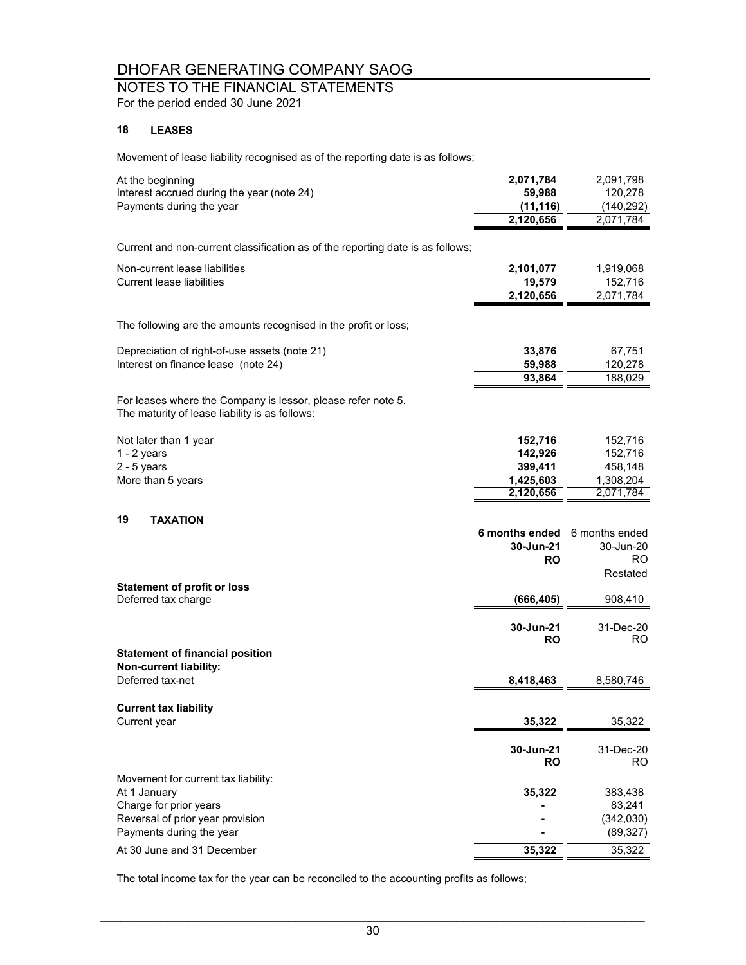## NOTES TO THE FINANCIAL STATEMENTS

For the period ended 30 June 2021

### **18 LEASES**

Movement of lease liability recognised as of the reporting date is as follows;

| At the beginning<br>Interest accrued during the year (note 24)<br>Payments during the year                                                                                  | 2,071,784<br>59,988<br>(11, 116)<br>2,120,656           | 2,091,798<br>120,278<br>(140, 292)<br>2,071,784         |
|-----------------------------------------------------------------------------------------------------------------------------------------------------------------------------|---------------------------------------------------------|---------------------------------------------------------|
| Current and non-current classification as of the reporting date is as follows;                                                                                              |                                                         |                                                         |
| Non-current lease liabilities<br><b>Current lease liabilities</b>                                                                                                           | 2,101,077<br>19,579<br>2,120,656                        | 1,919,068<br>152,716<br>2,071,784                       |
| The following are the amounts recognised in the profit or loss;                                                                                                             |                                                         |                                                         |
| Depreciation of right-of-use assets (note 21)<br>Interest on finance lease (note 24)                                                                                        | 33,876<br>59,988<br>93,864                              | 67,751<br>120,278<br>188,029                            |
| For leases where the Company is lessor, please refer note 5.<br>The maturity of lease liability is as follows:                                                              |                                                         |                                                         |
| Not later than 1 year<br>$1 - 2$ years<br>$2 - 5$ years<br>More than 5 years                                                                                                | 152,716<br>142,926<br>399,411<br>1,425,603<br>2,120,656 | 152,716<br>152,716<br>458,148<br>1,308,204<br>2,071,784 |
| 19<br><b>TAXATION</b>                                                                                                                                                       | 6 months ended<br>30-Jun-21<br><b>RO</b>                | 6 months ended<br>30-Jun-20<br>RO.<br>Restated          |
| <b>Statement of profit or loss</b><br>Deferred tax charge                                                                                                                   | (666, 405)                                              | 908,410                                                 |
|                                                                                                                                                                             | 30-Jun-21<br><b>RO</b>                                  | 31-Dec-20<br>RO.                                        |
| <b>Statement of financial position</b><br>Non-current liability:<br>Deferred tax-net                                                                                        | 8,418,463                                               | 8,580,746                                               |
| <b>Current tax liability</b><br>Current year                                                                                                                                | 35,322                                                  | 35,322                                                  |
|                                                                                                                                                                             | 30-Jun-21<br><b>RO</b>                                  | 31-Dec-20<br>RO.                                        |
| Movement for current tax liability:<br>At 1 January<br>Charge for prior years<br>Reversal of prior year provision<br>Payments during the year<br>At 30 June and 31 December | 35,322<br>35,322                                        | 383,438<br>83,241<br>(342,030)<br>(89, 327)<br>35,322   |
|                                                                                                                                                                             |                                                         |                                                         |

The total income tax for the year can be reconciled to the accounting profits as follows;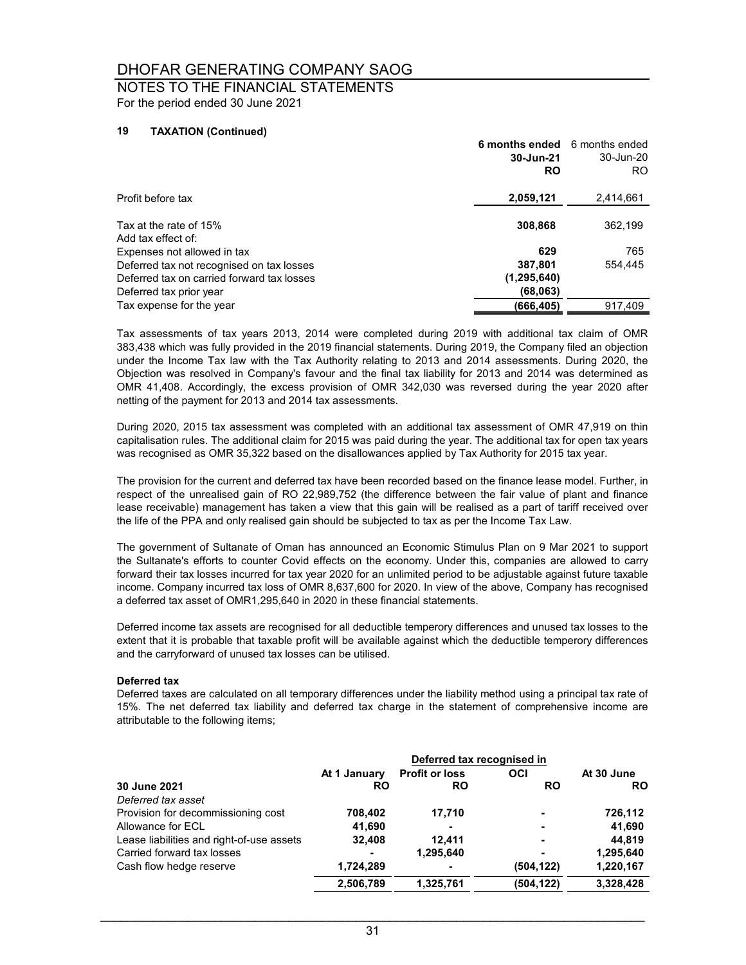### NOTES TO THE FINANCIAL STATEMENTS For the period ended 30 June 2021

#### **19 TAXATION (Continued)**

|                                              | 6 months ended 6 months ended<br>30-Jun-21<br><b>RO</b> | 30-Jun-20<br>RO. |
|----------------------------------------------|---------------------------------------------------------|------------------|
| Profit before tax                            | 2,059,121                                               | 2,414,661        |
| Tax at the rate of 15%<br>Add tax effect of: | 308,868                                                 | 362,199          |
| Expenses not allowed in tax                  | 629                                                     | 765              |
| Deferred tax not recognised on tax losses    | 387,801                                                 | 554.445          |
| Deferred tax on carried forward tax losses   | (1, 295, 640)                                           |                  |
| Deferred tax prior year                      | (68,063)                                                |                  |
| Tax expense for the year                     | (666, 405)                                              | 917,409          |

Tax assessments of tax years 2013, 2014 were completed during 2019 with additional tax claim of OMR 383,438 which was fully provided in the 2019 financial statements. During 2019, the Company filed an objection under the Income Tax law with the Tax Authority relating to 2013 and 2014 assessments. During 2020, the Objection was resolved in Company's favour and the final tax liability for 2013 and 2014 was determined as OMR 41,408. Accordingly, the excess provision of OMR 342,030 was reversed during the year 2020 after netting of the payment for 2013 and 2014 tax assessments.

During 2020, 2015 tax assessment was completed with an additional tax assessment of OMR 47,919 on thin capitalisation rules. The additional claim for 2015 was paid during the year. The additional tax for open tax years was recognised as OMR 35,322 based on the disallowances applied by Tax Authority for 2015 tax year.

The provision for the current and deferred tax have been recorded based on the finance lease model. Further, in respect of the unrealised gain of RO 22,989,752 (the difference between the fair value of plant and finance lease receivable) management has taken a view that this gain will be realised as a part of tariff received over the life of the PPA and only realised gain should be subjected to tax as per the Income Tax Law.

The government of Sultanate of Oman has announced an Economic Stimulus Plan on 9 Mar 2021 to support the Sultanate's efforts to counter Covid effects on the economy. Under this, companies are allowed to carry forward their tax losses incurred for tax year 2020 for an unlimited period to be adjustable against future taxable income. Company incurred tax loss of OMR 8,637,600 for 2020. In view of the above, Company has recognised a deferred tax asset of OMR1,295,640 in 2020 in these financial statements.

Deferred income tax assets are recognised for all deductible temperory differences and unused tax losses to the extent that it is probable that taxable profit will be available against which the deductible temperory differences and the carryforward of unused tax losses can be utilised.

#### **Deferred tax**

Deferred taxes are calculated on all temporary differences under the liability method using a principal tax rate of 15%. The net deferred tax liability and deferred tax charge in the statement of comprehensive income are attributable to the following items;

|                                           |              | Deferred tax recognised in |                |            |
|-------------------------------------------|--------------|----------------------------|----------------|------------|
|                                           | At 1 January | <b>Profit or loss</b>      | OCI            | At 30 June |
| 30 June 2021                              | RO           | RO                         | RO             | <b>RO</b>  |
| Deferred tax asset                        |              |                            |                |            |
| Provision for decommissioning cost        | 708,402      | 17,710                     |                | 726,112    |
| Allowance for ECL                         | 41,690       |                            | $\blacksquare$ | 41,690     |
| Lease liabilities and right-of-use assets | 32.408       | 12.411                     | $\blacksquare$ | 44.819     |
| Carried forward tax losses                |              | 1,295,640                  |                | 1,295,640  |
| Cash flow hedge reserve                   | 1,724,289    |                            | (504, 122)     | 1,220,167  |
|                                           | 2,506,789    | 1,325,761                  | (504,122)      | 3,328,428  |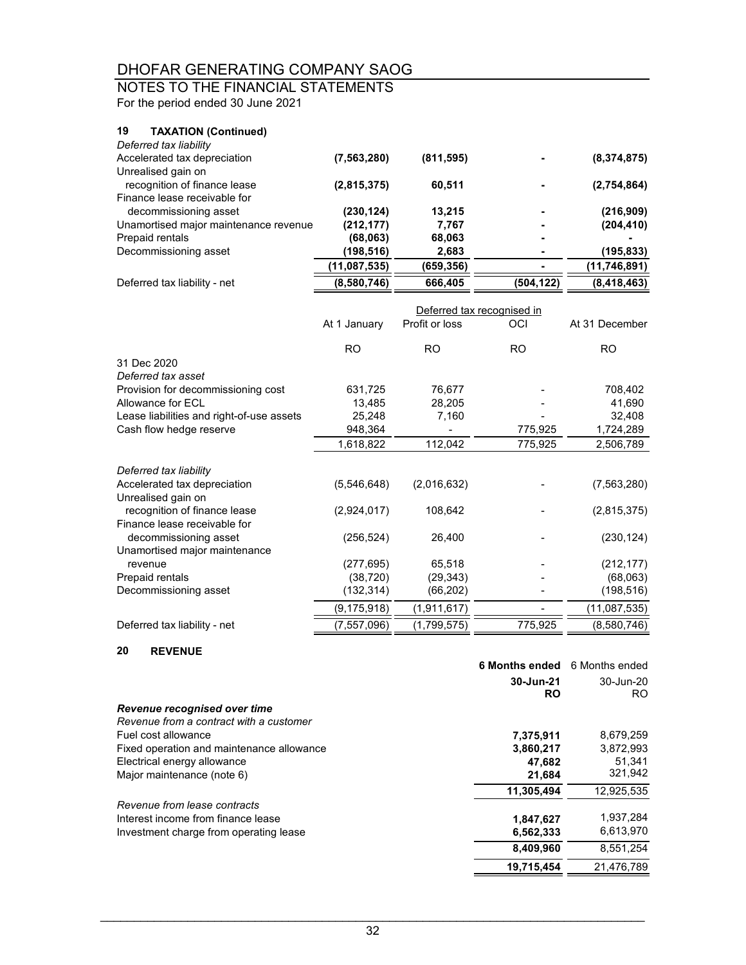### NOTES TO THE FINANCIAL STATEMENTS

For the period ended 30 June 2021

### **19 TAXATION (Continued)**

| Deferred tax liability                |              |            |            |              |
|---------------------------------------|--------------|------------|------------|--------------|
| Accelerated tax depreciation          | (7,563,280)  | (811, 595) |            | (8,374,875)  |
| Unrealised gain on                    |              |            |            |              |
| recognition of finance lease          | (2,815,375)  | 60,511     |            | (2,754,864)  |
| Finance lease receivable for          |              |            |            |              |
| decommissioning asset                 | (230, 124)   | 13.215     |            | (216,909)    |
| Unamortised major maintenance revenue | (212, 177)   | 7.767      |            | (204, 410)   |
| Prepaid rentals                       | (68,063)     | 68,063     |            |              |
| Decommissioning asset                 | (198, 516)   | 2,683      |            | (195,833)    |
|                                       | (11,087,535) | (659,356)  |            | (11,746,891) |
| Deferred tax liability - net          | (8,580,746)  | 666,405    | (504, 122) | (8,418,463)  |

|                                           |              |                | Deferred tax recognised in |                |
|-------------------------------------------|--------------|----------------|----------------------------|----------------|
|                                           | At 1 January | Profit or loss | OCI                        | At 31 December |
|                                           | RO           | RO.            | RO.                        | RO.            |
| 31 Dec 2020                               |              |                |                            |                |
| Deferred tax asset                        |              |                |                            |                |
| Provision for decommissioning cost        | 631,725      | 76,677         |                            | 708,402        |
| Allowance for ECL                         | 13,485       | 28,205         |                            | 41,690         |
| Lease liabilities and right-of-use assets | 25,248       | 7,160          |                            | 32,408         |
| Cash flow hedge reserve                   | 948,364      |                | 775,925                    | 1,724,289      |
|                                           | 1,618,822    | 112,042        | 775,925                    | 2,506,789      |
| Deferred tax liability                    |              |                |                            |                |
| Accelerated tax depreciation              | (5,546,648)  | (2,016,632)    |                            | (7,563,280)    |
| Unrealised gain on                        |              |                |                            |                |
| recognition of finance lease              | (2,924,017)  | 108,642        |                            | (2,815,375)    |
| Finance lease receivable for              |              |                |                            |                |
| decommissioning asset                     | (256, 524)   | 26,400         |                            | (230, 124)     |
| Unamortised major maintenance             |              |                |                            |                |
| revenue                                   | (277, 695)   | 65,518         |                            | (212, 177)     |
| Prepaid rentals                           | (38, 720)    | (29, 343)      |                            | (68,063)       |
| Decommissioning asset                     | (132, 314)   | (66, 202)      |                            | (198, 516)     |
|                                           | (9,175,918)  | (1,911,617)    |                            | (11,087,535)   |
| Deferred tax liability - net              | (7,557,096)  | (1,799,575)    | 775,925                    | (8,580,746)    |

### **20 REVENUE**

| --<br>11 L V L I 1 U L                    |                |                |
|-------------------------------------------|----------------|----------------|
|                                           | 6 Months ended | 6 Months ended |
|                                           | 30-Jun-21      | 30-Jun-20      |
|                                           | <b>RO</b>      | RO.            |
| Revenue recognised over time              |                |                |
| Revenue from a contract with a customer   |                |                |
| Fuel cost allowance                       | 7,375,911      | 8,679,259      |
| Fixed operation and maintenance allowance | 3,860,217      | 3,872,993      |
| Electrical energy allowance               | 47.682         | 51,341         |
| Major maintenance (note 6)                | 21,684         | 321,942        |
|                                           | 11,305,494     | 12,925,535     |
| Revenue from lease contracts              |                |                |
| Interest income from finance lease        | 1,847,627      | 1,937,284      |
| Investment charge from operating lease    | 6,562,333      | 6,613,970      |
|                                           | 8,409,960      | 8.551.254      |
|                                           | 19,715,454     | 21.476.789     |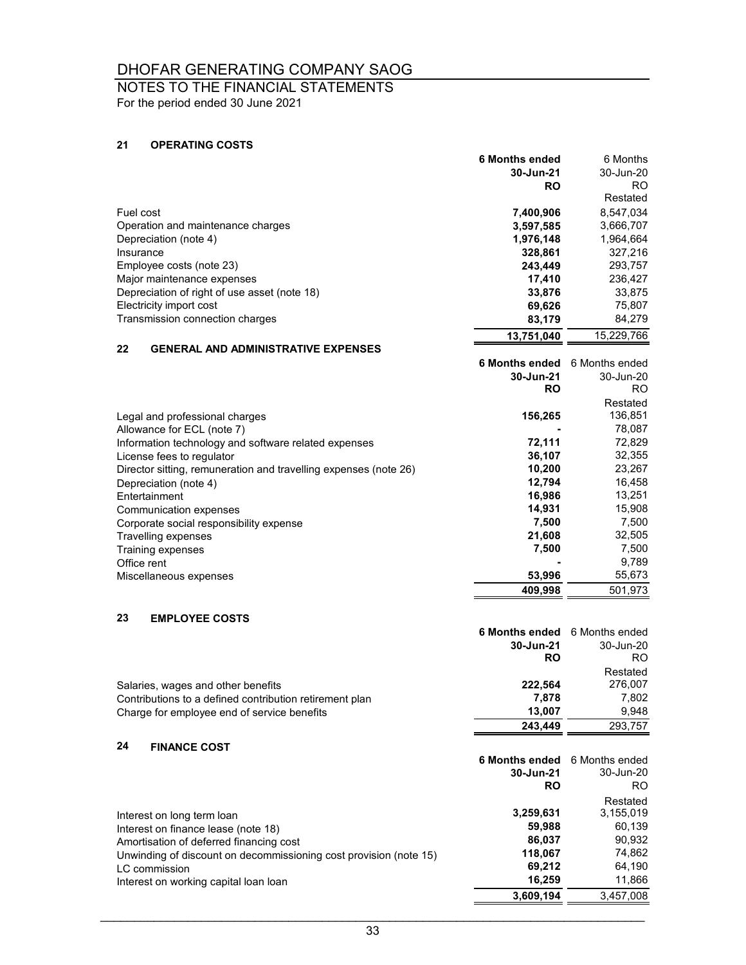### NOTES TO THE FINANCIAL STATEMENTS

For the period ended 30 June 2021

### **21 OPERATING COSTS**

|                                              | <b>6 Months ended</b> | 6 Months   |
|----------------------------------------------|-----------------------|------------|
|                                              | 30-Jun-21             | 30-Jun-20  |
|                                              | <b>RO</b>             | RO.        |
|                                              |                       | Restated   |
| Fuel cost                                    | 7,400,906             | 8,547,034  |
| Operation and maintenance charges            | 3,597,585             | 3,666,707  |
| Depreciation (note 4)                        | 1,976,148             | 1.964.664  |
| Insurance                                    | 328.861               | 327.216    |
| Employee costs (note 23)                     | 243.449               | 293,757    |
| Major maintenance expenses                   | 17.410                | 236,427    |
| Depreciation of right of use asset (note 18) | 33,876                | 33,875     |
| Electricity import cost                      | 69.626                | 75,807     |
| Transmission connection charges              | 83,179                | 84,279     |
|                                              | 13.751.040            | 15.229.766 |

### **22 GENERAL AND ADMINISTRATIVE EXPENSES**

|                                                                  | 6 Months ended 6 Months ended |           |
|------------------------------------------------------------------|-------------------------------|-----------|
|                                                                  | 30-Jun-21                     | 30-Jun-20 |
|                                                                  | <b>RO</b>                     | RO.       |
|                                                                  |                               | Restated  |
| Legal and professional charges                                   | 156,265                       | 136,851   |
| Allowance for ECL (note 7)                                       |                               | 78,087    |
| Information technology and software related expenses             | 72,111                        | 72,829    |
| License fees to regulator                                        | 36,107                        | 32,355    |
| Director sitting, remuneration and travelling expenses (note 26) | 10,200                        | 23,267    |
| Depreciation (note 4)                                            | 12.794                        | 16,458    |
| Entertainment                                                    | 16,986                        | 13,251    |
| Communication expenses                                           | 14,931                        | 15,908    |
| Corporate social responsibility expense                          | 7,500                         | 7,500     |
| Travelling expenses                                              | 21,608                        | 32,505    |
| Training expenses                                                | 7,500                         | 7,500     |
| Office rent                                                      |                               | 9,789     |
| Miscellaneous expenses                                           | 53,996                        | 55,673    |
|                                                                  | 409.998                       | 501.973   |

### **23 EMPLOYEE COSTS**

|                                                         | 6 Months ended 6 Months ended |           |
|---------------------------------------------------------|-------------------------------|-----------|
|                                                         | 30-Jun-21                     | 30-Jun-20 |
|                                                         | RO                            | RO.       |
|                                                         |                               | Restated  |
| Salaries, wages and other benefits                      | 222.564                       | 276.007   |
| Contributions to a defined contribution retirement plan | 7.878                         | 7,802     |
| Charge for employee end of service benefits             | 13.007                        | 9.948     |
|                                                         | 243.449                       | 293,757   |

#### **24 FINANCE COST**

|                                                                   | 6 Months ended 6 Months ended |           |
|-------------------------------------------------------------------|-------------------------------|-----------|
|                                                                   | 30-Jun-21                     | 30-Jun-20 |
|                                                                   | RO                            | RO.       |
|                                                                   |                               | Restated  |
| Interest on long term loan                                        | 3,259,631                     | 3,155,019 |
| Interest on finance lease (note 18)                               | 59,988                        | 60,139    |
| Amortisation of deferred financing cost                           | 86,037                        | 90,932    |
| Unwinding of discount on decommissioning cost provision (note 15) | 118,067                       | 74,862    |
| LC commission                                                     | 69.212                        | 64.190    |
| Interest on working capital loan loan                             | 16,259                        | 11,866    |
|                                                                   | 3,609,194                     | 3,457,008 |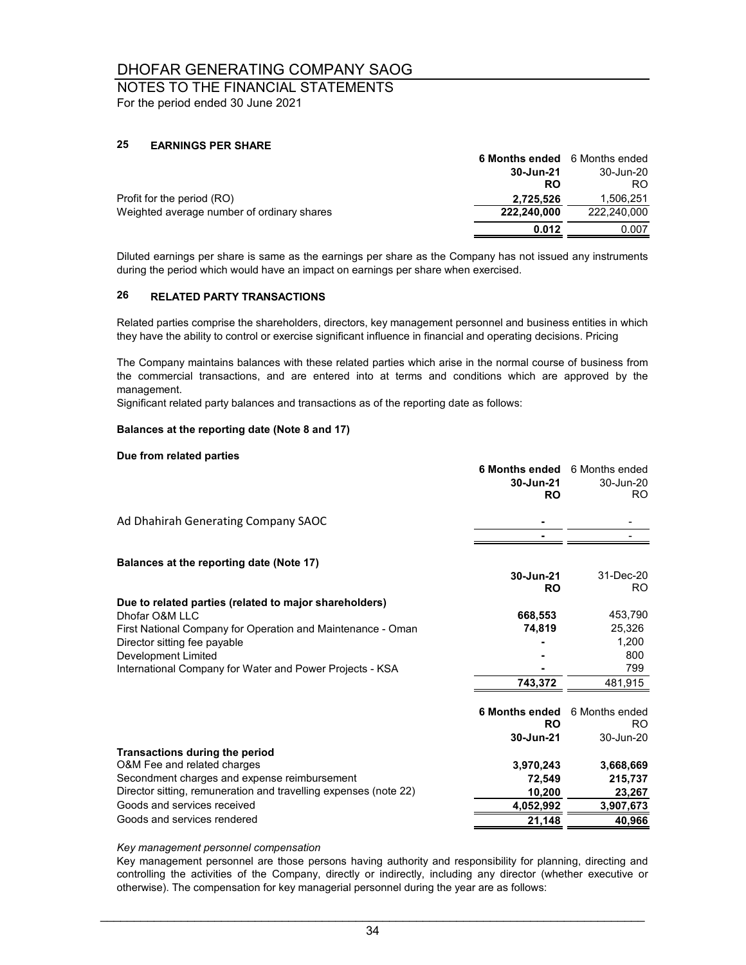## NOTES TO THE FINANCIAL STATEMENTS

For the period ended 30 June 2021

#### **25 EARNINGS PER SHARE**

|                                            | <b>6 Months ended</b> 6 Months ended |             |
|--------------------------------------------|--------------------------------------|-------------|
|                                            | 30-Jun-21                            | 30-Jun-20   |
|                                            | RO                                   | RO.         |
| Profit for the period (RO)                 | 2,725,526                            | 1.506.251   |
| Weighted average number of ordinary shares | 222.240.000                          | 222.240.000 |
|                                            | 0.012                                | 0.007       |

Diluted earnings per share is same as the earnings per share as the Company has not issued any instruments during the period which would have an impact on earnings per share when exercised.

#### **26 RELATED PARTY TRANSACTIONS**

Related parties comprise the shareholders, directors, key management personnel and business entities in which they have the ability to control or exercise significant influence in financial and operating decisions. Pricing

The Company maintains balances with these related parties which arise in the normal course of business from the commercial transactions, and are entered into at terms and conditions which are approved by the management.

Significant related party balances and transactions as of the reporting date as follows:

#### **Balances at the reporting date (Note 8 and 17)**

#### **Due from related parties**

|                                                                  | <b>6 Months ended</b> | 6 Months ended |
|------------------------------------------------------------------|-----------------------|----------------|
|                                                                  | 30-Jun-21             | 30-Jun-20      |
|                                                                  | <b>RO</b>             | RO.            |
| Ad Dhahirah Generating Company SAOC                              |                       |                |
|                                                                  |                       |                |
| Balances at the reporting date (Note 17)                         |                       |                |
|                                                                  | 30-Jun-21             | 31-Dec-20      |
|                                                                  | <b>RO</b>             | RO.            |
| Due to related parties (related to major shareholders)           |                       |                |
| Dhofar O&M LLC                                                   | 668,553               | 453,790        |
| First National Company for Operation and Maintenance - Oman      | 74,819                | 25,326         |
| Director sitting fee payable                                     |                       | 1,200          |
| Development Limited                                              |                       | 800            |
| International Company for Water and Power Projects - KSA         |                       | 799            |
|                                                                  | 743.372               | 481,915        |
|                                                                  |                       |                |
|                                                                  | <b>6 Months ended</b> | 6 Months ended |
|                                                                  | <b>RO</b>             | RO.            |
|                                                                  | 30-Jun-21             | 30-Jun-20      |
| Transactions during the period                                   |                       |                |
| O&M Fee and related charges                                      | 3,970,243             | 3,668,669      |
| Secondment charges and expense reimbursement                     | 72,549                | 215,737        |
| Director sitting, remuneration and travelling expenses (note 22) | 10,200                | 23,267         |
| Goods and services received                                      | 4,052,992             | 3,907,673      |
| Goods and services rendered                                      | 21,148                | 40,966         |
|                                                                  |                       |                |

#### *Key management personnel compensation*

Key management personnel are those persons having authority and responsibility for planning, directing and controlling the activities of the Company, directly or indirectly, including any director (whether executive or otherwise). The compensation for key managerial personnel during the year are as follows: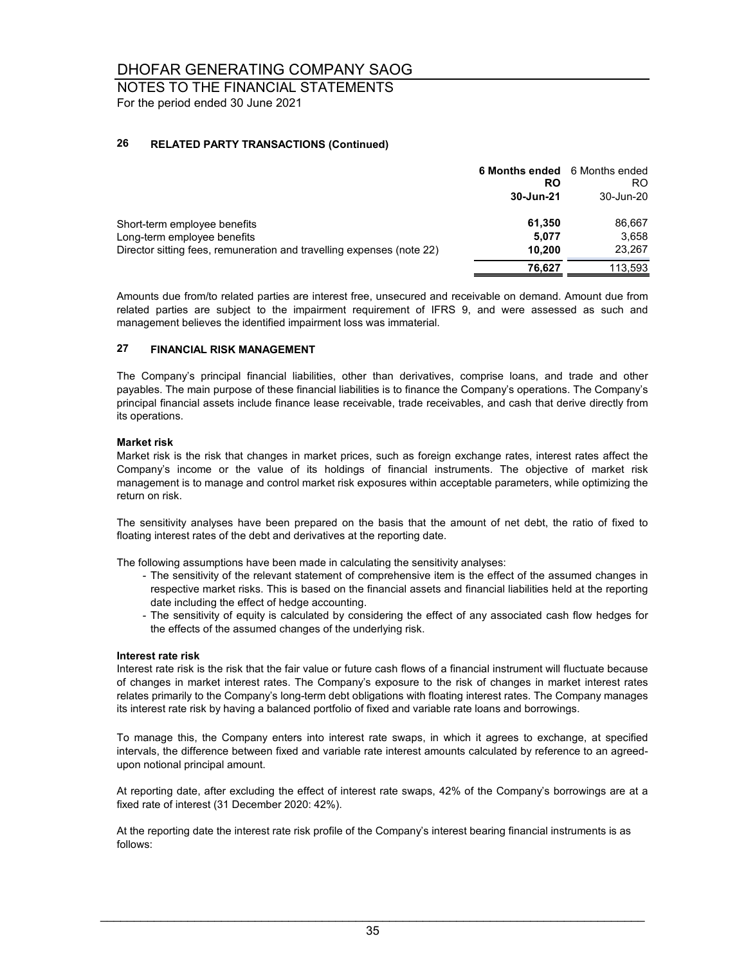### NOTES TO THE FINANCIAL STATEMENTS For the period ended 30 June 2021

#### **26 RELATED PARTY TRANSACTIONS (Continued)**

|                                                                       | 6 Months ended 6 Months ended<br>RO<br>30-Jun-21 | RO<br>30-Jun-20 |
|-----------------------------------------------------------------------|--------------------------------------------------|-----------------|
| Short-term employee benefits                                          | 61,350                                           | 86,667          |
| Long-term employee benefits                                           | 5.077                                            | 3.658           |
| Director sitting fees, remuneration and travelling expenses (note 22) | 10.200                                           | 23,267          |
|                                                                       | 76,627                                           | 113,593         |

Amounts due from/to related parties are interest free, unsecured and receivable on demand. Amount due from related parties are subject to the impairment requirement of IFRS 9, and were assessed as such and management believes the identified impairment loss was immaterial.

#### **27 FINANCIAL RISK MANAGEMENT**

The Company's principal financial liabilities, other than derivatives, comprise loans, and trade and other payables. The main purpose of these financial liabilities is to finance the Company's operations. The Company's principal financial assets include finance lease receivable, trade receivables, and cash that derive directly from its operations.

#### **Market risk**

Market risk is the risk that changes in market prices, such as foreign exchange rates, interest rates affect the Company's income or the value of its holdings of financial instruments. The objective of market risk management is to manage and control market risk exposures within acceptable parameters, while optimizing the return on risk.

The sensitivity analyses have been prepared on the basis that the amount of net debt, the ratio of fixed to floating interest rates of the debt and derivatives at the reporting date.

The following assumptions have been made in calculating the sensitivity analyses:

- The sensitivity of the relevant statement of comprehensive item is the effect of the assumed changes in respective market risks. This is based on the financial assets and financial liabilities held at the reporting date including the effect of hedge accounting.
- The sensitivity of equity is calculated by considering the effect of any associated cash flow hedges for the effects of the assumed changes of the underlying risk.

#### **Interest rate risk**

Interest rate risk is the risk that the fair value or future cash flows of a financial instrument will fluctuate because of changes in market interest rates. The Company's exposure to the risk of changes in market interest rates relates primarily to the Company's long-term debt obligations with floating interest rates. The Company manages its interest rate risk by having a balanced portfolio of fixed and variable rate loans and borrowings.

To manage this, the Company enters into interest rate swaps, in which it agrees to exchange, at specified intervals, the difference between fixed and variable rate interest amounts calculated by reference to an agreedupon notional principal amount.

At reporting date, after excluding the effect of interest rate swaps, 42% of the Company's borrowings are at a fixed rate of interest (31 December 2020: 42%).

At the reporting date the interest rate risk profile of the Company's interest bearing financial instruments is as follows: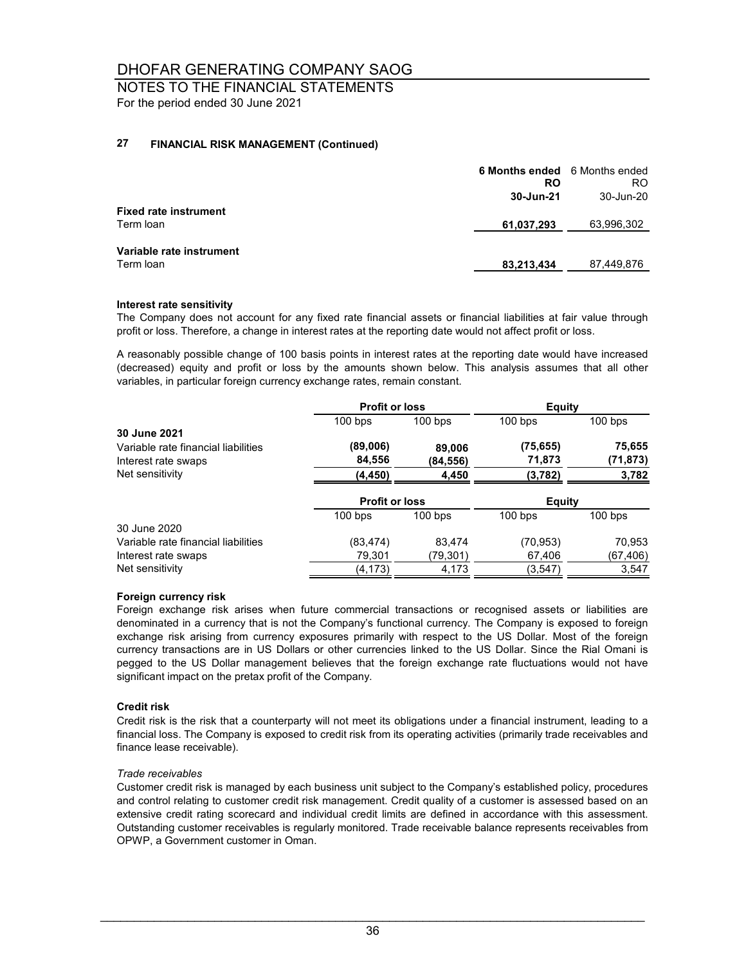NOTES TO THE FINANCIAL STATEMENTS For the period ended 30 June 2021

#### **27 FINANCIAL RISK MANAGEMENT (Continued)**

|                              | 6 Months ended 6 Months ended<br>RO | RO.        |
|------------------------------|-------------------------------------|------------|
|                              | 30-Jun-21                           | 30-Jun-20  |
| <b>Fixed rate instrument</b> |                                     |            |
| Term Ioan                    | 61,037,293                          | 63,996,302 |
|                              |                                     |            |
| Variable rate instrument     |                                     |            |
| Term Ioan                    | 83,213,434                          | 87,449,876 |
|                              |                                     |            |

#### **Interest rate sensitivity**

The Company does not account for any fixed rate financial assets or financial liabilities at fair value through profit or loss. Therefore, a change in interest rates at the reporting date would not affect profit or loss.

A reasonably possible change of 100 basis points in interest rates at the reporting date would have increased (decreased) equity and profit or loss by the amounts shown below. This analysis assumes that all other variables, in particular foreign currency exchange rates, remain constant.

|                                     | <b>Profit or loss</b> |           | Equity        |           |
|-------------------------------------|-----------------------|-----------|---------------|-----------|
|                                     | $100$ bps             | $100$ bps | $100$ bps     | $100$ bps |
| 30 June 2021                        |                       |           |               |           |
| Variable rate financial liabilities | (89,006)              | 89,006    | (75, 655)     | 75,655    |
| Interest rate swaps                 | 84,556                | (84, 556) | 71,873        | (71, 873) |
| Net sensitivity                     | (4,450)               | 4,450     | (3,782)       | 3,782     |
|                                     | <b>Profit or loss</b> |           | <b>Equity</b> |           |
|                                     | $100$ bps             | $100$ bps | $100$ bps     | $100$ bps |
| 30 June 2020                        |                       |           |               |           |
| Variable rate financial liabilities | (83, 474)             | 83.474    | (70, 953)     | 70,953    |
| Interest rate swaps                 | 79,301                | (79,301)  | 67,406        | (67,406)  |
| Net sensitivity                     | (4, 173)              | 4,173     | (3,547)       | 3,547     |

#### **Foreign currency risk**

Foreign exchange risk arises when future commercial transactions or recognised assets or liabilities are denominated in a currency that is not the Company's functional currency. The Company is exposed to foreign exchange risk arising from currency exposures primarily with respect to the US Dollar. Most of the foreign currency transactions are in US Dollars or other currencies linked to the US Dollar. Since the Rial Omani is pegged to the US Dollar management believes that the foreign exchange rate fluctuations would not have significant impact on the pretax profit of the Company.

#### **Credit risk**

Credit risk is the risk that a counterparty will not meet its obligations under a financial instrument, leading to a financial loss. The Company is exposed to credit risk from its operating activities (primarily trade receivables and finance lease receivable).

#### *Trade receivables*

Customer credit risk is managed by each business unit subject to the Company's established policy, procedures and control relating to customer credit risk management. Credit quality of a customer is assessed based on an extensive credit rating scorecard and individual credit limits are defined in accordance with this assessment. Outstanding customer receivables is regularly monitored. Trade receivable balance represents receivables from OPWP, a Government customer in Oman.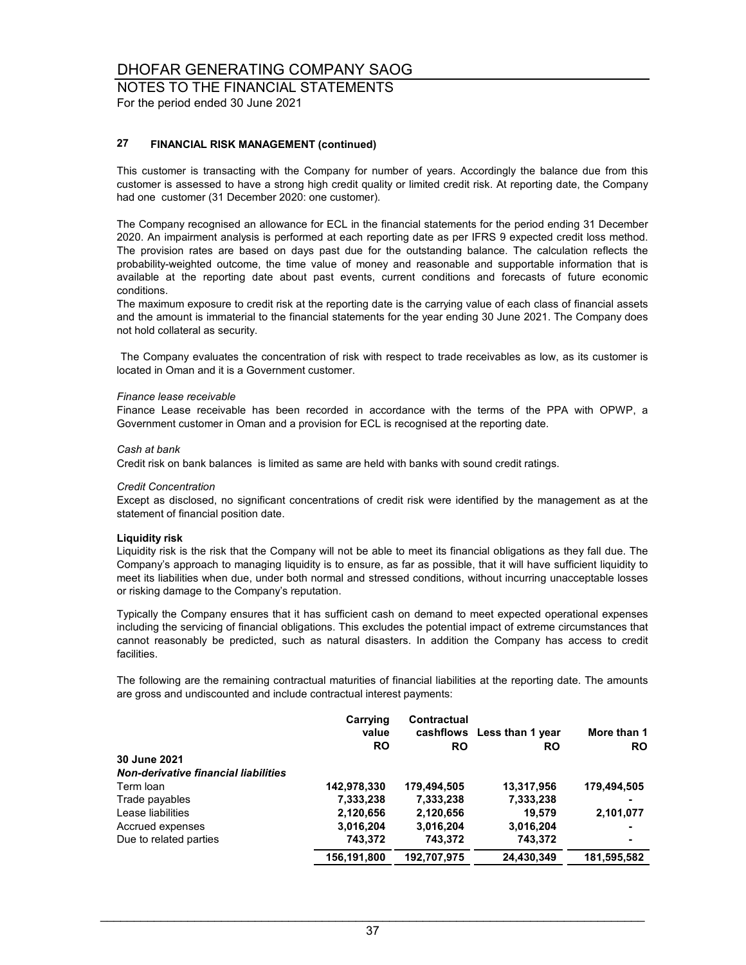### NOTES TO THE FINANCIAL STATEMENTS

For the period ended 30 June 2021

#### **27 FINANCIAL RISK MANAGEMENT (continued)**

This customer is transacting with the Company for number of years. Accordingly the balance due from this customer is assessed to have a strong high credit quality or limited credit risk. At reporting date, the Company had one customer (31 December 2020: one customer).

The Company recognised an allowance for ECL in the financial statements for the period ending 31 December 2020. An impairment analysis is performed at each reporting date as per IFRS 9 expected credit loss method. The provision rates are based on days past due for the outstanding balance. The calculation reflects the probability-weighted outcome, the time value of money and reasonable and supportable information that is available at the reporting date about past events, current conditions and forecasts of future economic conditions.

The maximum exposure to credit risk at the reporting date is the carrying value of each class of financial assets and the amount is immaterial to the financial statements for the year ending 30 June 2021. The Company does not hold collateral as security.

The Company evaluates the concentration of risk with respect to trade receivables as low, as its customer is located in Oman and it is a Government customer.

#### *Finance lease receivable*

Finance Lease receivable has been recorded in accordance with the terms of the PPA with OPWP, a Government customer in Oman and a provision for ECL is recognised at the reporting date.

#### *Cash at bank*

Credit risk on bank balances is limited as same are held with banks with sound credit ratings.

#### *Credit Concentration*

Except as disclosed, no significant concentrations of credit risk were identified by the management as at the statement of financial position date.

#### **Liquidity risk**

Liquidity risk is the risk that the Company will not be able to meet its financial obligations as they fall due. The Company's approach to managing liquidity is to ensure, as far as possible, that it will have sufficient liquidity to meet its liabilities when due, under both normal and stressed conditions, without incurring unacceptable losses or risking damage to the Company's reputation.

Typically the Company ensures that it has sufficient cash on demand to meet expected operational expenses including the servicing of financial obligations. This excludes the potential impact of extreme circumstances that cannot reasonably be predicted, such as natural disasters. In addition the Company has access to credit facilities.

The following are the remaining contractual maturities of financial liabilities at the reporting date. The amounts are gross and undiscounted and include contractual interest payments:

|                                             | Carrying<br>value<br><b>RO</b> | Contractual<br>RO | cashflows Less than 1 year<br>RO | More than 1<br><b>RO</b> |
|---------------------------------------------|--------------------------------|-------------------|----------------------------------|--------------------------|
| 30 June 2021                                |                                |                   |                                  |                          |
| <b>Non-derivative financial liabilities</b> |                                |                   |                                  |                          |
| Term loan                                   | 142,978,330                    | 179,494,505       | 13,317,956                       | 179,494,505              |
| Trade payables                              | 7,333,238                      | 7,333,238         | 7,333,238                        |                          |
| Lease liabilities                           | 2,120,656                      | 2,120,656         | 19.579                           | 2,101,077                |
| Accrued expenses                            | 3,016,204                      | 3,016,204         | 3,016,204                        |                          |
| Due to related parties                      | 743,372                        | 743,372           | 743.372                          | -                        |
|                                             | 156.191.800                    | 192.707.975       | 24.430.349                       | 181,595,582              |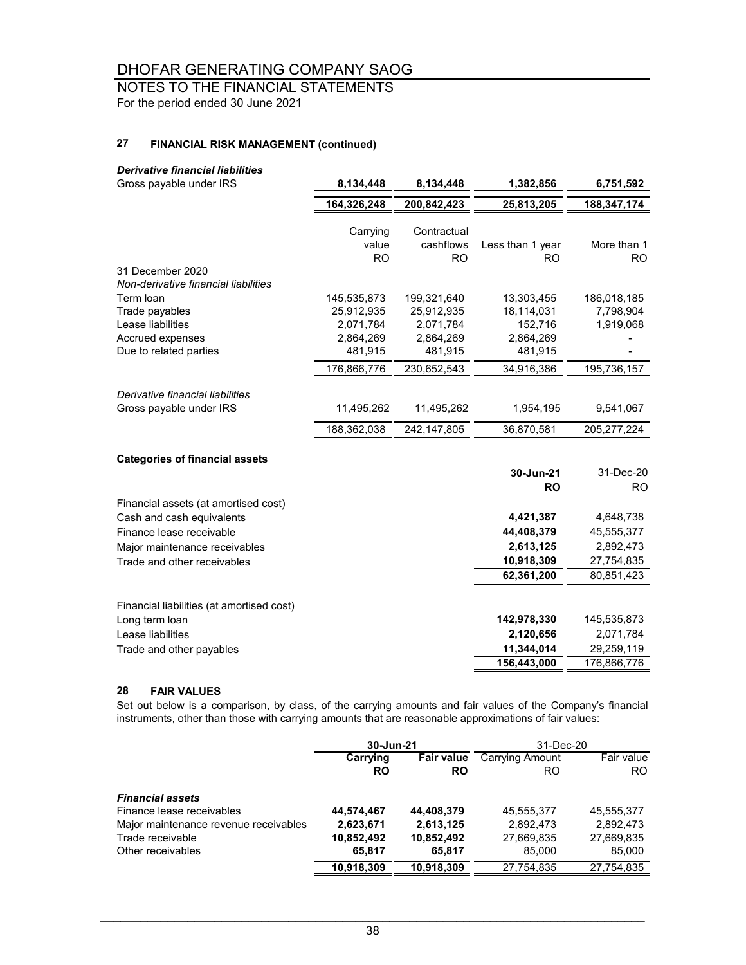## NOTES TO THE FINANCIAL STATEMENTS

For the period ended 30 June 2021

#### **27 FINANCIAL RISK MANAGEMENT (continued)**

#### *Derivative financial liabilities*

| Gross payable under IRS                                                                                                                                       | 8,134,448                                                                     | 8,134,448                                                                     | 1,382,856                                                                 | 6,751,592                                                        |
|---------------------------------------------------------------------------------------------------------------------------------------------------------------|-------------------------------------------------------------------------------|-------------------------------------------------------------------------------|---------------------------------------------------------------------------|------------------------------------------------------------------|
|                                                                                                                                                               | 164,326,248                                                                   | 200,842,423                                                                   | 25,813,205                                                                | 188,347,174                                                      |
|                                                                                                                                                               | Carrying<br>value<br><b>RO</b>                                                | Contractual<br>cashflows<br><b>RO</b>                                         | Less than 1 year<br>RO.                                                   | More than 1<br><b>RO</b>                                         |
| 31 December 2020<br>Non-derivative financial liabilities                                                                                                      |                                                                               |                                                                               |                                                                           |                                                                  |
| Term loan<br>Trade payables<br>Lease liabilities<br>Accrued expenses<br>Due to related parties                                                                | 145,535,873<br>25,912,935<br>2,071,784<br>2,864,269<br>481,915<br>176,866,776 | 199,321,640<br>25,912,935<br>2,071,784<br>2,864,269<br>481,915<br>230,652,543 | 13,303,455<br>18,114,031<br>152,716<br>2,864,269<br>481,915<br>34,916,386 | 186,018,185<br>7,798,904<br>1,919,068<br>195,736,157             |
| Derivative financial liabilities<br>Gross payable under IRS                                                                                                   | 11,495,262                                                                    | 11,495,262                                                                    | 1,954,195                                                                 | 9,541,067                                                        |
|                                                                                                                                                               | 188,362,038                                                                   | 242,147,805                                                                   | 36,870,581                                                                | 205, 277, 224                                                    |
| <b>Categories of financial assets</b>                                                                                                                         |                                                                               |                                                                               |                                                                           |                                                                  |
|                                                                                                                                                               |                                                                               |                                                                               | 30-Jun-21<br><b>RO</b>                                                    | 31-Dec-20<br>RO.                                                 |
| Financial assets (at amortised cost)<br>Cash and cash equivalents<br>Finance lease receivable<br>Major maintenance receivables<br>Trade and other receivables |                                                                               |                                                                               | 4,421,387<br>44,408,379<br>2,613,125<br>10,918,309<br>62,361,200          | 4,648,738<br>45,555,377<br>2,892,473<br>27,754,835<br>80,851,423 |
| Financial liabilities (at amortised cost)<br>Long term loan<br>Lease liabilities<br>Trade and other payables                                                  |                                                                               |                                                                               | 142,978,330<br>2,120,656<br>11,344,014<br>156,443,000                     | 145,535,873<br>2,071,784<br>29,259,119<br>176,866,776            |

#### **28 FAIR VALUES**

Set out below is a comparison, by class, of the carrying amounts and fair values of the Company's financial instruments, other than those with carrying amounts that are reasonable approximations of fair values:

|                                       | 30-Jun-21  |            | 31-Dec-20              |            |
|---------------------------------------|------------|------------|------------------------|------------|
|                                       | Carrying   | Fair value | <b>Carrying Amount</b> | Fair value |
|                                       | <b>RO</b>  | <b>RO</b>  | RO                     | RO.        |
| <b>Financial assets</b>               |            |            |                        |            |
| Finance lease receivables             | 44,574,467 | 44,408,379 | 45.555.377             | 45,555,377 |
| Major maintenance revenue receivables | 2,623,671  | 2,613,125  | 2,892,473              | 2.892.473  |
| Trade receivable                      | 10,852,492 | 10,852,492 | 27,669,835             | 27,669,835 |
| Other receivables                     | 65,817     | 65,817     | 85,000                 | 85,000     |
|                                       | 10.918.309 | 10.918.309 | 27.754.835             | 27.754.835 |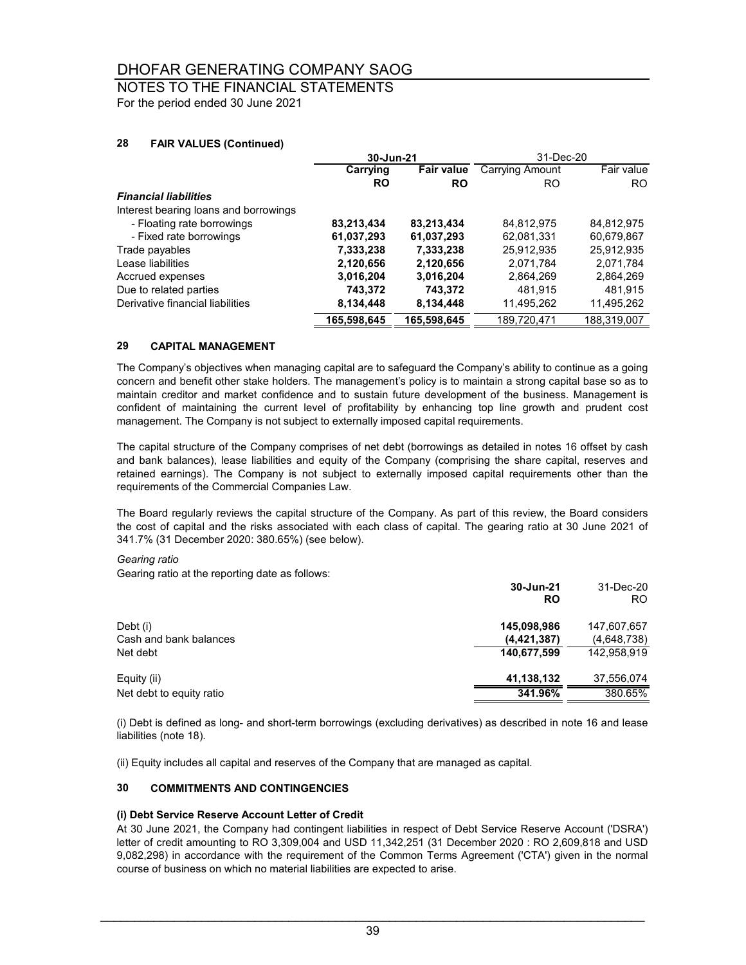### NOTES TO THE FINANCIAL STATEMENTS

For the period ended 30 June 2021

### **28 FAIR VALUES (Continued)**

|                                       | 30-Jun-21   |                   | 31-Dec-20              |             |
|---------------------------------------|-------------|-------------------|------------------------|-------------|
|                                       | Carrying    | <b>Fair value</b> | <b>Carrying Amount</b> | Fair value  |
|                                       | <b>RO</b>   | <b>RO</b>         | RO                     | RO.         |
| <b>Financial liabilities</b>          |             |                   |                        |             |
| Interest bearing loans and borrowings |             |                   |                        |             |
| - Floating rate borrowings            | 83,213,434  | 83,213,434        | 84,812,975             | 84,812,975  |
| - Fixed rate borrowings               | 61,037,293  | 61,037,293        | 62,081,331             | 60.679.867  |
| Trade payables                        | 7,333,238   | 7,333,238         | 25,912,935             | 25,912,935  |
| Lease liabilities                     | 2,120,656   | 2,120,656         | 2,071,784              | 2,071,784   |
| Accrued expenses                      | 3,016,204   | 3,016,204         | 2,864,269              | 2,864,269   |
| Due to related parties                | 743,372     | 743,372           | 481.915                | 481.915     |
| Derivative financial liabilities      | 8,134,448   | 8,134,448         | 11,495,262             | 11,495,262  |
|                                       | 165,598,645 | 165,598,645       | 189,720,471            | 188,319,007 |

### **29 CAPITAL MANAGEMENT**

The Company's objectives when managing capital are to safeguard the Company's ability to continue as a going concern and benefit other stake holders. The management's policy is to maintain a strong capital base so as to maintain creditor and market confidence and to sustain future development of the business. Management is confident of maintaining the current level of profitability by enhancing top line growth and prudent cost management. The Company is not subject to externally imposed capital requirements.

The capital structure of the Company comprises of net debt (borrowings as detailed in notes 16 offset by cash and bank balances), lease liabilities and equity of the Company (comprising the share capital, reserves and retained earnings). The Company is not subject to externally imposed capital requirements other than the requirements of the Commercial Companies Law.

The Board regularly reviews the capital structure of the Company. As part of this review, the Board considers the cost of capital and the risks associated with each class of capital. The gearing ratio at 30 June 2021 of 341.7% (31 December 2020: 380.65%) (see below).

#### *Gearing ratio*

Gearing ratio at the reporting date as follows:

|                          | 30-Jun-21<br>RO | 31-Dec-20<br>RO. |
|--------------------------|-----------------|------------------|
| Debt (i)                 | 145,098,986     | 147,607,657      |
| Cash and bank balances   | (4, 421, 387)   | (4,648,738)      |
| Net debt                 | 140,677,599     | 142,958,919      |
| Equity (ii)              | 41,138,132      | 37,556,074       |
| Net debt to equity ratio | 341.96%         | 380.65%          |

(i) Debt is defined as long- and short-term borrowings (excluding derivatives) as described in note 16 and lease liabilities (note 18).

(ii) Equity includes all capital and reserves of the Company that are managed as capital.

### **30 COMMITMENTS AND CONTINGENCIES**

#### **(i) Debt Service Reserve Account Letter of Credit**

At 30 June 2021, the Company had contingent liabilities in respect of Debt Service Reserve Account ('DSRA') letter of credit amounting to RO 3,309,004 and USD 11,342,251 (31 December 2020 : RO 2,609,818 and USD 9,082,298) in accordance with the requirement of the Common Terms Agreement ('CTA') given in the normal course of business on which no material liabilities are expected to arise.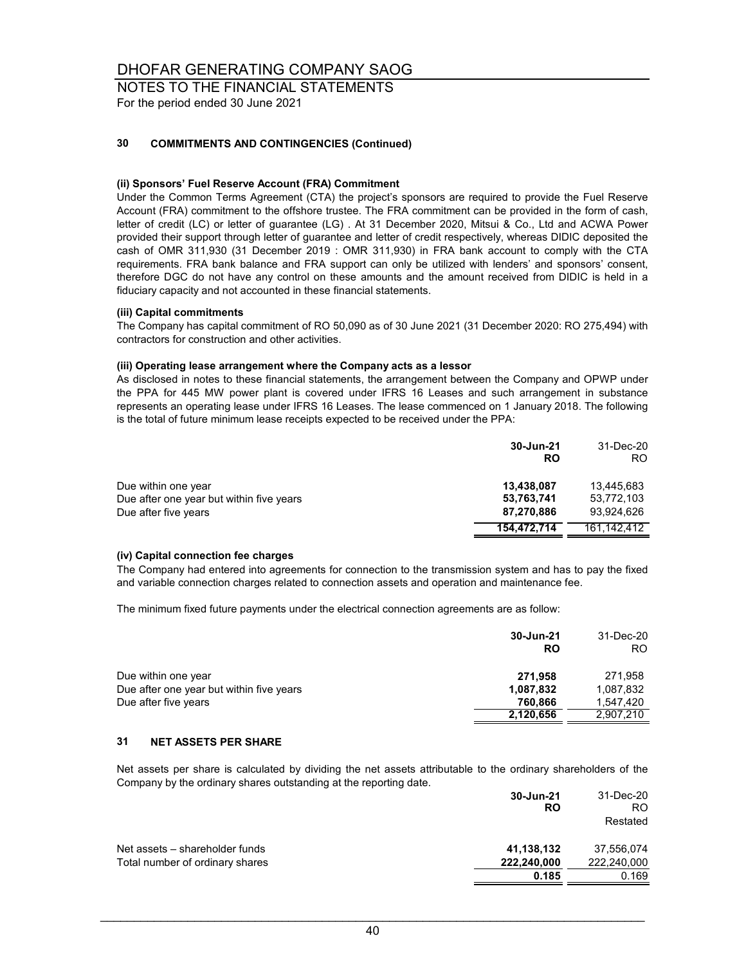## NOTES TO THE FINANCIAL STATEMENTS

For the period ended 30 June 2021

### **30 COMMITMENTS AND CONTINGENCIES (Continued)**

#### **(ii) Sponsors' Fuel Reserve Account (FRA) Commitment**

Under the Common Terms Agreement (CTA) the project's sponsors are required to provide the Fuel Reserve Account (FRA) commitment to the offshore trustee. The FRA commitment can be provided in the form of cash, letter of credit (LC) or letter of guarantee (LG) . At 31 December 2020, Mitsui & Co., Ltd and ACWA Power provided their support through letter of guarantee and letter of credit respectively, whereas DIDIC deposited the cash of OMR 311,930 (31 December 2019 : OMR 311,930) in FRA bank account to comply with the CTA requirements. FRA bank balance and FRA support can only be utilized with lenders' and sponsors' consent, therefore DGC do not have any control on these amounts and the amount received from DIDIC is held in a fiduciary capacity and not accounted in these financial statements.

#### **(iii) Capital commitments**

The Company has capital commitment of RO 50,090 as of 30 June 2021 (31 December 2020: RO 275,494) with contractors for construction and other activities.

#### **(iii) Operating lease arrangement where the Company acts as a lessor**

As disclosed in notes to these financial statements, the arrangement between the Company and OPWP under the PPA for 445 MW power plant is covered under IFRS 16 Leases and such arrangement in substance represents an operating lease under IFRS 16 Leases. The lease commenced on 1 January 2018. The following is the total of future minimum lease receipts expected to be received under the PPA:

|                                                                                         | 30-Jun-21<br>RO                        | 31-Dec-20<br>RO.                       |
|-----------------------------------------------------------------------------------------|----------------------------------------|----------------------------------------|
| Due within one year<br>Due after one year but within five years<br>Due after five years | 13,438,087<br>53,763,741<br>87,270,886 | 13.445.683<br>53,772,103<br>93.924.626 |
|                                                                                         | 154.472.714                            | 161.142.412                            |

#### **(iv) Capital connection fee charges**

The Company had entered into agreements for connection to the transmission system and has to pay the fixed and variable connection charges related to connection assets and operation and maintenance fee.

The minimum fixed future payments under the electrical connection agreements are as follow:

|                                          | 30-Jun-21<br>RO | 31-Dec-20<br>RO. |
|------------------------------------------|-----------------|------------------|
| Due within one year                      | 271.958         | 271,958          |
| Due after one year but within five years | 1,087,832       | 1,087,832        |
| Due after five years                     | 760.866         | 1,547,420        |
|                                          | 2,120,656       | 2,907,210        |

### **31 NET ASSETS PER SHARE**

Net assets per share is calculated by dividing the net assets attributable to the ordinary shareholders of the Company by the ordinary shares outstanding at the reporting date.

|                                 | 30-Jun-21<br><b>RO</b> | 31-Dec-20<br>RO.<br>Restated |
|---------------------------------|------------------------|------------------------------|
| Net assets – shareholder funds  | 41,138,132             | 37,556,074                   |
| Total number of ordinary shares | 222,240,000            | 222,240,000                  |
|                                 | 0.185                  | 0.169                        |
|                                 |                        |                              |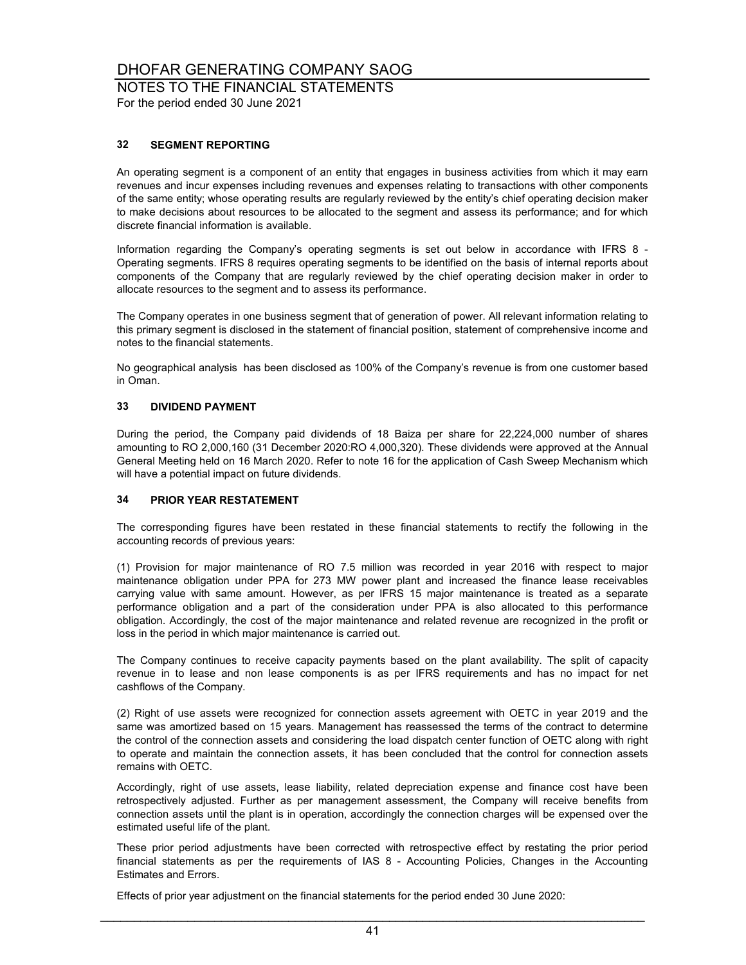NOTES TO THE FINANCIAL STATEMENTS

For the period ended 30 June 2021

### **32 SEGMENT REPORTING**

An operating segment is a component of an entity that engages in business activities from which it may earn revenues and incur expenses including revenues and expenses relating to transactions with other components of the same entity; whose operating results are regularly reviewed by the entity's chief operating decision maker to make decisions about resources to be allocated to the segment and assess its performance; and for which discrete financial information is available.

Information regarding the Company's operating segments is set out below in accordance with IFRS 8 - Operating segments. IFRS 8 requires operating segments to be identified on the basis of internal reports about components of the Company that are regularly reviewed by the chief operating decision maker in order to allocate resources to the segment and to assess its performance.

The Company operates in one business segment that of generation of power. All relevant information relating to this primary segment is disclosed in the statement of financial position, statement of comprehensive income and notes to the financial statements.

No geographical analysis has been disclosed as 100% of the Company's revenue is from one customer based in Oman.

### **33 DIVIDEND PAYMENT**

During the period, the Company paid dividends of 18 Baiza per share for 22,224,000 number of shares amounting to RO 2,000,160 (31 December 2020:RO 4,000,320). These dividends were approved at the Annual General Meeting held on 16 March 2020. Refer to note 16 for the application of Cash Sweep Mechanism which will have a potential impact on future dividends.

#### **34 PRIOR YEAR RESTATEMENT**

The corresponding figures have been restated in these financial statements to rectify the following in the accounting records of previous years:

(1) Provision for major maintenance of RO 7.5 million was recorded in year 2016 with respect to major maintenance obligation under PPA for 273 MW power plant and increased the finance lease receivables carrying value with same amount. However, as per IFRS 15 major maintenance is treated as a separate performance obligation and a part of the consideration under PPA is also allocated to this performance obligation. Accordingly, the cost of the major maintenance and related revenue are recognized in the profit or loss in the period in which major maintenance is carried out.

The Company continues to receive capacity payments based on the plant availability. The split of capacity revenue in to lease and non lease components is as per IFRS requirements and has no impact for net cashflows of the Company.

(2) Right of use assets were recognized for connection assets agreement with OETC in year 2019 and the same was amortized based on 15 years. Management has reassessed the terms of the contract to determine the control of the connection assets and considering the load dispatch center function of OETC along with right to operate and maintain the connection assets, it has been concluded that the control for connection assets remains with OETC.

Accordingly, right of use assets, lease liability, related depreciation expense and finance cost have been retrospectively adjusted. Further as per management assessment, the Company will receive benefits from connection assets until the plant is in operation, accordingly the connection charges will be expensed over the estimated useful life of the plant.

These prior period adjustments have been corrected with retrospective effect by restating the prior period financial statements as per the requirements of IAS 8 - Accounting Policies, Changes in the Accounting Estimates and Errors.

Effects of prior year adjustment on the financial statements for the period ended 30 June 2020: